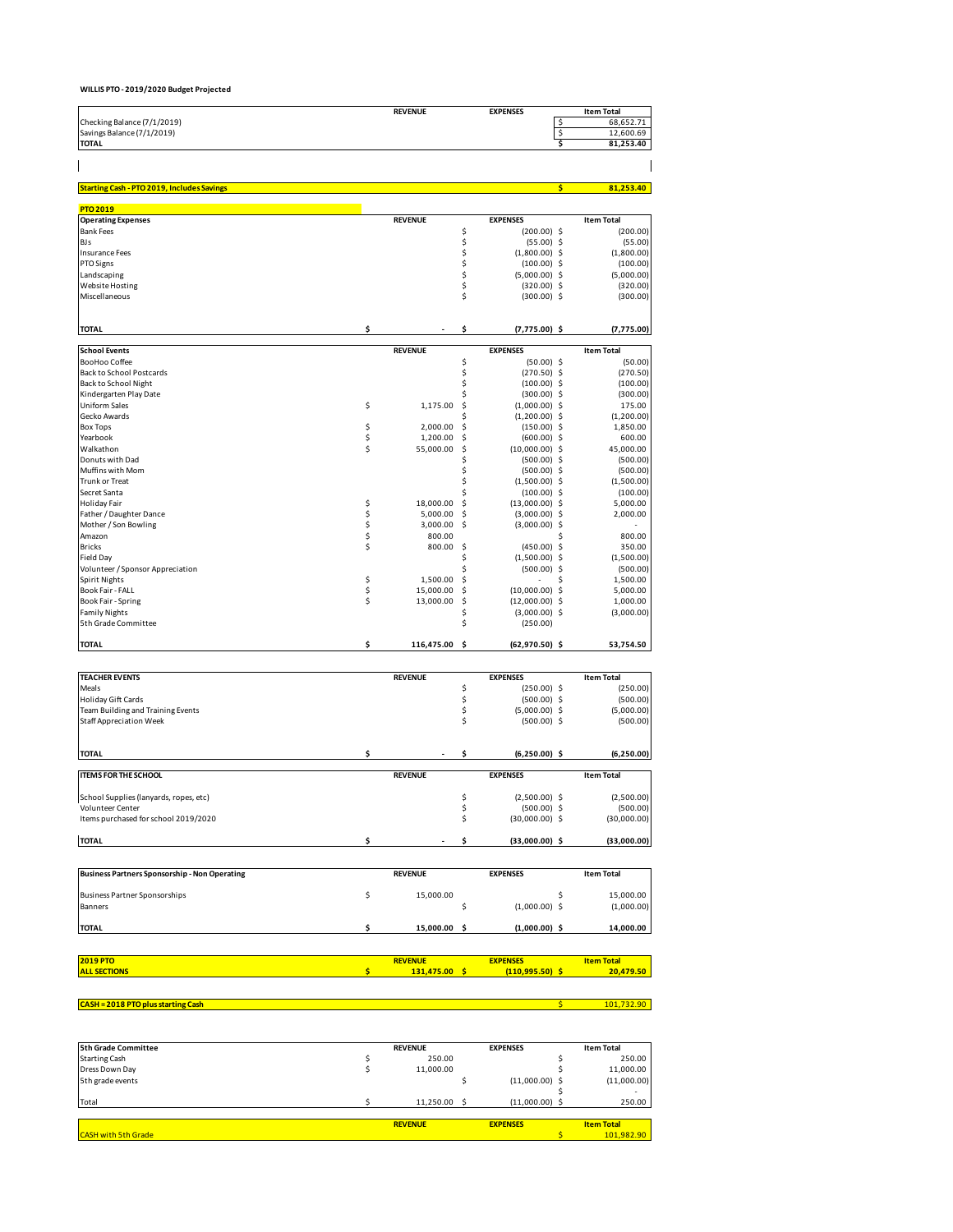### **WILLIS PTO - 2019/2020 Budget Projected**

 $\mathbf{I}$ 

|                             | <b>REVENUE</b> | <b>EXPENSES</b> | <b>Item Total</b> |
|-----------------------------|----------------|-----------------|-------------------|
| Checking Balance (7/1/2019) |                |                 | 68.652.71         |
| Savings Balance (7/1/2019)  |                |                 | 12.600.69         |
| <b>TOTAL</b>                |                |                 | 81.253.40         |

 $\overline{\phantom{a}}$ 

| <b>Starting Cash - PTO 2019, Includes Savings</b> |          |                |     |                  | \$<br>81,253.40   |
|---------------------------------------------------|----------|----------------|-----|------------------|-------------------|
| <b>PTO 2019</b>                                   |          |                |     |                  |                   |
| <b>Operating Expenses</b>                         |          | <b>REVENUE</b> |     | <b>EXPENSES</b>  | <b>Item Total</b> |
| <b>Bank Fees</b>                                  |          |                | \$  | $(200.00)$ \$    | (200.00)          |
| BJs                                               |          |                | \$  | $(55.00)$ \$     | (55.00)           |
| Insurance Fees                                    |          |                | \$  | $(1,800.00)$ \$  | (1,800.00)        |
| PTO Signs                                         |          |                | \$  | $(100.00)$ \$    | (100.00)          |
| Landscaping                                       |          |                | \$  | $(5,000.00)$ \$  | (5,000.00)        |
| <b>Website Hosting</b>                            |          |                | \$  | $(320.00)$ \$    | (320.00)          |
| Miscellaneous                                     |          |                | \$  | $(300.00)$ \$    | (300.00)          |
| <b>TOTAL</b>                                      | \$       |                | \$  | $(7,775.00)$ \$  | (7, 775.00)       |
| <b>School Events</b>                              |          | <b>REVENUE</b> |     | <b>EXPENSES</b>  | <b>Item Total</b> |
| BooHoo Coffee                                     |          |                | \$  | $(50.00)$ \$     | (50.00)           |
| <b>Back to School Postcards</b>                   |          |                | \$  | $(270.50)$ \$    | (270.50)          |
| Back to School Night                              |          |                | \$  | $(100.00)$ \$    | (100.00)          |
| Kindergarten Play Date                            |          |                | \$  | $(300.00)$ \$    | (300.00)          |
| <b>Uniform Sales</b>                              | \$       | 1,175.00       | \$  | $(1,000.00)$ \$  | 175.00            |
| Gecko Awards                                      |          |                | Ś   | $(1,200.00)$ \$  | (1,200.00)        |
| <b>Box Tops</b>                                   | \$       | 2,000.00       | \$  | $(150.00)$ \$    | 1,850.00          |
| Yearbook                                          | \$       | 1,200.00       | Ś   | $(600.00)$ \$    | 600.00            |
| Walkathon                                         | \$       | 55,000.00      | \$  | $(10,000.00)$ \$ | 45,000.00         |
| Donuts with Dad                                   |          |                | \$  | $(500.00)$ \$    | (500.00)          |
| Muffins with Mom                                  |          |                | \$  | $(500.00)$ \$    | (500.00)          |
| <b>Trunk or Treat</b>                             |          |                | \$  | $(1,500.00)$ \$  | (1,500.00)        |
| Secret Santa                                      |          |                | \$  | $(100.00)$ \$    | (100.00)          |
| <b>Holiday Fair</b>                               | \$       | 18,000.00      | \$  | $(13,000.00)$ \$ | 5,000.00          |
| Father / Daughter Dance                           |          | 5,000.00       | \$  | $(3,000.00)$ \$  | 2,000.00          |
| Mother / Son Bowling                              | \$<br>\$ | 3,000.00       | -\$ | $(3,000.00)$ \$  |                   |
| Amazon                                            | \$       | 800.00         |     |                  | 800.00            |
| <b>Bricks</b>                                     | \$       | 800.00         | \$  | $(450.00)$ \$    | 350.00            |
| Field Day                                         |          |                | \$  | $(1,500.00)$ \$  | (1,500.00)        |
| Volunteer / Sponsor Appreciation                  |          |                | Ś   | $(500.00)$ \$    | (500.00)          |
| <b>Spirit Nights</b>                              | \$       | 1,500.00       | Ś   |                  | 1,500.00          |
| Book Fair - FALL                                  | \$       | 15,000.00      | \$  | $(10,000.00)$ \$ | 5,000.00          |
| Book Fair - Spring                                | \$       | 13,000.00      | \$  | $(12,000.00)$ \$ | 1,000.00          |
| <b>Family Nights</b>                              |          |                | \$  | $(3,000.00)$ \$  | (3,000.00)        |
| 5th Grade Committee                               |          |                | \$  | (250.00)         |                   |
| <b>TOTAL</b>                                      | \$       | 116,475.00     | Ŝ   | $(62,970.50)$ \$ | 53,754.50         |

| <b>TEACHER EVENTS</b>                                |    | <b>REVENUE</b>  |    | <b>EXPENSES</b>   |    | <b>Item Total</b> |
|------------------------------------------------------|----|-----------------|----|-------------------|----|-------------------|
| Meals                                                |    |                 | \$ | $(250.00)$ \$     |    | (250.00)          |
| <b>Holiday Gift Cards</b>                            |    |                 | \$ | $(500.00)$ \$     |    | (500.00)          |
| Team Building and Training Events                    |    |                 | \$ | $(5,000.00)$ \$   |    | (5,000.00)        |
| <b>Staff Appreciation Week</b>                       |    |                 |    | $(500.00)$ \$     |    | (500.00)          |
| <b>TOTAL</b>                                         | \$ |                 | \$ | $(6,250.00)$ \$   |    | (6, 250.00)       |
|                                                      |    |                 |    |                   |    |                   |
| <b>ITEMS FOR THE SCHOOL</b>                          |    | <b>REVENUE</b>  |    | <b>EXPENSES</b>   |    | <b>Item Total</b> |
| School Supplies (lanyards, ropes, etc)               |    |                 | \$ | $(2,500.00)$ \$   |    | (2,500.00)        |
| <b>Volunteer Center</b>                              |    |                 | \$ | $(500.00)$ \$     |    | (500.00)          |
| Items purchased for school 2019/2020                 |    |                 |    | $(30,000.00)$ \$  |    | (30,000.00)       |
| <b>TOTAL</b>                                         | \$ |                 | Ś  | $(33,000.00)$ \$  |    | (33,000.00)       |
|                                                      |    |                 |    |                   |    |                   |
| <b>Business Partners Sponsorship - Non Operating</b> |    | <b>REVENUE</b>  |    | <b>EXPENSES</b>   |    | <b>Item Total</b> |
| <b>Business Partner Sponsorships</b>                 | \$ | 15,000.00       |    |                   | Ś. | 15,000.00         |
| Banners                                              |    |                 | \$ | $(1,000.00)$ \$   |    | (1,000.00)        |
| <b>TOTAL</b>                                         | \$ | 15,000.00 \$    |    | $(1,000.00)$ \$   |    | 14,000.00         |
| <b>2019 PTO</b>                                      |    | <b>REVENUE</b>  |    | <b>EXPENSES</b>   |    | <b>Item Total</b> |
| <b>ALL SECTIONS</b>                                  | Ś  | $131,475.00$ \$ |    | $(110,995.50)$ \$ |    | 20,479.50         |
|                                                      |    |                 |    |                   |    |                   |
| <b>CASH = 2018 PTO plus starting Cash</b>            |    |                 |    |                   | Ś. | 101,732.90        |

| 5th Grade Committee        | <b>REVENUE</b> | <b>EXPENSES</b>  | <b>Item Total</b> |
|----------------------------|----------------|------------------|-------------------|
| <b>Starting Cash</b>       | 250.00         |                  | 250.00            |
| Dress Down Day             | 11,000.00      |                  | 11,000.00         |
| 5th grade events           |                | $(11,000.00)$ \$ | (11,000.00)       |
|                            |                |                  |                   |
| Total                      | 11.250.00      | $(11,000.00)$ \$ | 250.00            |
|                            | <b>REVENUE</b> | <b>EXPENSES</b>  | <b>Item Total</b> |
| <b>CASH with 5th Grade</b> |                |                  | 101.982.90        |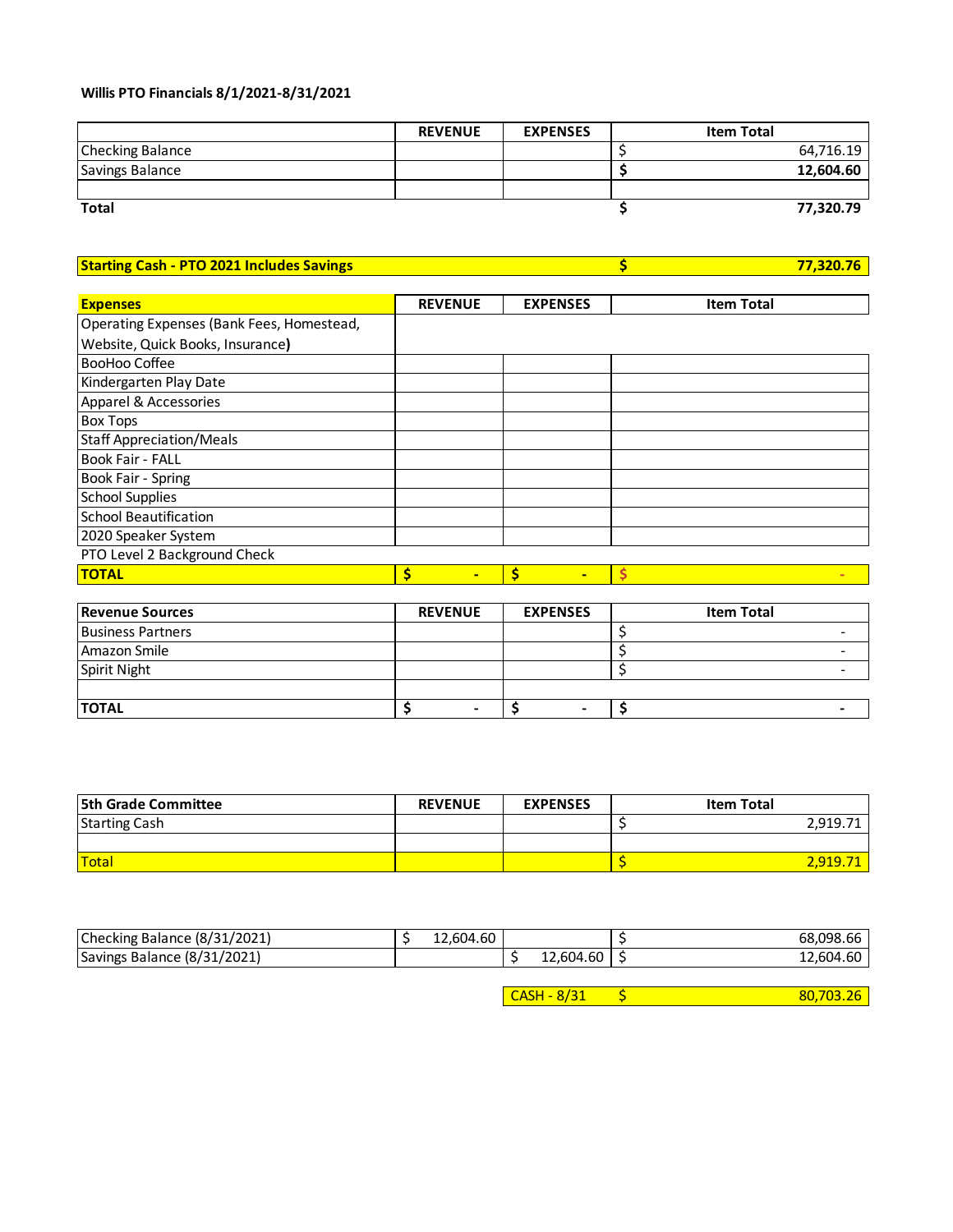### **Willis PTO Financials 8/1/2021-8/31/2021**

|                         | <b>REVENUE</b> | <b>EXPENSES</b> | <b>Item Total</b> |
|-------------------------|----------------|-----------------|-------------------|
| <b>Checking Balance</b> |                |                 | 64,716.19         |
| <b>Savings Balance</b>  |                |                 | 12,604.60         |
|                         |                |                 |                   |
| <b>Total</b>            |                |                 | 77,320.79         |

**Starting Cash - PTO 2021 Includes Savings <b>***S* **17,320.76 \$ 17,320.76** 

| <b>Expenses</b>                           | <b>REVENUE</b>      | <b>EXPENSES</b> | <b>Item Total</b> |
|-------------------------------------------|---------------------|-----------------|-------------------|
| Operating Expenses (Bank Fees, Homestead, |                     |                 |                   |
| Website, Quick Books, Insurance)          |                     |                 |                   |
| <b>BooHoo Coffee</b>                      |                     |                 |                   |
| Kindergarten Play Date                    |                     |                 |                   |
| Apparel & Accessories                     |                     |                 |                   |
| <b>Box Tops</b>                           |                     |                 |                   |
| <b>Staff Appreciation/Meals</b>           |                     |                 |                   |
| <b>Book Fair - FALL</b>                   |                     |                 |                   |
| Book Fair - Spring                        |                     |                 |                   |
| <b>School Supplies</b>                    |                     |                 |                   |
| <b>School Beautification</b>              |                     |                 |                   |
| 2020 Speaker System                       |                     |                 |                   |
| PTO Level 2 Background Check              |                     |                 |                   |
| <b>TOTAL</b>                              | Ś<br>$\blacksquare$ | Ś<br>-          |                   |

| <b>Revenue Sources</b>   | <b>REVENUE</b> | <b>EXPENSES</b> | <b>Item Total</b> |
|--------------------------|----------------|-----------------|-------------------|
| <b>Business Partners</b> |                |                 |                   |
| Amazon Smile             |                |                 |                   |
| Spirit Night             |                |                 |                   |
|                          |                |                 |                   |
| <b>TOTAL</b>             |                |                 |                   |

| <b>5th Grade Committee</b> | <b>REVENUE</b> | <b>EXPENSES</b> | <b>Item Total</b> |
|----------------------------|----------------|-----------------|-------------------|
| <b>Starting Cash</b>       |                |                 | 2,919.71          |
|                            |                |                 |                   |
| <b>Total</b>               |                |                 | 2,919.71          |

| Checking Balance (8/31/2021) | 12.604.60 |           | 68.098.66 |
|------------------------------|-----------|-----------|-----------|
| Savings Balance (8/31/2021)  |           | 12,604.60 | 12,604.60 |

 $\overline{CASH - 8/31}$  \$ 80,703.26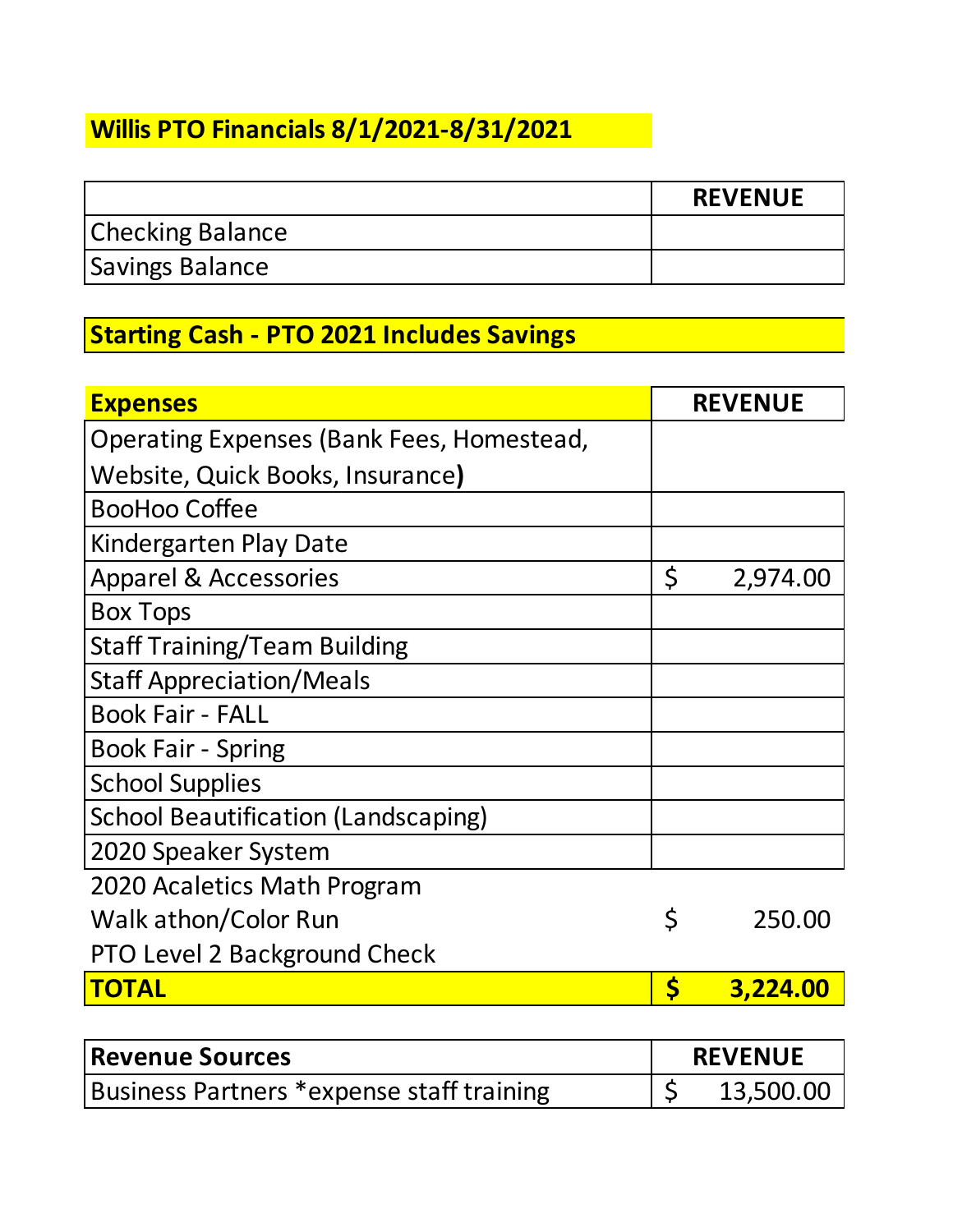# **Willis PTO Financials 8/1/2021-8/31/2021**

|                         | <b>REVENUE</b> |
|-------------------------|----------------|
| <b>Checking Balance</b> |                |
| <b>Savings Balance</b>  |                |

## **Starting Cash - PTO 2021 Includes Savings**

| <b>Expenses</b>                           |         | <b>REVENUE</b> |
|-------------------------------------------|---------|----------------|
| Operating Expenses (Bank Fees, Homestead, |         |                |
| Website, Quick Books, Insurance)          |         |                |
| <b>BooHoo Coffee</b>                      |         |                |
| Kindergarten Play Date                    |         |                |
| <b>Apparel &amp; Accessories</b>          | $\zeta$ | 2,974.00       |
| <b>Box Tops</b>                           |         |                |
| <b>Staff Training/Team Building</b>       |         |                |
| <b>Staff Appreciation/Meals</b>           |         |                |
| <b>Book Fair - FALL</b>                   |         |                |
| <b>Book Fair - Spring</b>                 |         |                |
| <b>School Supplies</b>                    |         |                |
| School Beautification (Landscaping)       |         |                |
| 2020 Speaker System                       |         |                |
| 2020 Acaletics Math Program               |         |                |
| Walk athon/Color Run                      | \$      | 250.00         |
| <b>PTO Level 2 Background Check</b>       |         |                |
| <b>TOTAL</b>                              | \$      | 3,224.00       |
|                                           |         |                |

| <b>Revenue Sources</b>                    |  | <b>REVENUE</b> |  |  |  |
|-------------------------------------------|--|----------------|--|--|--|
| Business Partners *expense staff training |  | 13,500.00      |  |  |  |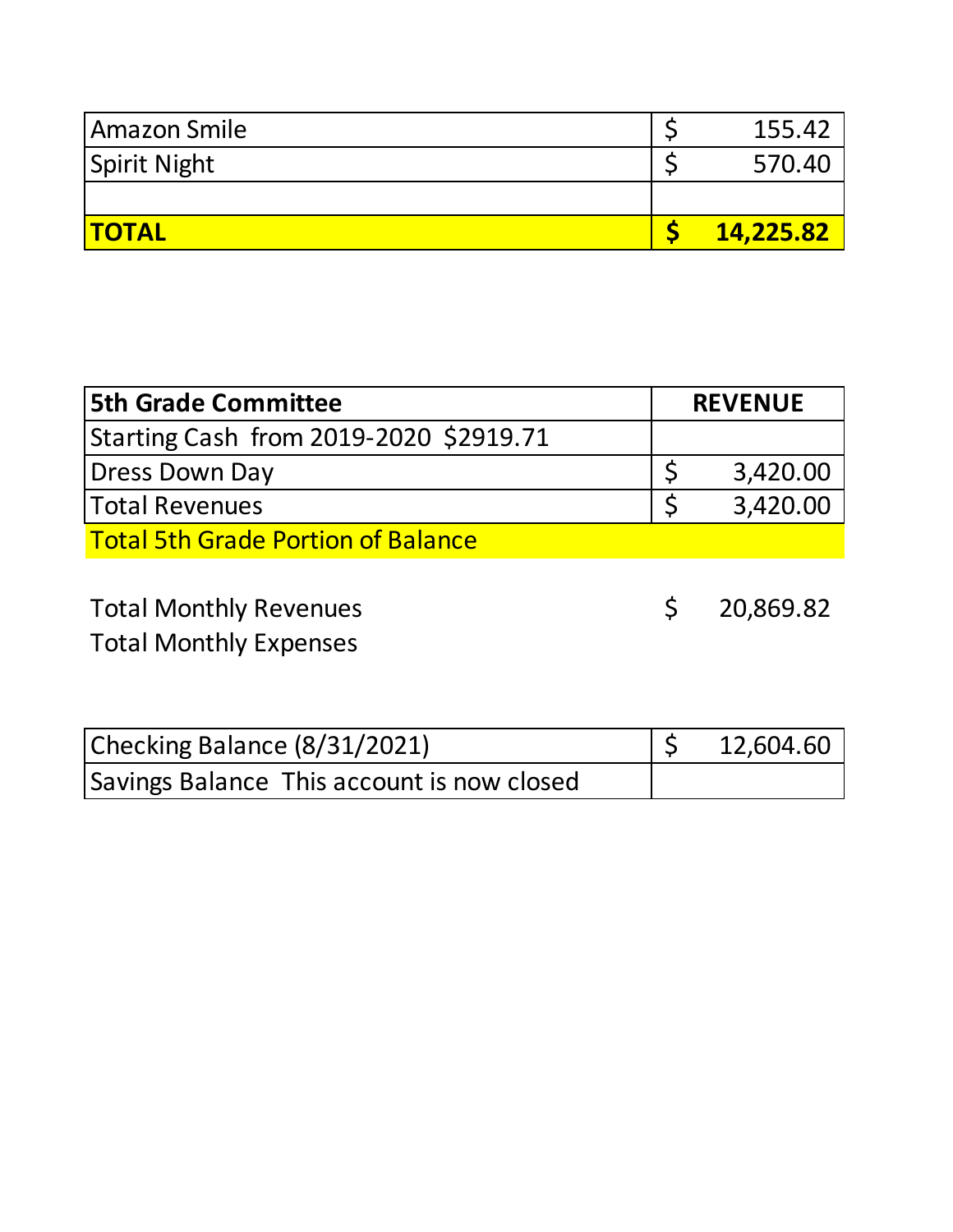| Amazon Smile | 155.42    |
|--------------|-----------|
| Spirit Night | 570.40    |
|              |           |
| <b>TOTAL</b> | 14,225.82 |

| <b>5th Grade Committee</b>                                     | <b>REVENUE</b> |           |
|----------------------------------------------------------------|----------------|-----------|
| Starting Cash from 2019-2020 \$2919.71                         |                |           |
| <b>Dress Down Day</b>                                          |                | 3,420.00  |
| <b>Total Revenues</b>                                          |                | 3,420.00  |
| <b>Total 5th Grade Portion of Balance</b>                      |                |           |
| <b>Total Monthly Revenues</b><br><b>Total Monthly Expenses</b> |                | 20,869.82 |

| Checking Balance (8/31/2021)               |  | 12,604.60 |
|--------------------------------------------|--|-----------|
| Savings Balance This account is now closed |  |           |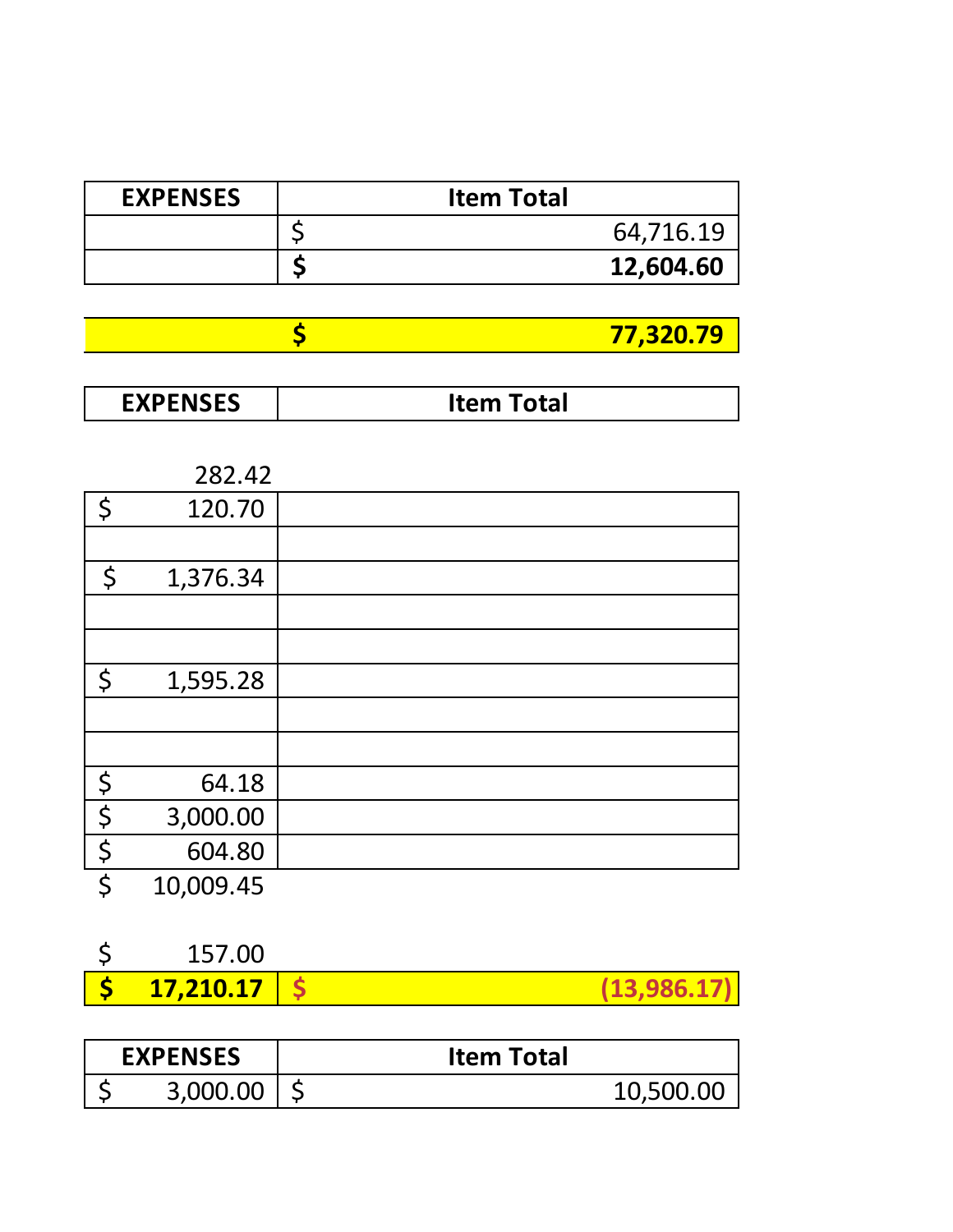| <b>EXPENSES</b> | <b>Item Total</b> |
|-----------------|-------------------|
|                 | 64,716.19         |
|                 | 12,604.60         |

| ,320.79<br>-- |
|---------------|

| <b>FVDFNICFC</b><br>∕ ∟J | <b>otal</b><br>. د د ک<br>nten. |
|--------------------------|---------------------------------|
|--------------------------|---------------------------------|

|             | 282.42    |  |
|-------------|-----------|--|
| \$          | 120.70    |  |
|             |           |  |
| \$          | 1,376.34  |  |
|             |           |  |
|             |           |  |
| \$          | 1,595.28  |  |
|             |           |  |
|             |           |  |
| $\varsigma$ | 64.18     |  |
| $\varsigma$ | 3,000.00  |  |
| $\zeta$     | 604.80    |  |
| \$          | 10,009.45 |  |

| 157.00                      |             |
|-----------------------------|-------------|
| $5$ 17,210.17 $\frac{1}{5}$ | (13,986.17) |

| <b>EXPENSES</b> | <b>Item Total</b> |           |
|-----------------|-------------------|-----------|
| 3,000.00        |                   | 10,500.00 |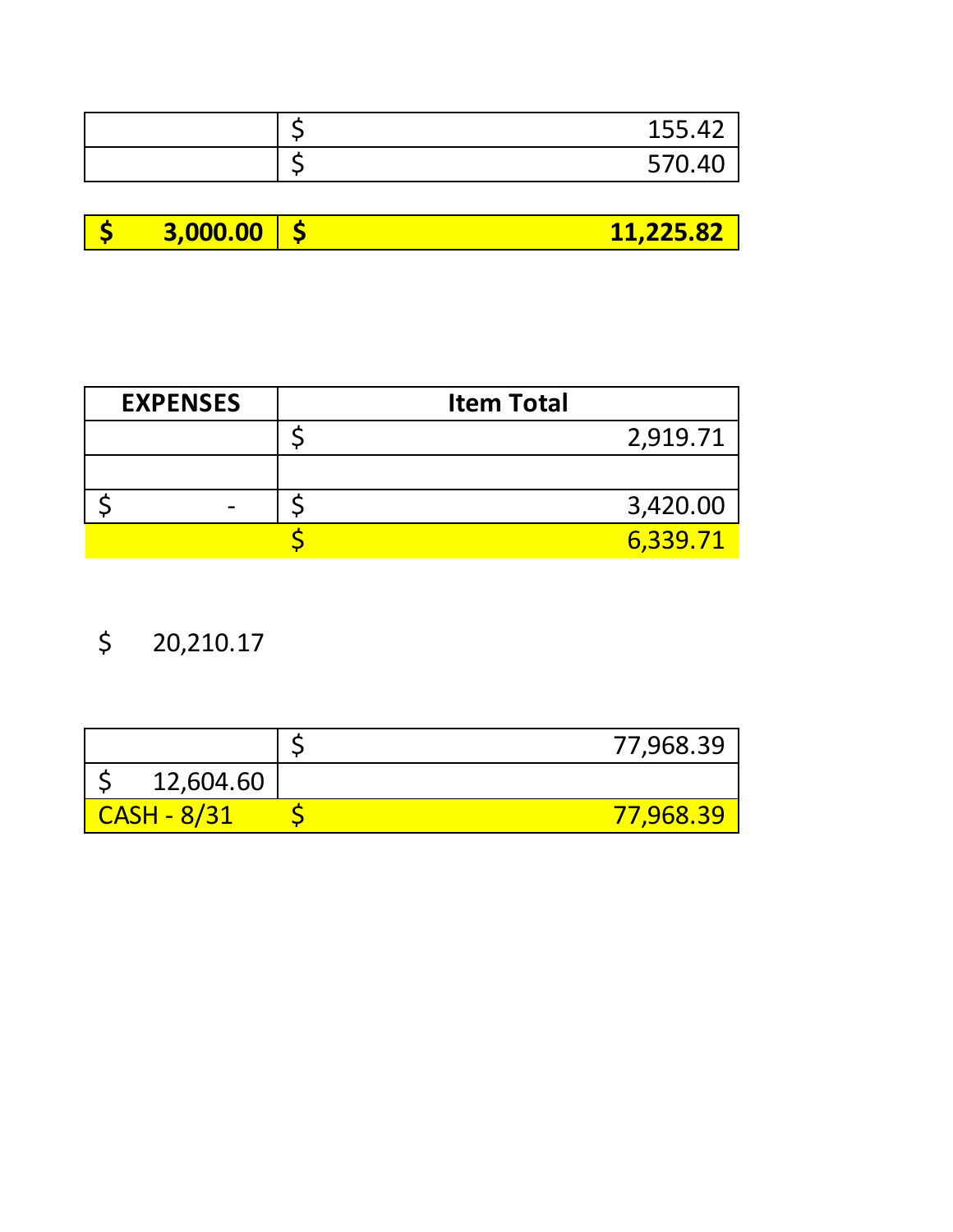|  | 155.42 |
|--|--------|
|  | 570.40 |

|  | $\sqrt{3,000.00}$ |  | 11,225.82 |
|--|-------------------|--|-----------|
|--|-------------------|--|-----------|

| <b>EXPENSES</b> | <b>Item Total</b> |          |
|-----------------|-------------------|----------|
|                 |                   | 2,919.71 |
|                 |                   |          |
|                 |                   | 3,420.00 |
|                 |                   | 6.339.71 |

\$ 20,210.17

|             | 77,968.39        |
|-------------|------------------|
| 12,604.60   |                  |
| CASH - 8/31 | <u>77,968.39</u> |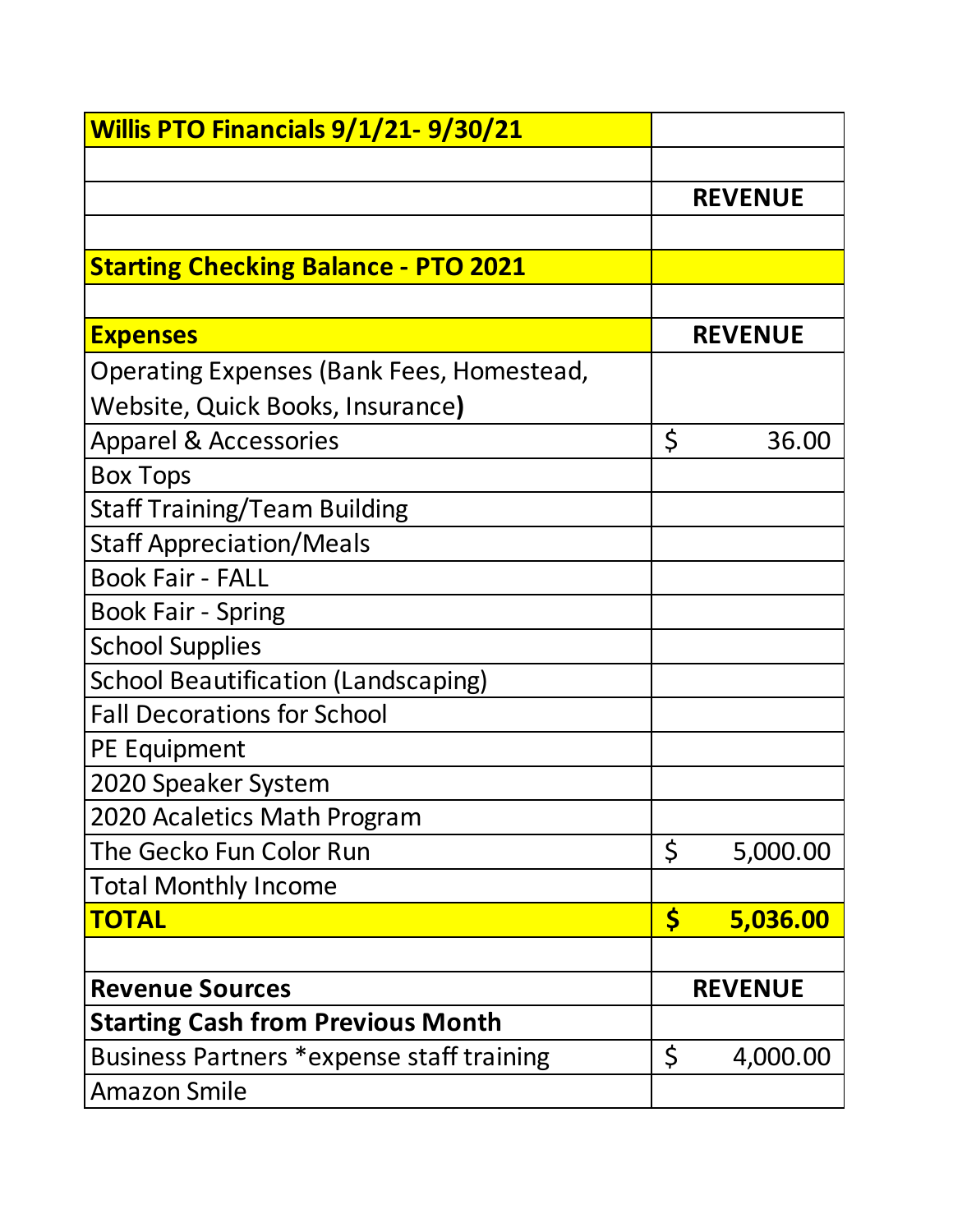| <b>Willis PTO Financials 9/1/21-9/30/21</b> |                |
|---------------------------------------------|----------------|
|                                             |                |
|                                             | <b>REVENUE</b> |
|                                             |                |
| <b>Starting Checking Balance - PTO 2021</b> |                |
|                                             |                |
| <b>Expenses</b>                             | <b>REVENUE</b> |
| Operating Expenses (Bank Fees, Homestead,   |                |
| Website, Quick Books, Insurance)            |                |
| <b>Apparel &amp; Accessories</b>            | \$<br>36.00    |
| <b>Box Tops</b>                             |                |
| <b>Staff Training/Team Building</b>         |                |
| <b>Staff Appreciation/Meals</b>             |                |
| <b>Book Fair - FALL</b>                     |                |
| <b>Book Fair - Spring</b>                   |                |
| <b>School Supplies</b>                      |                |
| <b>School Beautification (Landscaping)</b>  |                |
| <b>Fall Decorations for School</b>          |                |
| PE Equipment                                |                |
| 2020 Speaker System                         |                |
| 2020 Acaletics Math Program                 |                |
| The Gecko Fun Color Run                     | \$<br>5,000.00 |
| <b>Total Monthly Income</b>                 |                |
| <b>TOTAL</b>                                | \$<br>5,036.00 |
|                                             |                |
| <b>Revenue Sources</b>                      | <b>REVENUE</b> |
| <b>Starting Cash from Previous Month</b>    |                |
| Business Partners *expense staff training   | \$<br>4,000.00 |
| <b>Amazon Smile</b>                         |                |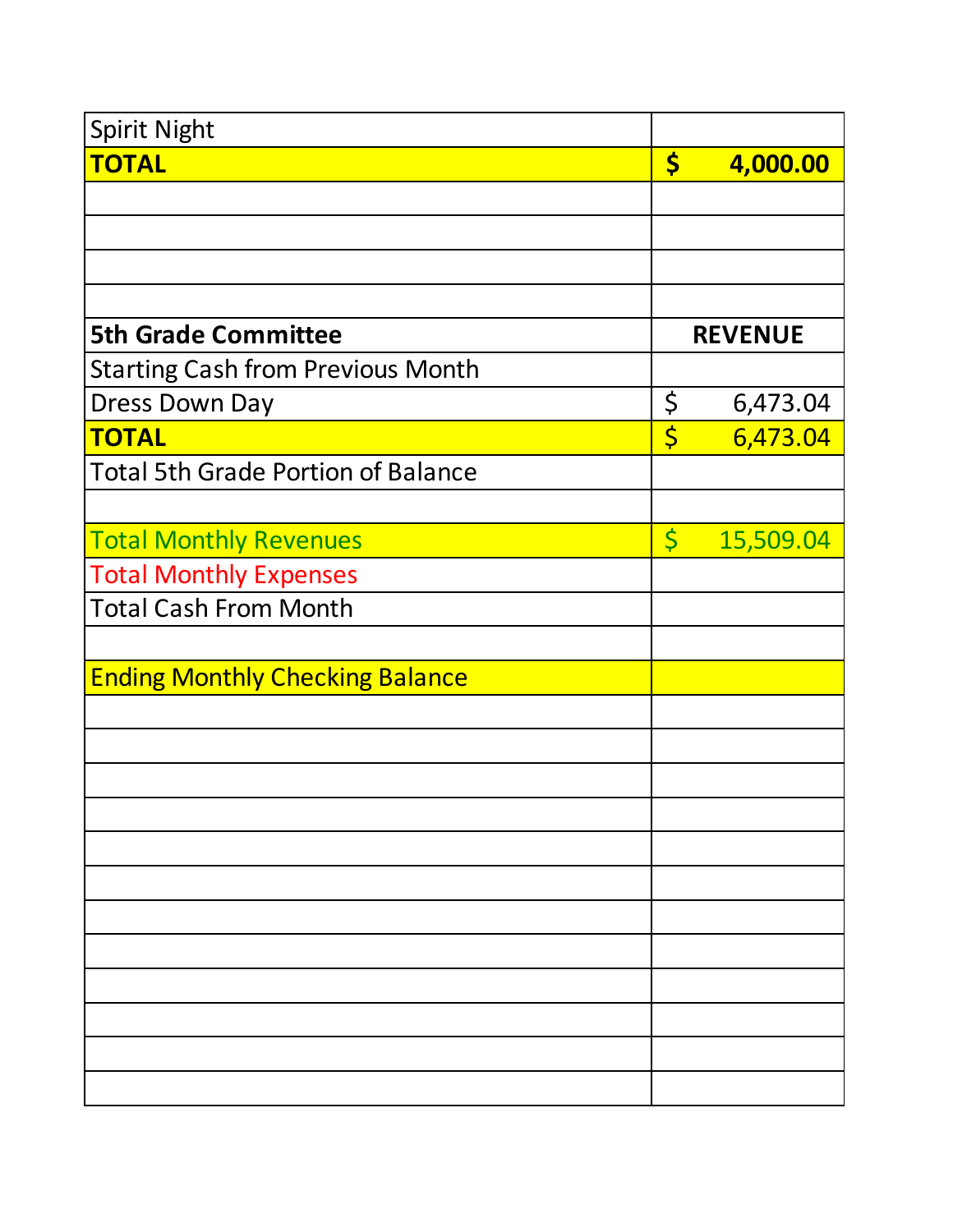| <b>Spirit Night</b>                       |             |                |
|-------------------------------------------|-------------|----------------|
| <b>TOTAL</b>                              | \$          | 4,000.00       |
|                                           |             |                |
|                                           |             |                |
|                                           |             |                |
|                                           |             |                |
| <b>5th Grade Committee</b>                |             | <b>REVENUE</b> |
| <b>Starting Cash from Previous Month</b>  |             |                |
| <b>Dress Down Day</b>                     | \$          | 6,473.04       |
| <b>TOTAL</b>                              | \$          | 6,473.04       |
| <b>Total 5th Grade Portion of Balance</b> |             |                |
|                                           |             |                |
| <b>Total Monthly Revenues</b>             | $\varsigma$ | 15,509.04      |
| <b>Total Monthly Expenses</b>             |             |                |
| <b>Total Cash From Month</b>              |             |                |
|                                           |             |                |
| <b>Ending Monthly Checking Balance</b>    |             |                |
|                                           |             |                |
|                                           |             |                |
|                                           |             |                |
|                                           |             |                |
|                                           |             |                |
|                                           |             |                |
|                                           |             |                |
|                                           |             |                |
|                                           |             |                |
|                                           |             |                |
|                                           |             |                |
|                                           |             |                |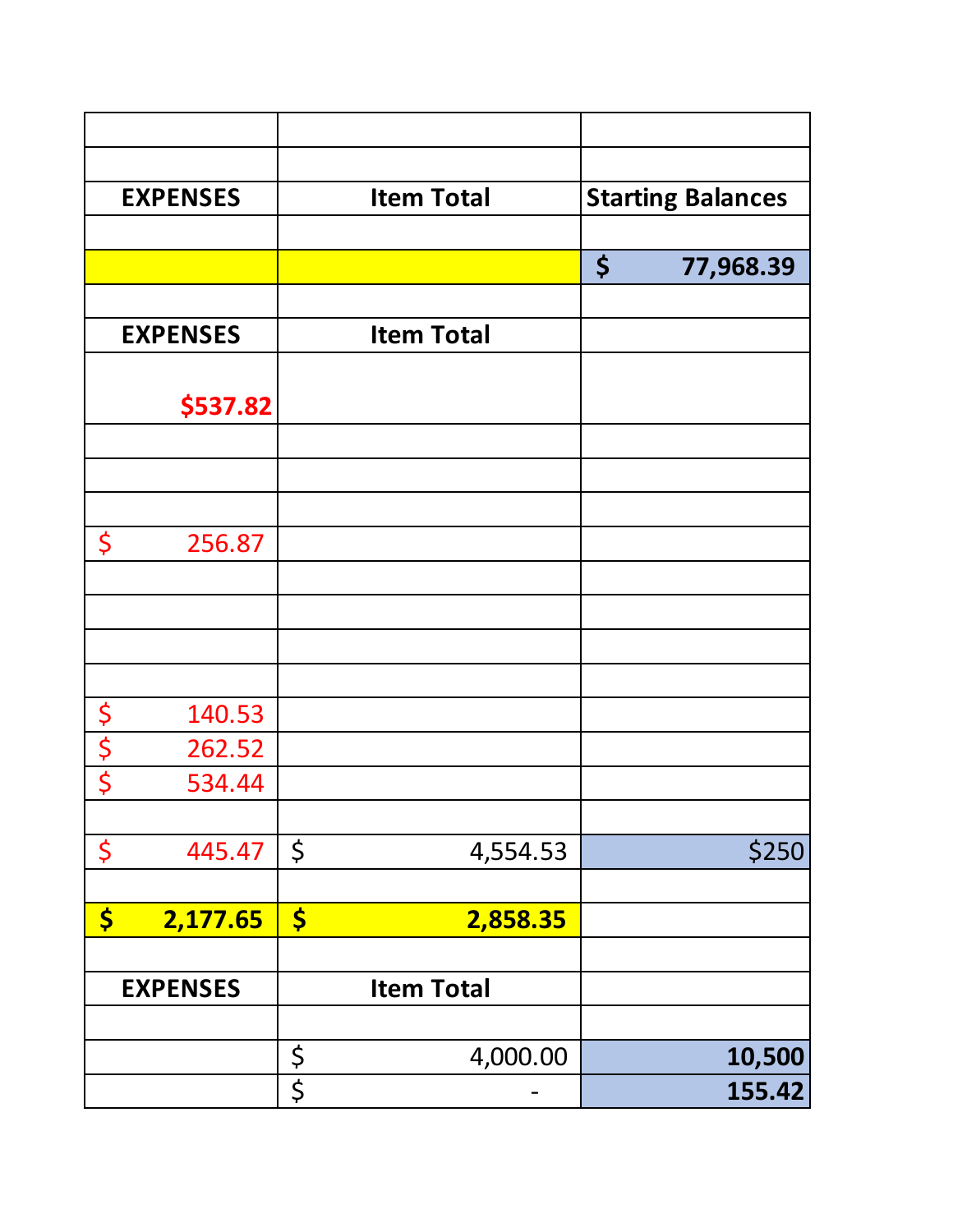|                      | <b>EXPENSES</b> |             | <b>Item Total</b> | <b>Starting Balances</b> |
|----------------------|-----------------|-------------|-------------------|--------------------------|
|                      |                 |             |                   |                          |
|                      |                 |             |                   | \$<br>77,968.39          |
|                      |                 |             |                   |                          |
|                      | <b>EXPENSES</b> |             | <b>Item Total</b> |                          |
|                      |                 |             |                   |                          |
|                      | \$537.82        |             |                   |                          |
|                      |                 |             |                   |                          |
|                      |                 |             |                   |                          |
| \$                   | 256.87          |             |                   |                          |
|                      |                 |             |                   |                          |
|                      |                 |             |                   |                          |
|                      |                 |             |                   |                          |
|                      |                 |             |                   |                          |
| $\boldsymbol{\zeta}$ | 140.53          |             |                   |                          |
|                      | 262.52          |             |                   |                          |
| $rac{5}{5}$          | 534.44          |             |                   |                          |
|                      |                 |             |                   |                          |
| \$                   | 445.47          | \$          | 4,554.53          | \$250                    |
|                      |                 |             |                   |                          |
| \$                   | 2,177.65        | \$          | 2,858.35          |                          |
|                      |                 |             |                   |                          |
|                      | <b>EXPENSES</b> |             | <b>Item Total</b> |                          |
|                      |                 |             |                   |                          |
|                      |                 | $rac{5}{5}$ | 4,000.00          | 10,500                   |
|                      |                 |             |                   | 155.42                   |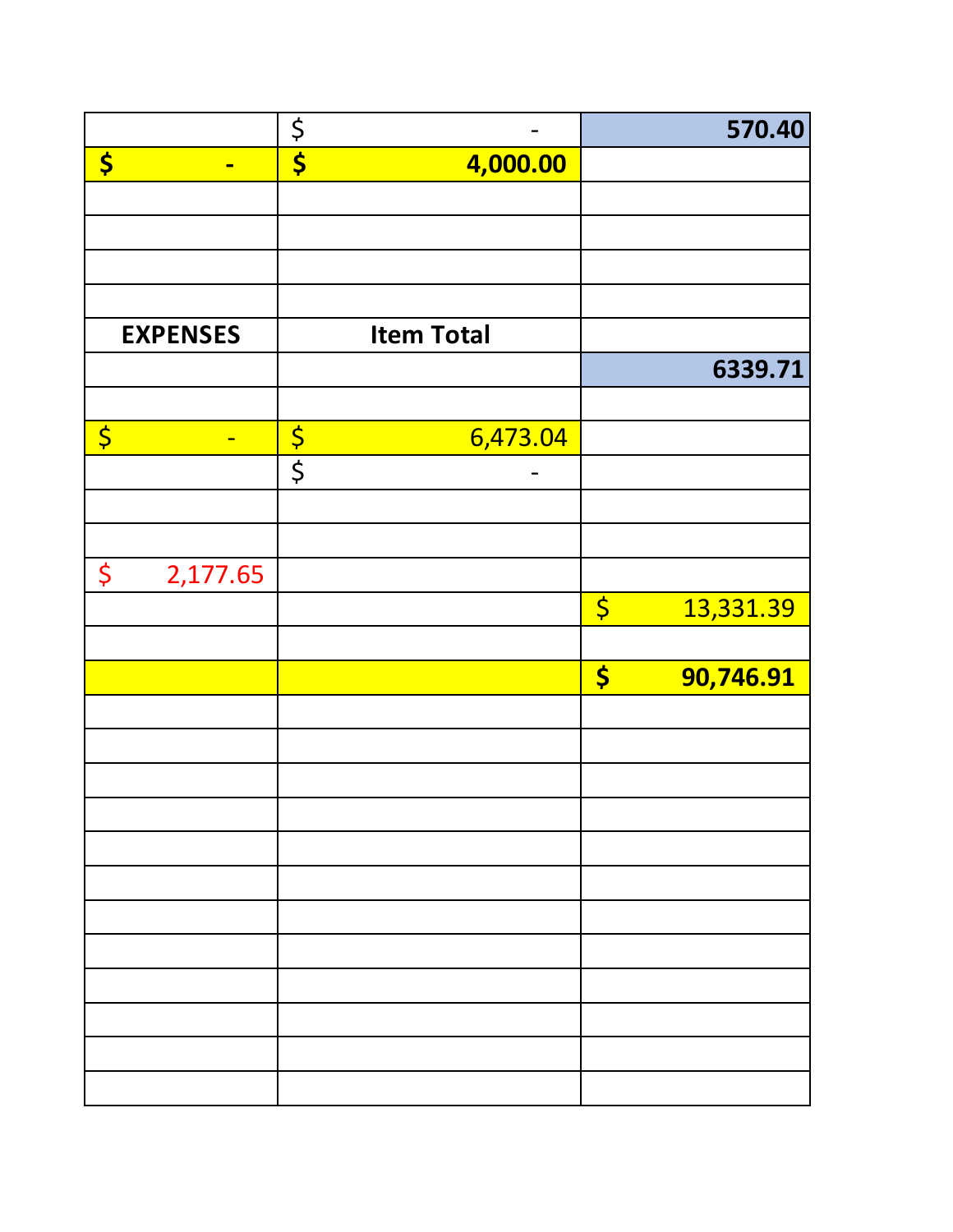|                                                    | $\frac{5}{5}$           | 570.40                              |
|----------------------------------------------------|-------------------------|-------------------------------------|
| \$<br>$\blacksquare$                               | 4,000.00                |                                     |
|                                                    |                         |                                     |
|                                                    |                         |                                     |
|                                                    |                         |                                     |
|                                                    |                         |                                     |
| <b>EXPENSES</b>                                    | <b>Item Total</b>       |                                     |
|                                                    |                         | 6339.71                             |
|                                                    |                         |                                     |
| $\overline{\varsigma}$<br>$\overline{\phantom{0}}$ | $rac{5}{5}$<br>6,473.04 |                                     |
|                                                    |                         |                                     |
|                                                    |                         |                                     |
|                                                    |                         |                                     |
| \$<br>2,177.65                                     |                         |                                     |
|                                                    |                         | $\overline{\varsigma}$<br>13,331.39 |
|                                                    |                         |                                     |
|                                                    |                         | \$<br>90,746.91                     |
|                                                    |                         |                                     |
|                                                    |                         |                                     |
|                                                    |                         |                                     |
|                                                    |                         |                                     |
|                                                    |                         |                                     |
|                                                    |                         |                                     |
|                                                    |                         |                                     |
|                                                    |                         |                                     |
|                                                    |                         |                                     |
|                                                    |                         |                                     |
|                                                    |                         |                                     |
|                                                    |                         |                                     |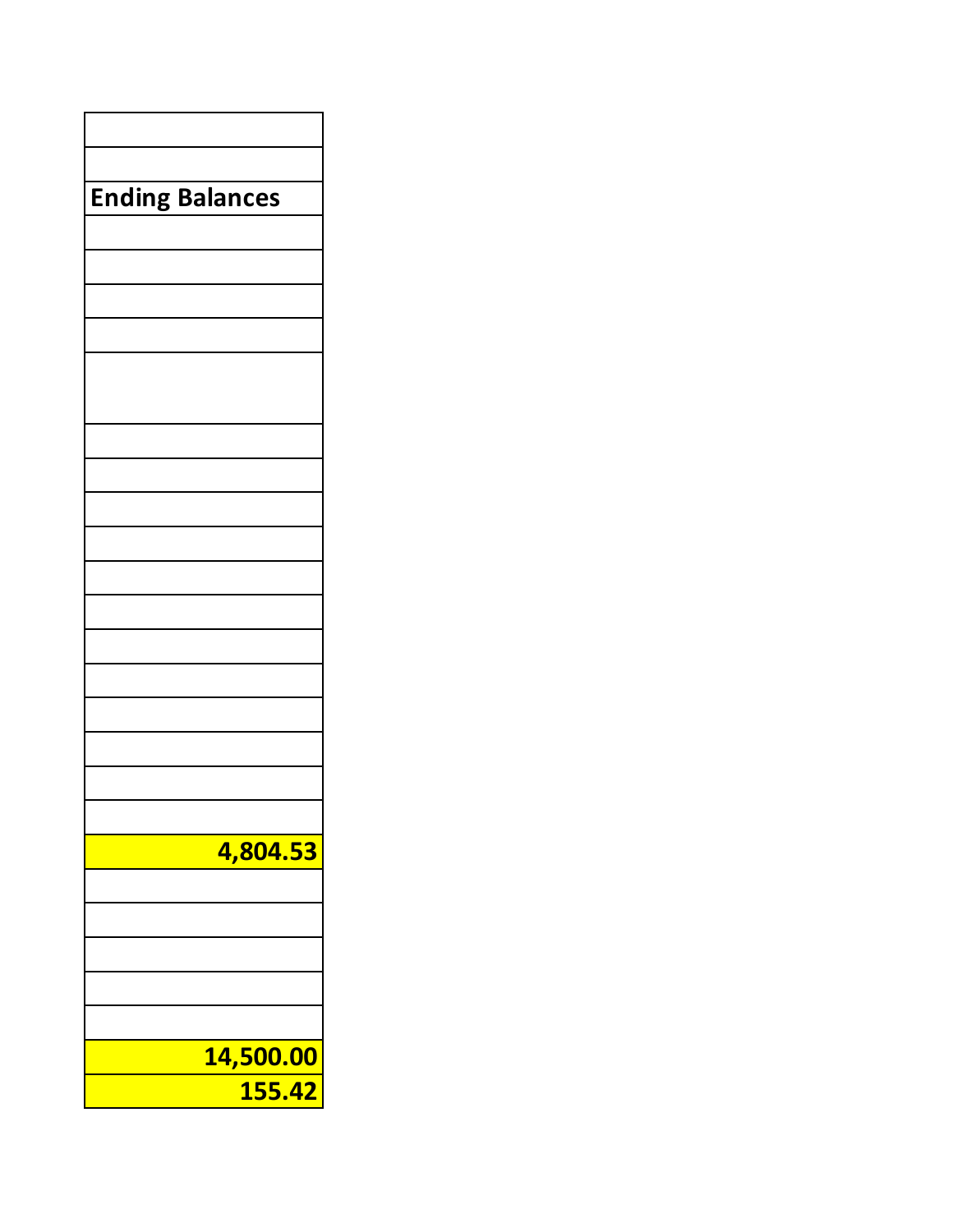| <b>Ending Balances</b> |  |  |
|------------------------|--|--|
|                        |  |  |
|                        |  |  |
|                        |  |  |
|                        |  |  |
|                        |  |  |
|                        |  |  |
|                        |  |  |
|                        |  |  |
|                        |  |  |
|                        |  |  |
|                        |  |  |
|                        |  |  |
|                        |  |  |
|                        |  |  |
|                        |  |  |
|                        |  |  |
|                        |  |  |
|                        |  |  |
|                        |  |  |
|                        |  |  |
|                        |  |  |
|                        |  |  |
|                        |  |  |
|                        |  |  |
|                        |  |  |
|                        |  |  |
| 4,804.53               |  |  |
|                        |  |  |
|                        |  |  |
|                        |  |  |
|                        |  |  |
|                        |  |  |
|                        |  |  |
|                        |  |  |
| 14,500.00              |  |  |
| 155.42                 |  |  |
|                        |  |  |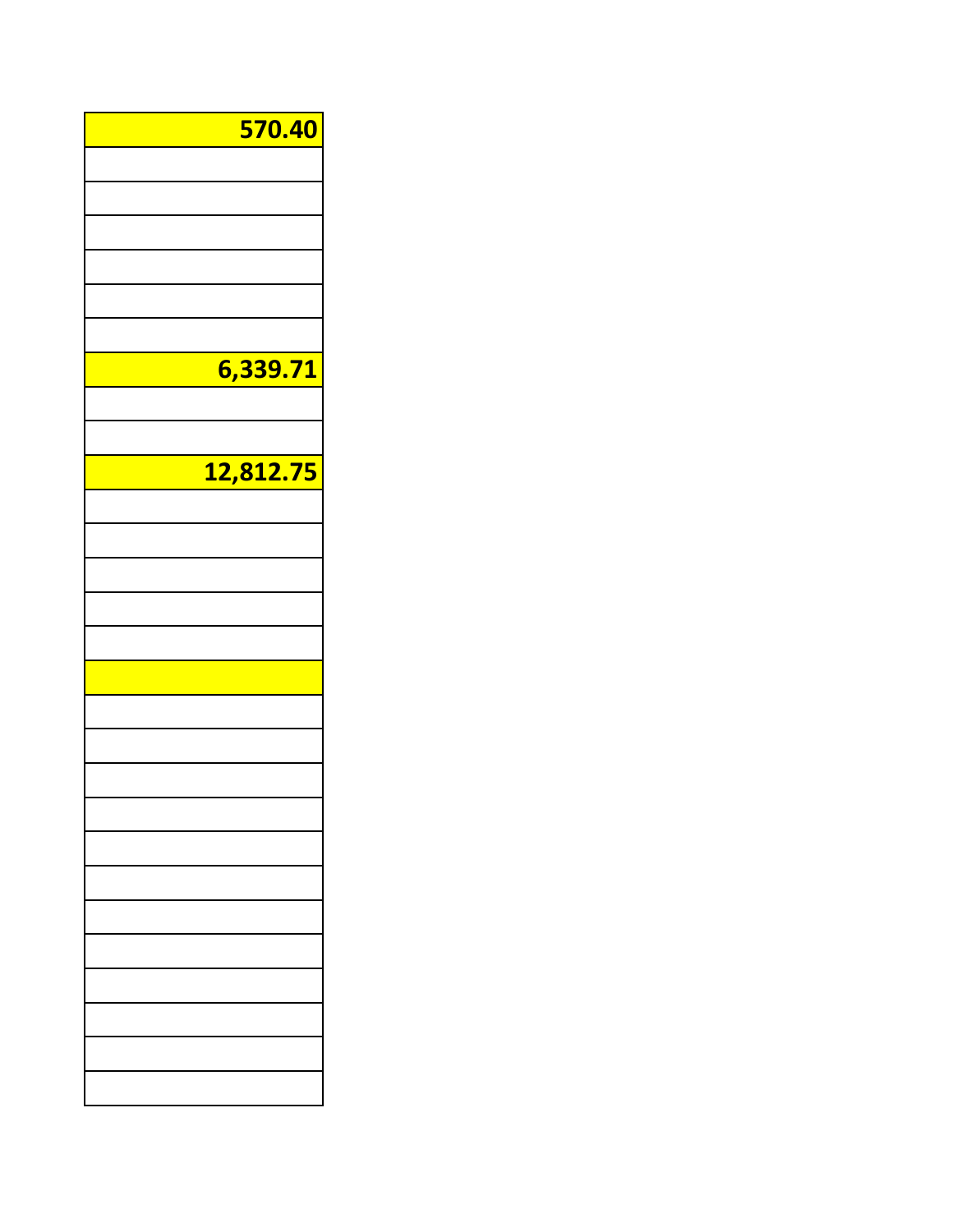| <b>570.40</b> |  |
|---------------|--|
|               |  |
|               |  |
|               |  |
|               |  |
|               |  |
|               |  |
|               |  |
| 6,339.71      |  |
|               |  |
|               |  |
|               |  |
| 12,812.75     |  |
|               |  |
|               |  |
|               |  |
|               |  |
|               |  |
|               |  |
|               |  |
|               |  |
|               |  |
|               |  |
|               |  |
|               |  |
|               |  |
|               |  |
|               |  |
|               |  |
|               |  |
|               |  |
|               |  |
|               |  |
|               |  |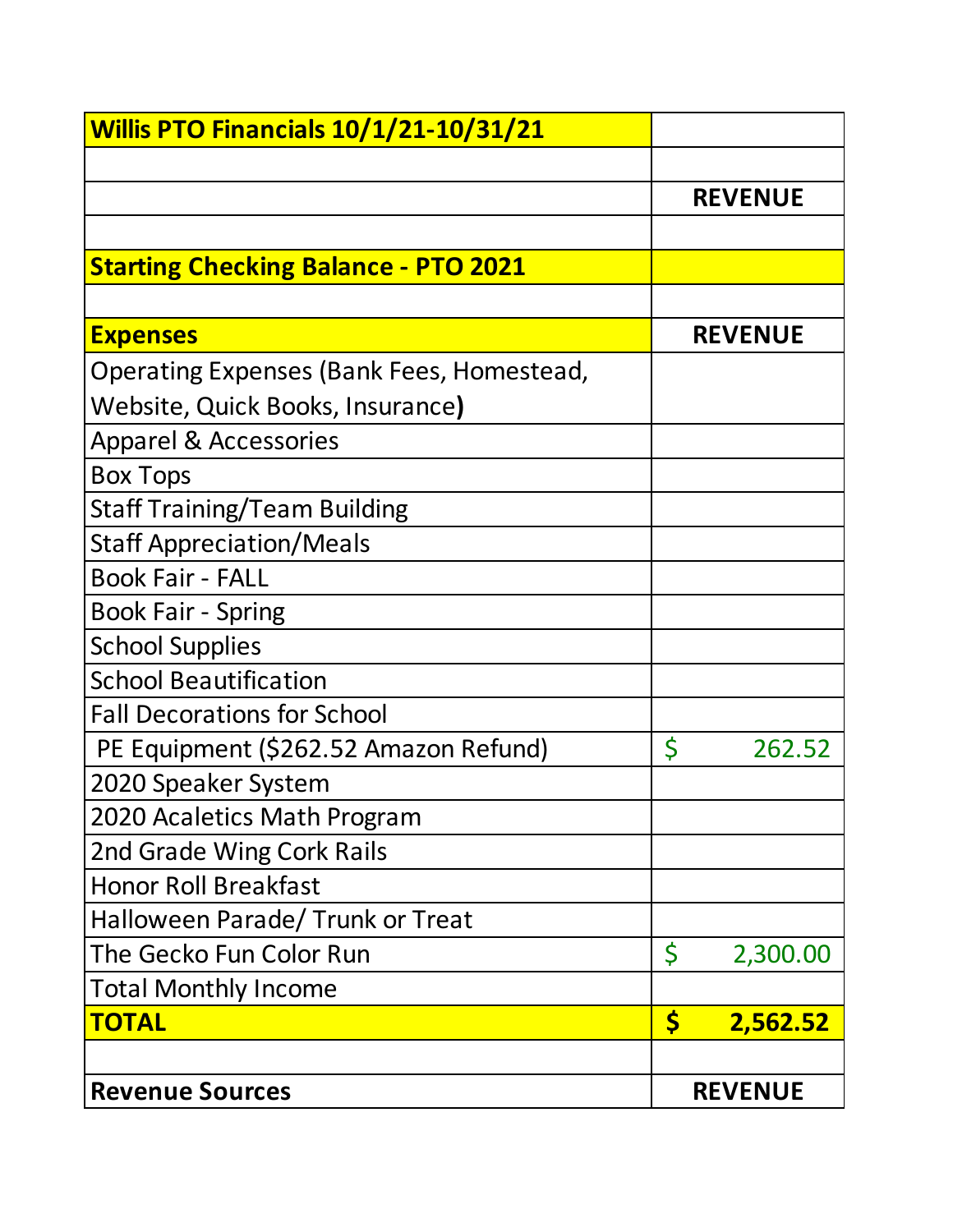| <b>Willis PTO Financials 10/1/21-10/31/21</b> |                |
|-----------------------------------------------|----------------|
|                                               |                |
|                                               | <b>REVENUE</b> |
|                                               |                |
| <b>Starting Checking Balance - PTO 2021</b>   |                |
|                                               |                |
| <b>Expenses</b>                               | <b>REVENUE</b> |
| Operating Expenses (Bank Fees, Homestead,     |                |
| Website, Quick Books, Insurance)              |                |
| <b>Apparel &amp; Accessories</b>              |                |
| <b>Box Tops</b>                               |                |
| <b>Staff Training/Team Building</b>           |                |
| <b>Staff Appreciation/Meals</b>               |                |
| <b>Book Fair - FALL</b>                       |                |
| <b>Book Fair - Spring</b>                     |                |
| <b>School Supplies</b>                        |                |
| <b>School Beautification</b>                  |                |
| <b>Fall Decorations for School</b>            |                |
| PE Equipment (\$262.52 Amazon Refund)         | \$<br>262.52   |
| 2020 Speaker System                           |                |
| 2020 Acaletics Math Program                   |                |
| 2nd Grade Wing Cork Rails                     |                |
| <b>Honor Roll Breakfast</b>                   |                |
| Halloween Parade/ Trunk or Treat              |                |
| The Gecko Fun Color Run                       | \$<br>2,300.00 |
| <b>Total Monthly Income</b>                   |                |
| <b>TOTAL</b>                                  | \$<br>2,562.52 |
|                                               |                |
| <b>Revenue Sources</b>                        | <b>REVENUE</b> |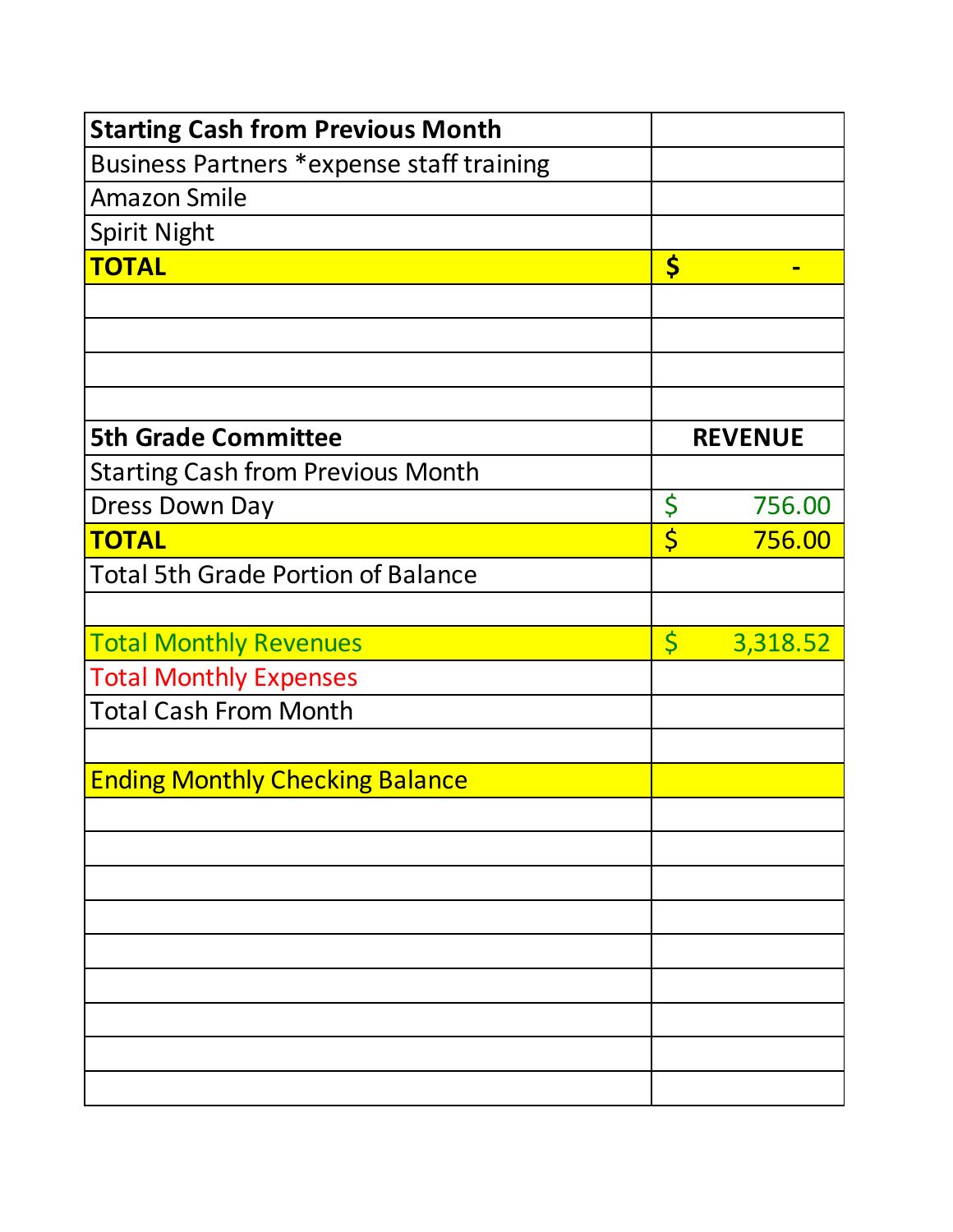| <b>Starting Cash from Previous Month</b>  |         |                |
|-------------------------------------------|---------|----------------|
| Business Partners *expense staff training |         |                |
| <b>Amazon Smile</b>                       |         |                |
| <b>Spirit Night</b>                       |         |                |
| <b>TOTAL</b>                              | \$      |                |
|                                           |         |                |
|                                           |         |                |
|                                           |         |                |
|                                           |         |                |
| <b>5th Grade Committee</b>                |         | <b>REVENUE</b> |
| <b>Starting Cash from Previous Month</b>  |         |                |
| <b>Dress Down Day</b>                     | \$      | 756.00         |
| <b>TOTAL</b>                              | \$      | 756.00         |
| <b>Total 5th Grade Portion of Balance</b> |         |                |
|                                           |         |                |
| <b>Total Monthly Revenues</b>             | $\zeta$ | 3,318.52       |
| <b>Total Monthly Expenses</b>             |         |                |
| <b>Total Cash From Month</b>              |         |                |
|                                           |         |                |
| <b>Ending Monthly Checking Balance</b>    |         |                |
|                                           |         |                |
|                                           |         |                |
|                                           |         |                |
|                                           |         |                |
|                                           |         |                |
|                                           |         |                |
|                                           |         |                |
|                                           |         |                |
|                                           |         |                |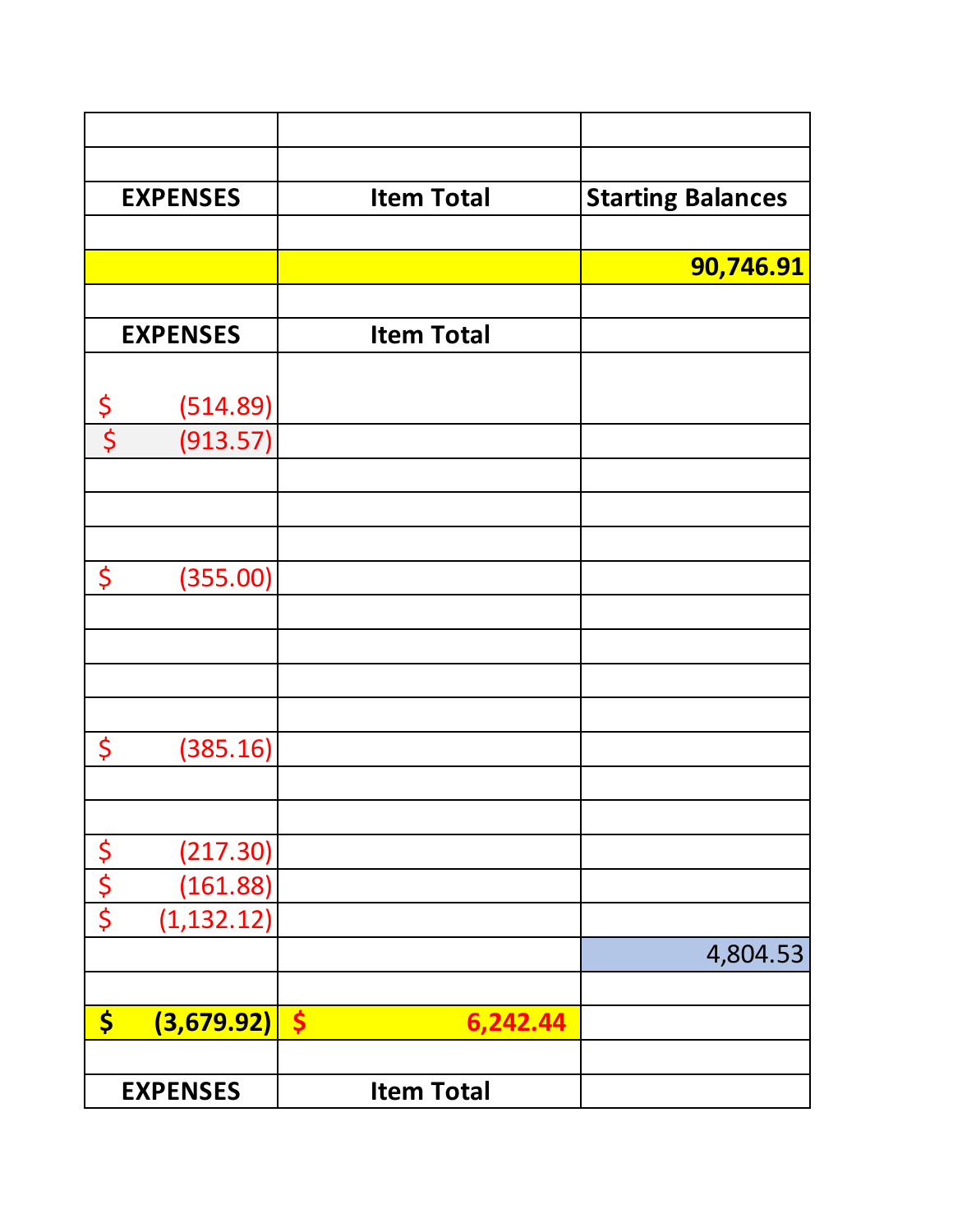|                                 | <b>EXPENSES</b> | <b>Item Total</b>                | <b>Starting Balances</b> |
|---------------------------------|-----------------|----------------------------------|--------------------------|
|                                 |                 |                                  |                          |
|                                 |                 |                                  | 90,746.91                |
|                                 |                 |                                  |                          |
|                                 | <b>EXPENSES</b> | <b>Item Total</b>                |                          |
|                                 |                 |                                  |                          |
| $\boldsymbol{\zeta}$            | (514.89)        |                                  |                          |
| $\overline{\boldsymbol{\zeta}}$ | (913.57)        |                                  |                          |
|                                 |                 |                                  |                          |
|                                 |                 |                                  |                          |
|                                 |                 |                                  |                          |
| \$                              | (355.00)        |                                  |                          |
|                                 |                 |                                  |                          |
|                                 |                 |                                  |                          |
|                                 |                 |                                  |                          |
|                                 |                 |                                  |                          |
| \$                              | (385.16)        |                                  |                          |
|                                 |                 |                                  |                          |
|                                 | (217.30)        |                                  |                          |
|                                 | (161.88)        |                                  |                          |
| <b>S<br/>S<br/>S<br/>S</b>      | (1, 132.12)     |                                  |                          |
|                                 |                 |                                  | 4,804.53                 |
|                                 |                 |                                  |                          |
| \$                              | (3,679.92)      | $\boldsymbol{\zeta}$<br>6,242.44 |                          |
|                                 |                 |                                  |                          |
|                                 | <b>EXPENSES</b> | <b>Item Total</b>                |                          |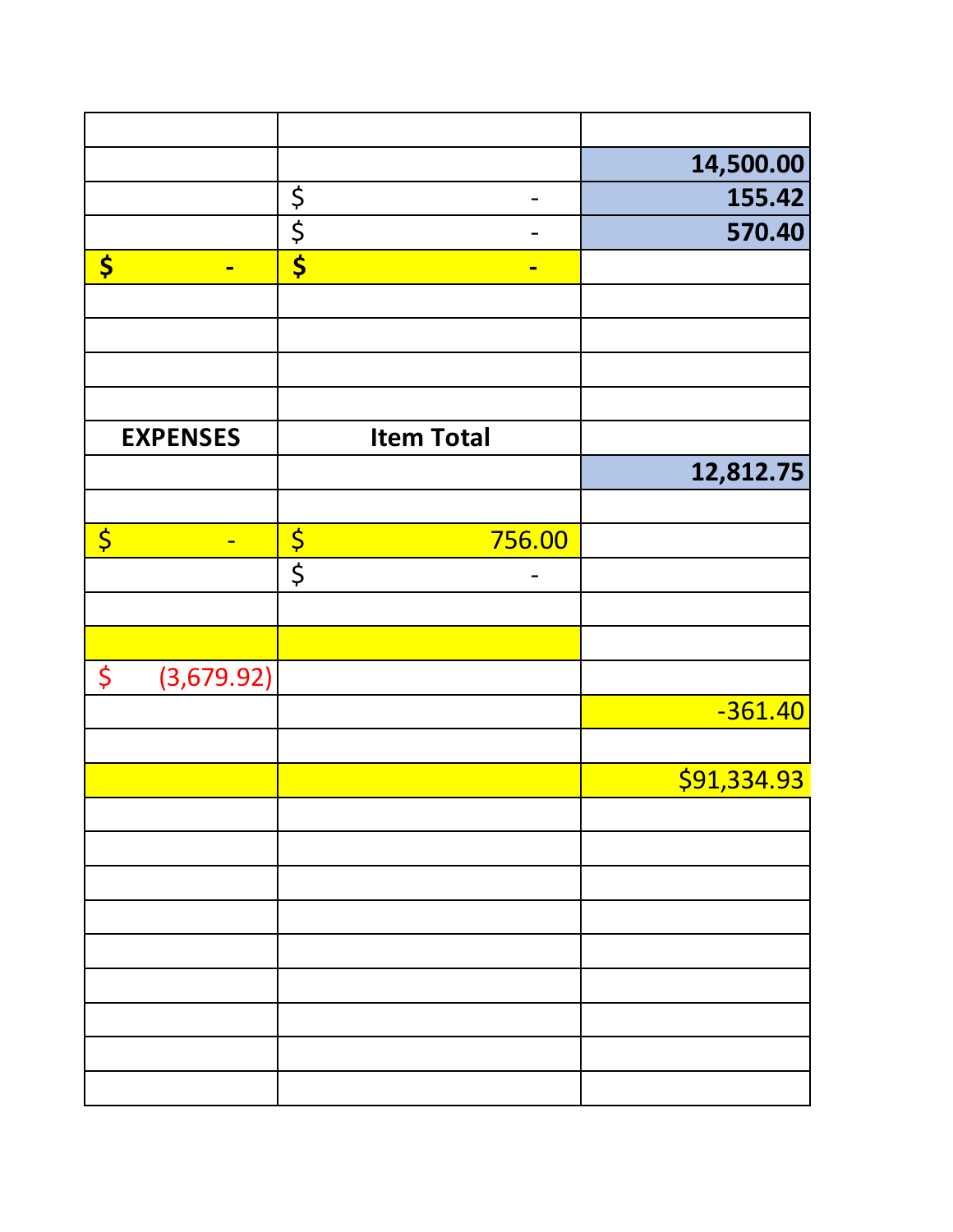|                        |                 |                   | 14,500.00   |
|------------------------|-----------------|-------------------|-------------|
|                        |                 | $\frac{1}{2}$     | 155.42      |
|                        |                 | $rac{5}{5}$       | 570.40      |
| \$                     | $\blacksquare$  | $\blacksquare$    |             |
|                        |                 |                   |             |
|                        |                 |                   |             |
|                        |                 |                   |             |
|                        |                 |                   |             |
|                        | <b>EXPENSES</b> | <b>Item Total</b> |             |
|                        |                 |                   | 12,812.75   |
|                        |                 |                   |             |
| $\overline{\varsigma}$ | $\blacksquare$  | 756.00            |             |
|                        |                 | $rac{5}{5}$       |             |
|                        |                 |                   |             |
|                        |                 |                   |             |
| \$                     | (3,679.92)      |                   |             |
|                        |                 |                   | $-361.40$   |
|                        |                 |                   |             |
|                        |                 |                   | \$91,334.93 |
|                        |                 |                   |             |
|                        |                 |                   |             |
|                        |                 |                   |             |
|                        |                 |                   |             |
|                        |                 |                   |             |
|                        |                 |                   |             |
|                        |                 |                   |             |
|                        |                 |                   |             |
|                        |                 |                   |             |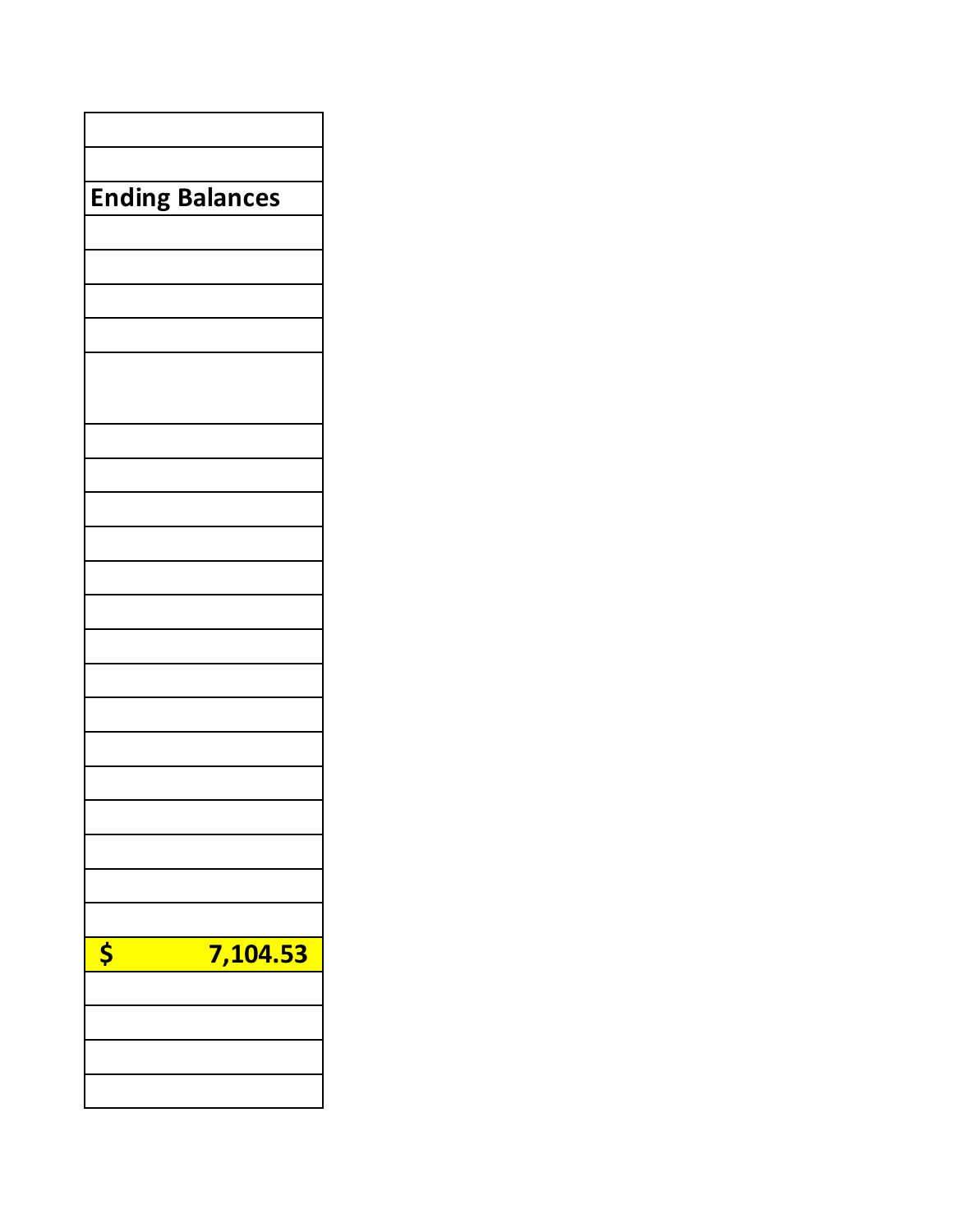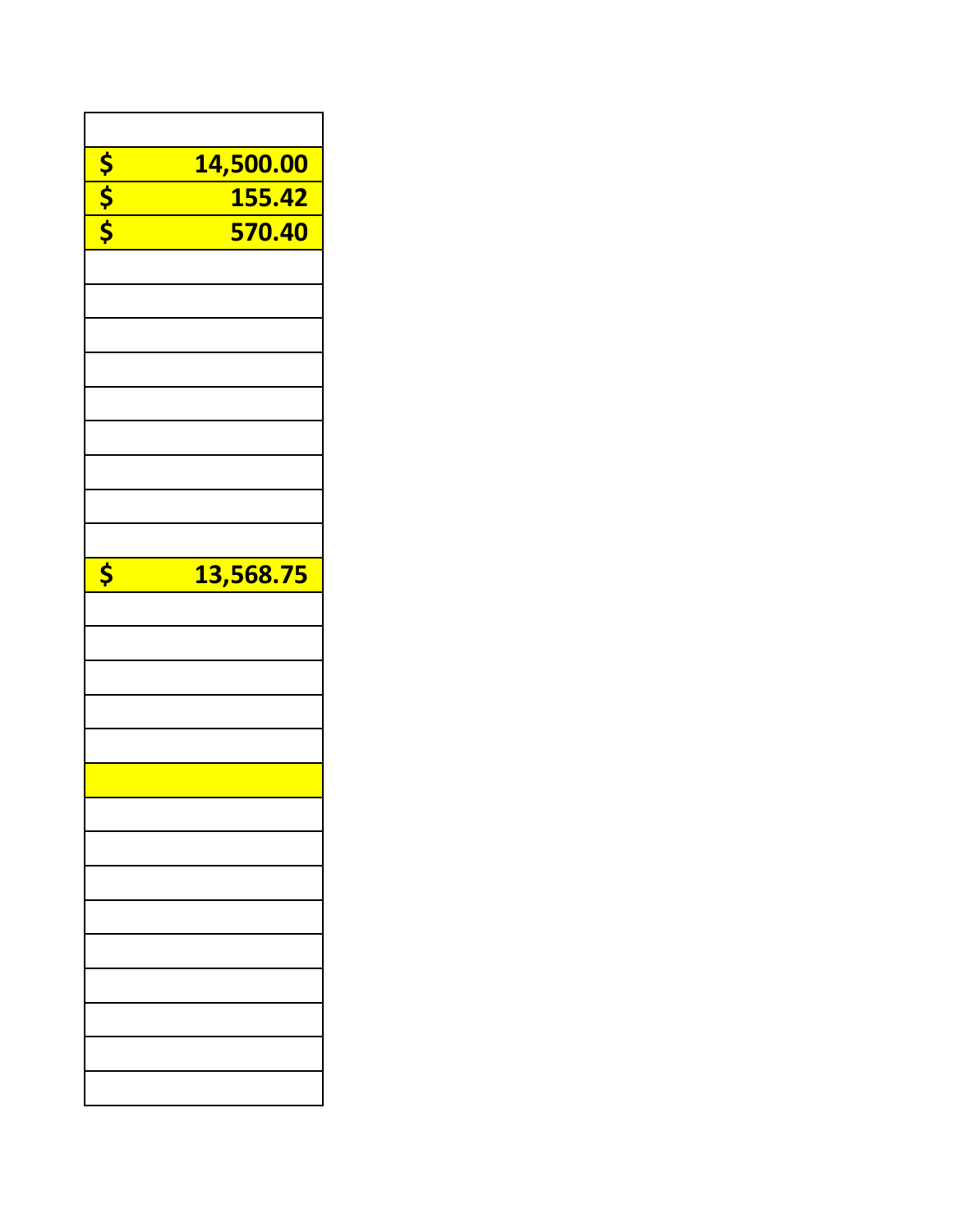|                                      | 14,500.00 |
|--------------------------------------|-----------|
|                                      |           |
| <mark>ऽ ।</mark><br><mark>२ ०</mark> | 155.42    |
|                                      | 570.40    |
|                                      |           |
|                                      |           |
|                                      |           |
|                                      |           |
|                                      |           |
|                                      |           |
|                                      |           |
|                                      |           |
|                                      |           |
|                                      |           |
|                                      |           |
|                                      |           |
| \$                                   | 13,568.75 |
|                                      |           |
|                                      |           |
|                                      |           |
|                                      |           |
|                                      |           |
|                                      |           |
|                                      |           |
|                                      |           |
|                                      |           |
|                                      |           |
|                                      |           |
|                                      |           |
|                                      |           |
|                                      |           |
|                                      |           |
|                                      |           |
|                                      |           |
|                                      |           |
|                                      |           |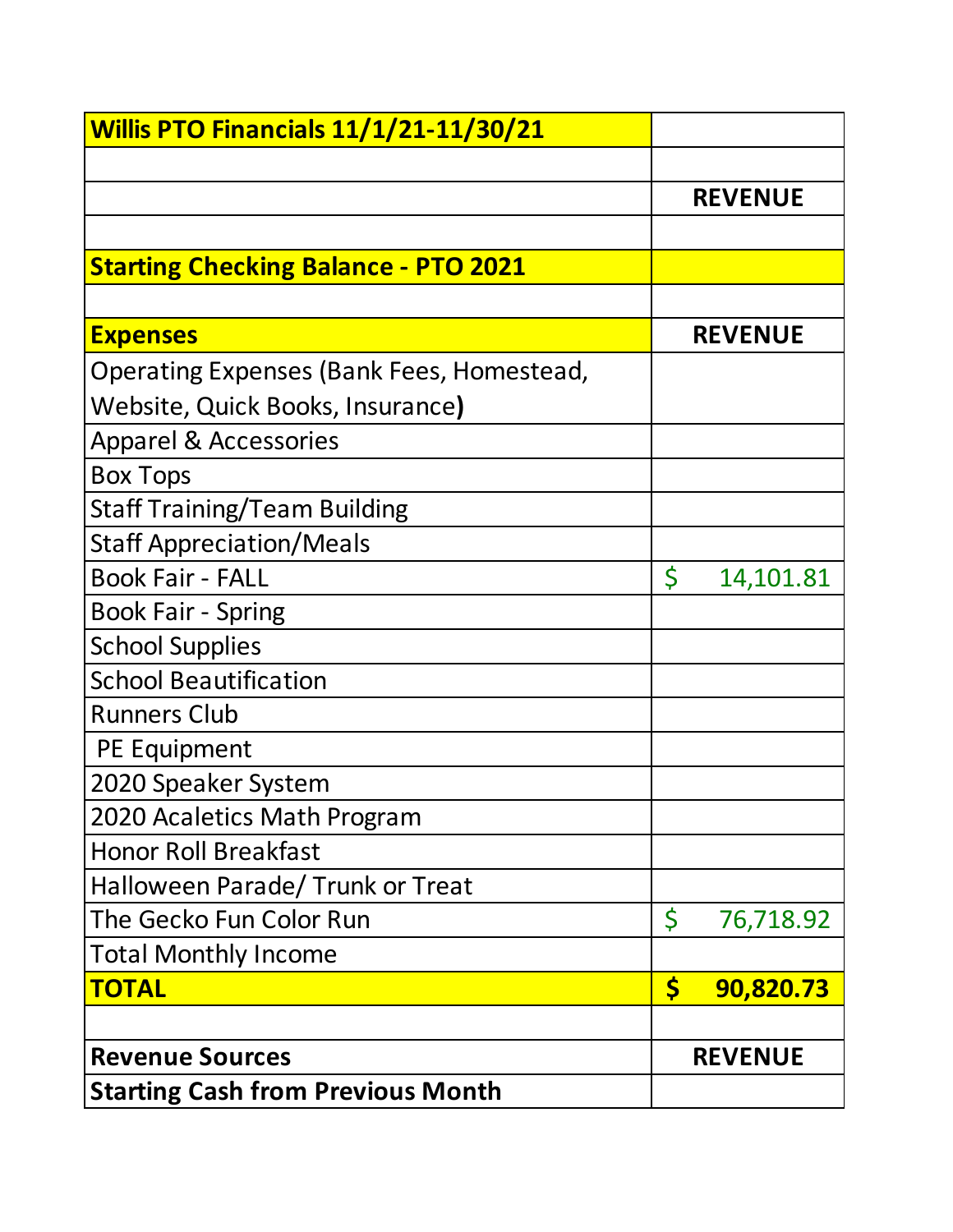| <b>Willis PTO Financials 11/1/21-11/30/21</b> |                 |
|-----------------------------------------------|-----------------|
|                                               |                 |
|                                               | <b>REVENUE</b>  |
|                                               |                 |
| <b>Starting Checking Balance - PTO 2021</b>   |                 |
|                                               |                 |
| <b>Expenses</b>                               | <b>REVENUE</b>  |
| Operating Expenses (Bank Fees, Homestead,     |                 |
| Website, Quick Books, Insurance)              |                 |
| <b>Apparel &amp; Accessories</b>              |                 |
| <b>Box Tops</b>                               |                 |
| <b>Staff Training/Team Building</b>           |                 |
| <b>Staff Appreciation/Meals</b>               |                 |
| <b>Book Fair - FALL</b>                       | \$<br>14,101.81 |
| <b>Book Fair - Spring</b>                     |                 |
| <b>School Supplies</b>                        |                 |
| <b>School Beautification</b>                  |                 |
| <b>Runners Club</b>                           |                 |
| PE Equipment                                  |                 |
| 2020 Speaker System                           |                 |
| 2020 Acaletics Math Program                   |                 |
| <b>Honor Roll Breakfast</b>                   |                 |
| Halloween Parade/ Trunk or Treat              |                 |
| The Gecko Fun Color Run                       | \$<br>76,718.92 |
| <b>Total Monthly Income</b>                   |                 |
| <b>TOTAL</b>                                  | \$<br>90,820.73 |
|                                               |                 |
| <b>Revenue Sources</b>                        | <b>REVENUE</b>  |
| <b>Starting Cash from Previous Month</b>      |                 |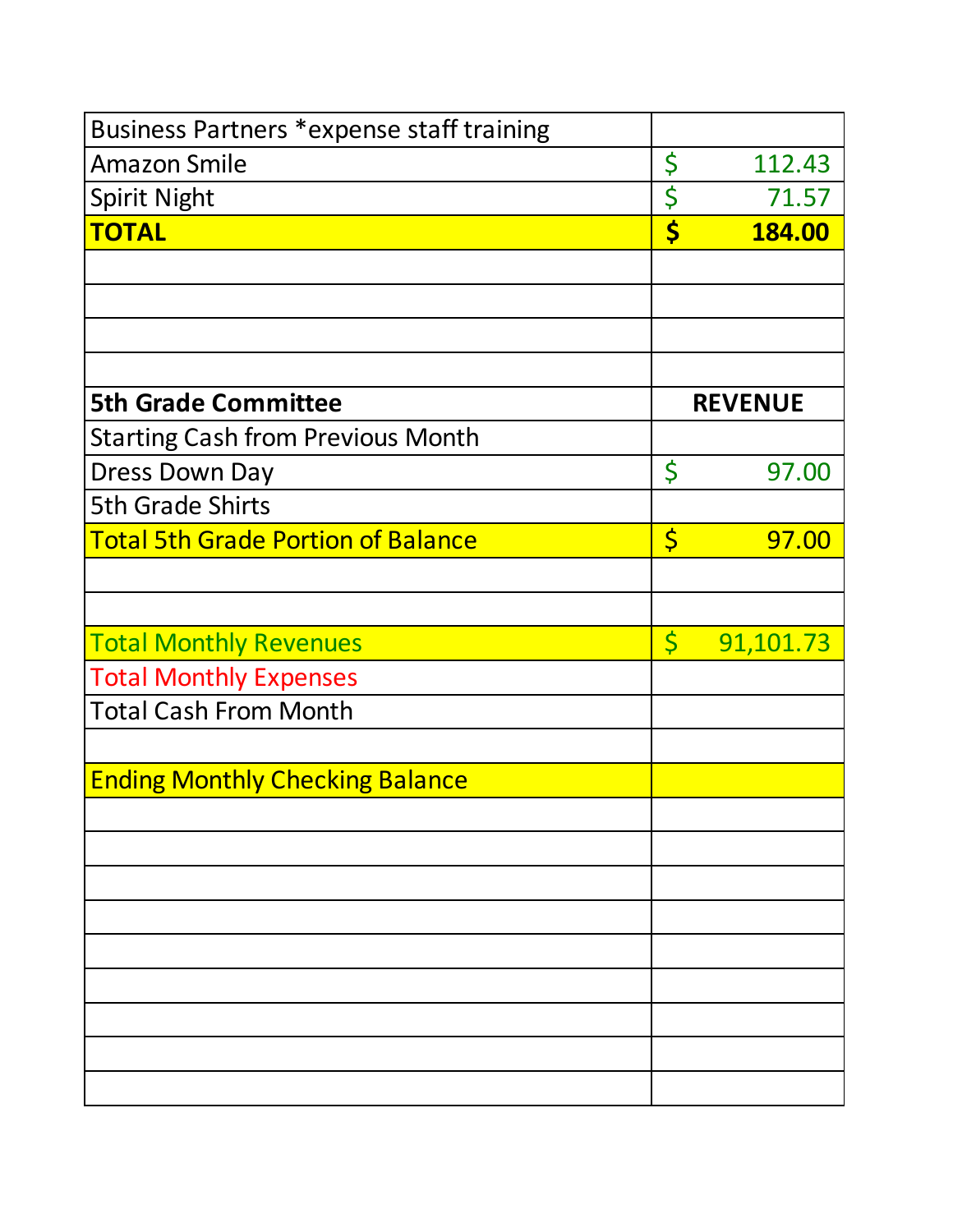| Business Partners *expense staff training |                         |                |
|-------------------------------------------|-------------------------|----------------|
| <b>Amazon Smile</b>                       | \$                      | 112.43         |
| <b>Spirit Night</b>                       | \$                      | 71.57          |
| <b>TOTAL</b>                              | \$                      | 184.00         |
|                                           |                         |                |
|                                           |                         |                |
|                                           |                         |                |
|                                           |                         |                |
| <b>5th Grade Committee</b>                |                         | <b>REVENUE</b> |
| <b>Starting Cash from Previous Month</b>  |                         |                |
| <b>Dress Down Day</b>                     | \$                      | 97.00          |
| <b>5th Grade Shirts</b>                   |                         |                |
| <b>Total 5th Grade Portion of Balance</b> | $\varsigma$             | 97.00          |
|                                           |                         |                |
|                                           |                         |                |
| <b>Total Monthly Revenues</b>             | $\overline{\mathsf{S}}$ | 91,101.73      |
| <b>Total Monthly Expenses</b>             |                         |                |
| <b>Total Cash From Month</b>              |                         |                |
|                                           |                         |                |
| <b>Ending Monthly Checking Balance</b>    |                         |                |
|                                           |                         |                |
|                                           |                         |                |
|                                           |                         |                |
|                                           |                         |                |
|                                           |                         |                |
|                                           |                         |                |
|                                           |                         |                |
|                                           |                         |                |
|                                           |                         |                |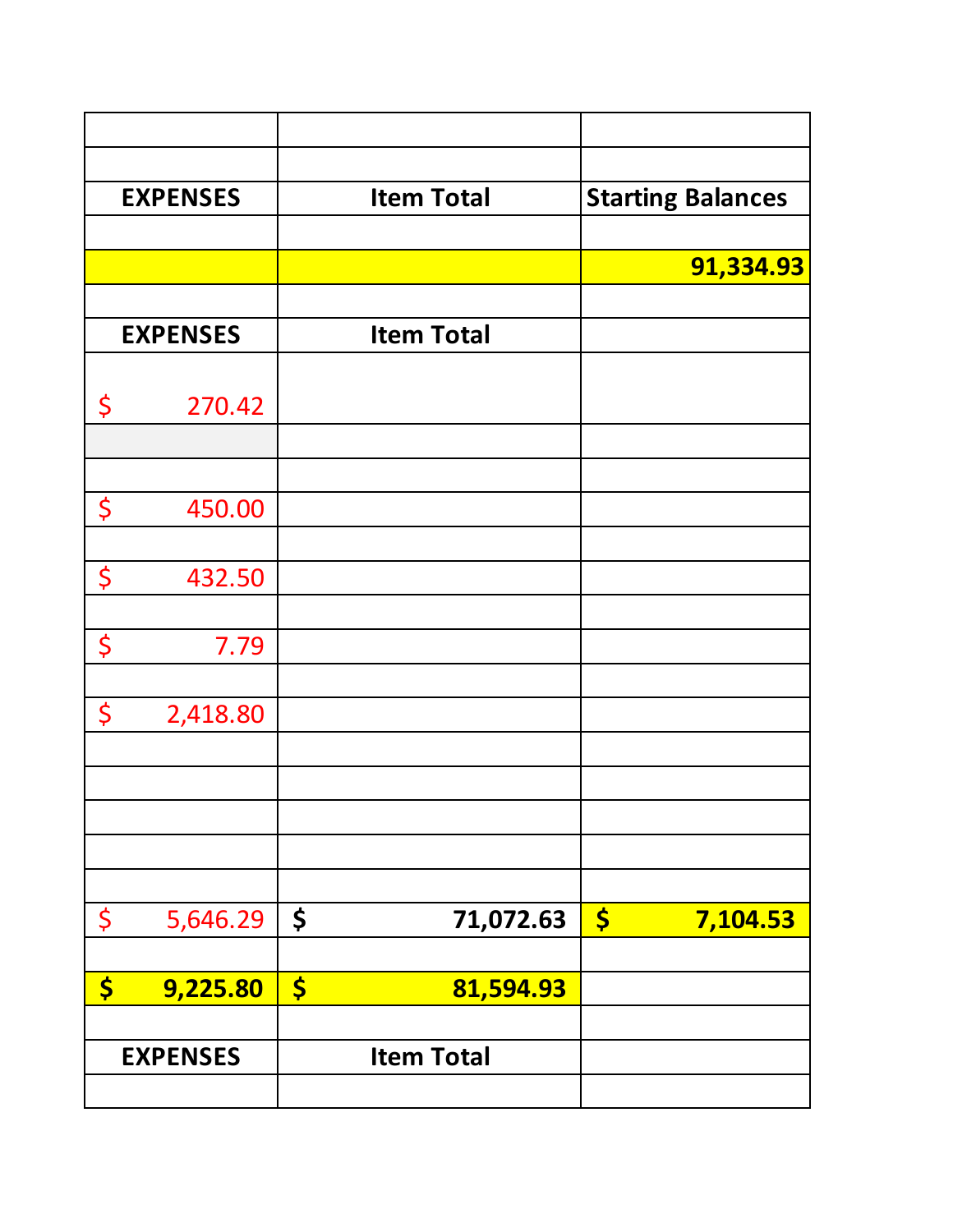|                      | <b>EXPENSES</b> | <b>Item Total</b>    |           | <b>Starting Balances</b> |  |
|----------------------|-----------------|----------------------|-----------|--------------------------|--|
|                      |                 |                      |           |                          |  |
|                      |                 |                      |           | 91,334.93                |  |
|                      | <b>EXPENSES</b> | <b>Item Total</b>    |           |                          |  |
|                      |                 |                      |           |                          |  |
| \$                   | 270.42          |                      |           |                          |  |
|                      |                 |                      |           |                          |  |
|                      |                 |                      |           |                          |  |
| \$                   | 450.00          |                      |           |                          |  |
|                      |                 |                      |           |                          |  |
| \$                   | 432.50          |                      |           |                          |  |
| \$                   | 7.79            |                      |           |                          |  |
|                      |                 |                      |           |                          |  |
| \$                   | 2,418.80        |                      |           |                          |  |
|                      |                 |                      |           |                          |  |
|                      |                 |                      |           |                          |  |
|                      |                 |                      |           |                          |  |
|                      |                 |                      |           |                          |  |
| \$                   | 5,646.29        | \$                   | 71,072.63 | \$<br>7,104.53           |  |
|                      |                 |                      |           |                          |  |
| $\boldsymbol{\zeta}$ | 9,225.80        | $\boldsymbol{\zeta}$ | 81,594.93 |                          |  |
|                      |                 |                      |           |                          |  |
|                      | <b>EXPENSES</b> | <b>Item Total</b>    |           |                          |  |
|                      |                 |                      |           |                          |  |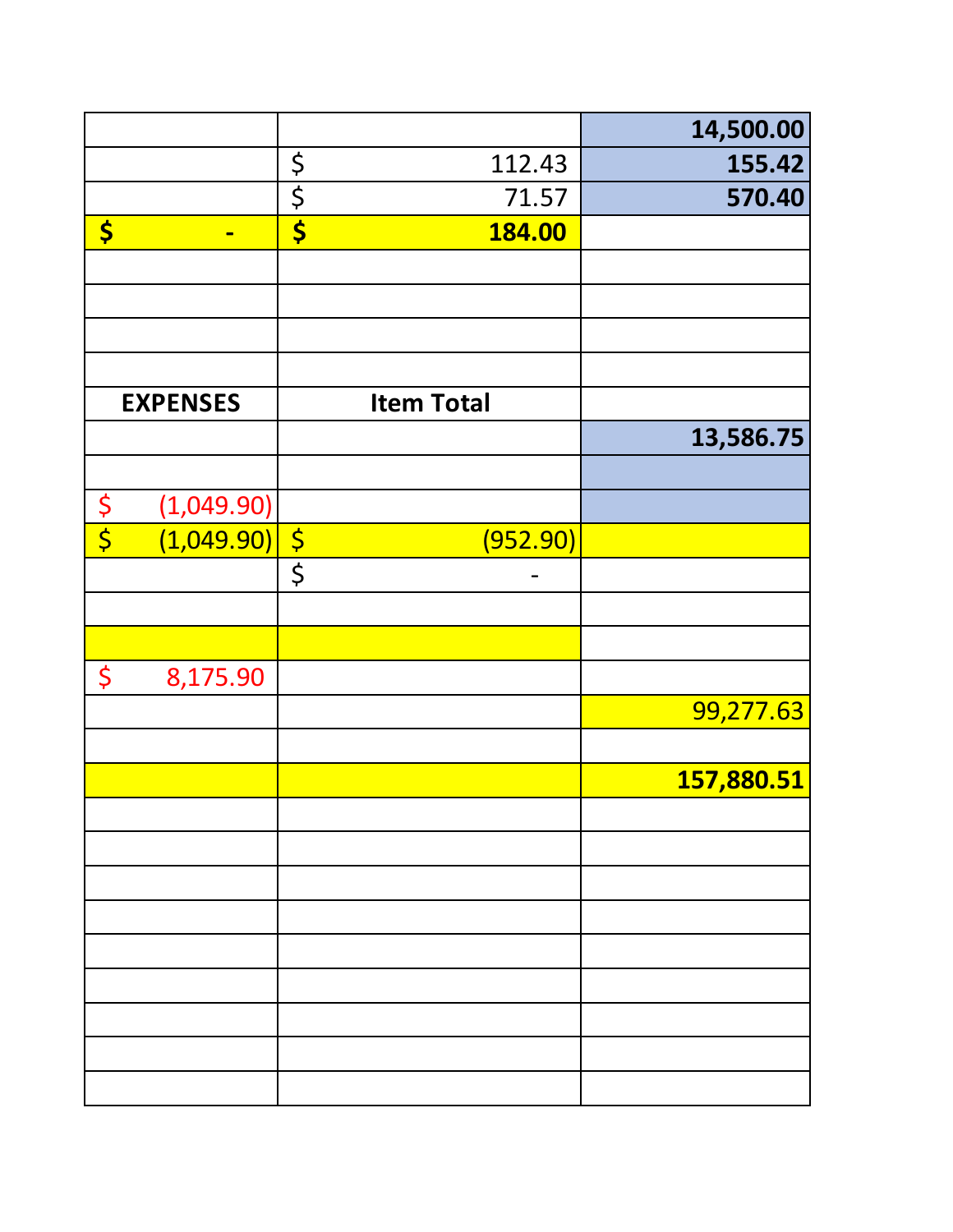|               |                 |                                 |                   | 14,500.00  |
|---------------|-----------------|---------------------------------|-------------------|------------|
|               |                 | $rac{5}{5}$                     | 112.43            | 155.42     |
|               |                 |                                 | 71.57             | 570.40     |
| \$            | $\blacksquare$  | $\overline{\boldsymbol{\zeta}}$ | 184.00            |            |
|               |                 |                                 |                   |            |
|               |                 |                                 |                   |            |
|               |                 |                                 |                   |            |
|               |                 |                                 |                   |            |
|               | <b>EXPENSES</b> |                                 | <b>Item Total</b> |            |
|               |                 |                                 |                   | 13,586.75  |
|               |                 |                                 |                   |            |
|               | (1,049.90)      |                                 |                   |            |
| $\frac{6}{5}$ | (1,049.90)      |                                 | (952.90)          |            |
|               |                 | $rac{1}{\sqrt{2}}$              |                   |            |
|               |                 |                                 |                   |            |
|               |                 |                                 |                   |            |
| \$            | 8,175.90        |                                 |                   |            |
|               |                 |                                 |                   | 99,277.63  |
|               |                 |                                 |                   |            |
|               |                 |                                 |                   | 157,880.51 |
|               |                 |                                 |                   |            |
|               |                 |                                 |                   |            |
|               |                 |                                 |                   |            |
|               |                 |                                 |                   |            |
|               |                 |                                 |                   |            |
|               |                 |                                 |                   |            |
|               |                 |                                 |                   |            |
|               |                 |                                 |                   |            |
|               |                 |                                 |                   |            |
|               |                 |                                 |                   |            |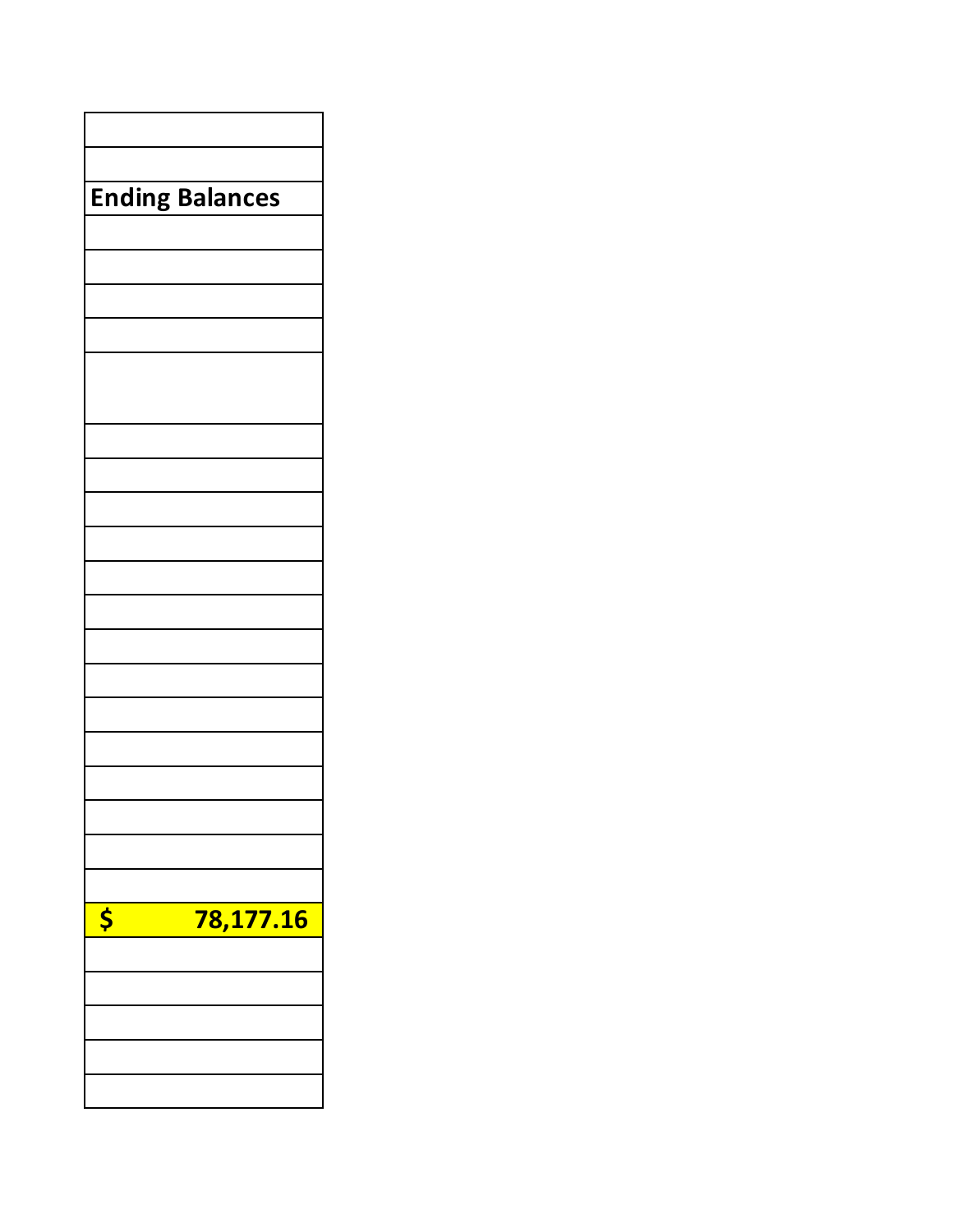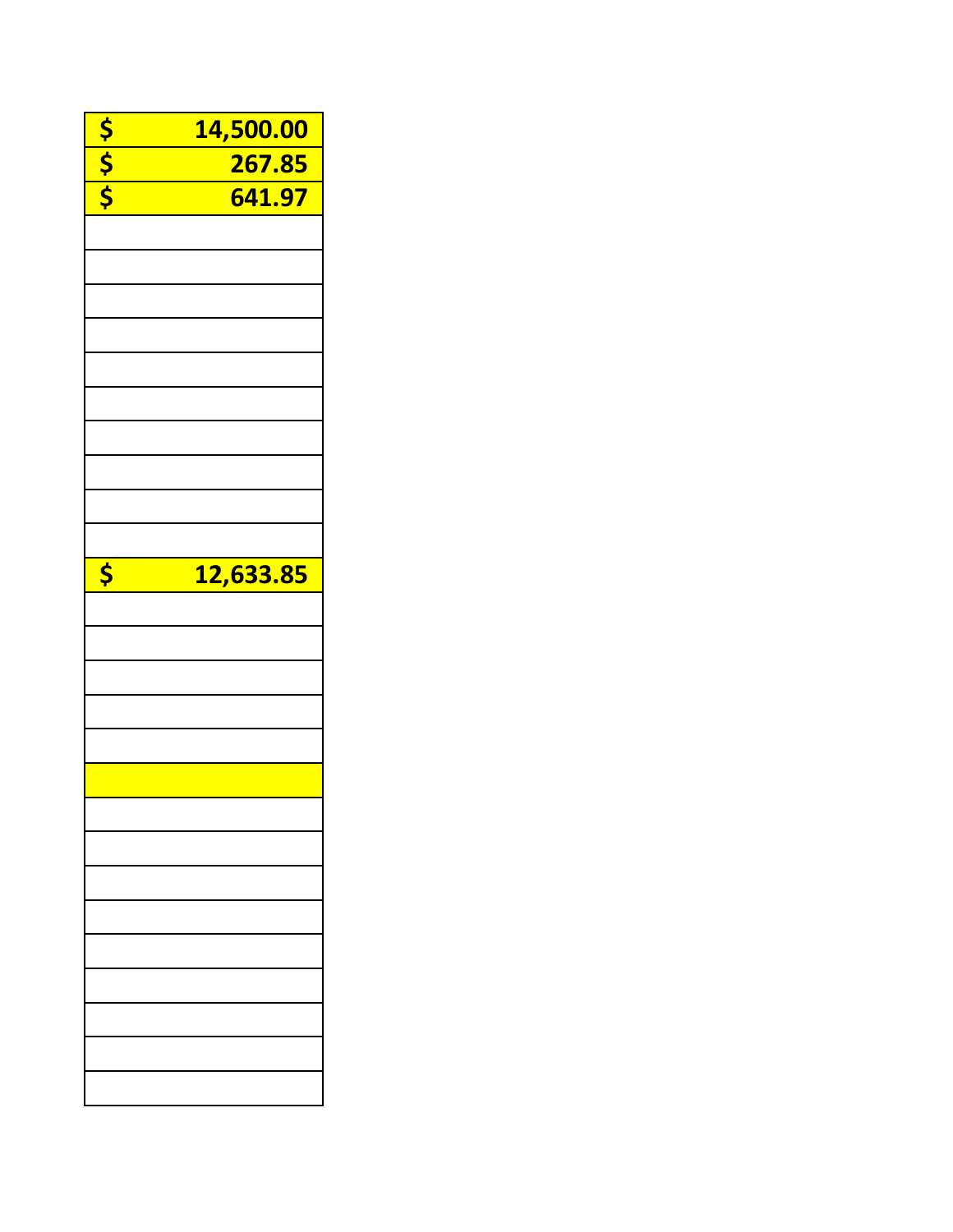|                      | 14,500.00 |
|----------------------|-----------|
| $\frac{1}{\sqrt{2}}$ | 267.85    |
|                      | 641.97    |
|                      |           |
|                      |           |
|                      |           |
|                      |           |
|                      |           |
|                      |           |
|                      |           |
|                      |           |
|                      |           |
|                      |           |
|                      |           |
|                      |           |
|                      |           |
|                      |           |
| \$                   | 12,633.85 |
|                      |           |
|                      |           |
|                      |           |
|                      |           |
|                      |           |
|                      |           |
|                      |           |
|                      |           |
|                      |           |
|                      |           |
|                      |           |
|                      |           |
|                      |           |
|                      |           |
|                      |           |
|                      |           |
|                      |           |
|                      |           |
|                      |           |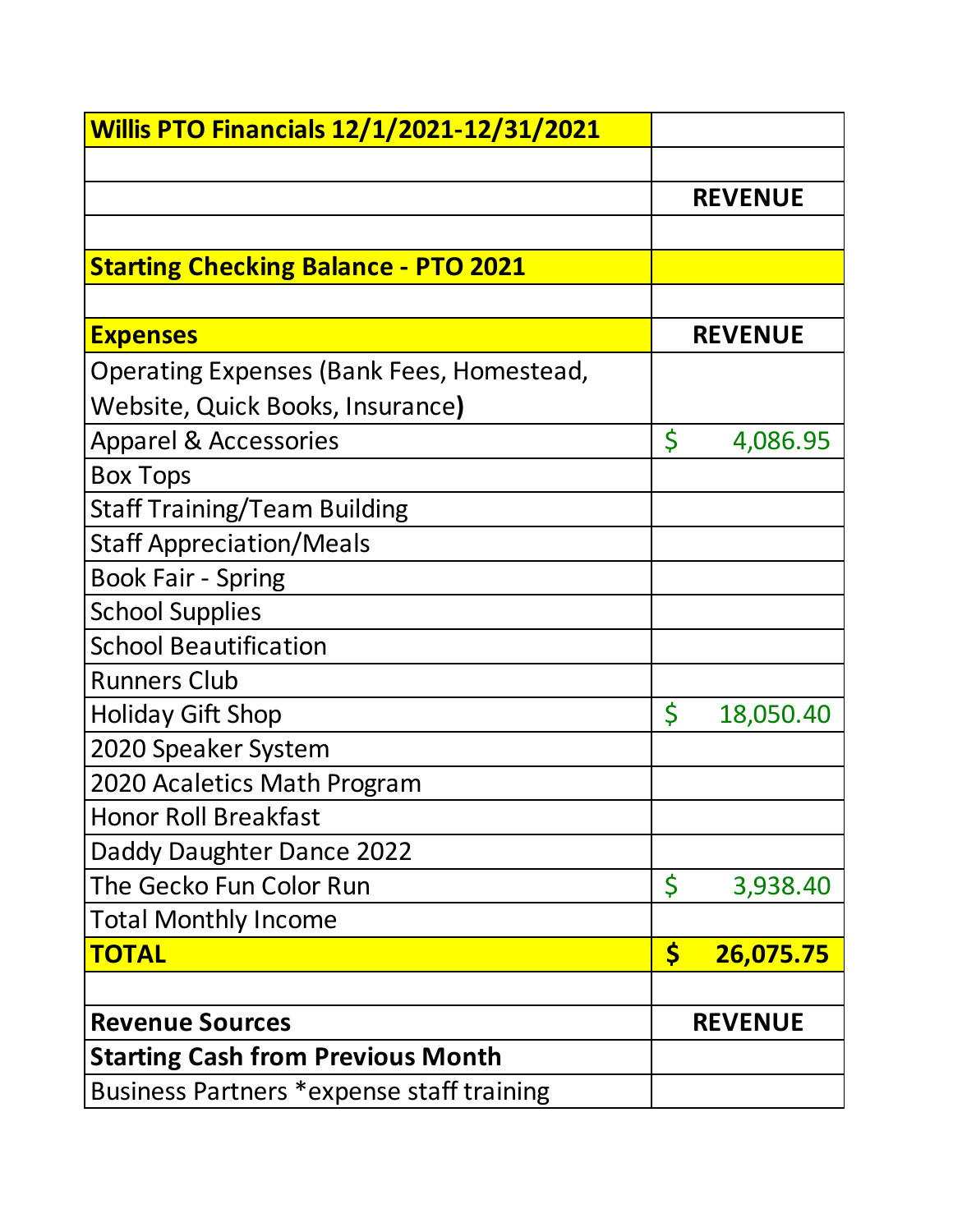| <b>Willis PTO Financials 12/1/2021-12/31/2021</b> |                      |                |
|---------------------------------------------------|----------------------|----------------|
|                                                   |                      |                |
|                                                   |                      | <b>REVENUE</b> |
|                                                   |                      |                |
| <b>Starting Checking Balance - PTO 2021</b>       |                      |                |
|                                                   |                      |                |
| <b>Expenses</b>                                   |                      | <b>REVENUE</b> |
| Operating Expenses (Bank Fees, Homestead,         |                      |                |
| Website, Quick Books, Insurance)                  |                      |                |
| <b>Apparel &amp; Accessories</b>                  | Ś                    | 4,086.95       |
| <b>Box Tops</b>                                   |                      |                |
| <b>Staff Training/Team Building</b>               |                      |                |
| <b>Staff Appreciation/Meals</b>                   |                      |                |
| <b>Book Fair - Spring</b>                         |                      |                |
| <b>School Supplies</b>                            |                      |                |
| <b>School Beautification</b>                      |                      |                |
| <b>Runners Club</b>                               |                      |                |
| <b>Holiday Gift Shop</b>                          | \$                   | 18,050.40      |
| 2020 Speaker System                               |                      |                |
| 2020 Acaletics Math Program                       |                      |                |
| <b>Honor Roll Breakfast</b>                       |                      |                |
| Daddy Daughter Dance 2022                         |                      |                |
| The Gecko Fun Color Run                           | \$                   | 3,938.40       |
| <b>Total Monthly Income</b>                       |                      |                |
| <b>TOTAL</b>                                      | $\boldsymbol{\zeta}$ | 26,075.75      |
|                                                   |                      |                |
| <b>Revenue Sources</b>                            |                      | <b>REVENUE</b> |
| <b>Starting Cash from Previous Month</b>          |                      |                |
| Business Partners *expense staff training         |                      |                |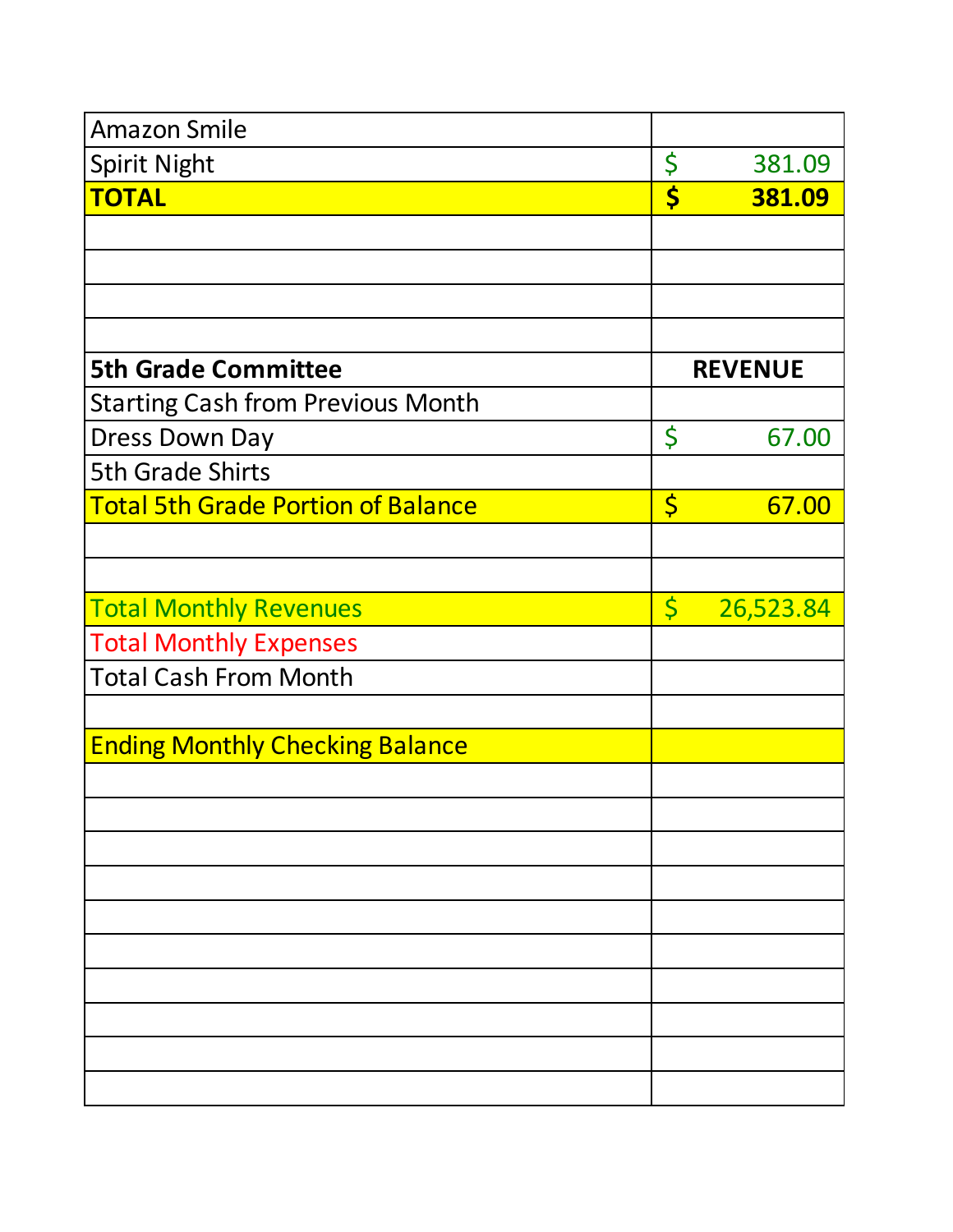| <b>Amazon Smile</b>                       |                         |           |
|-------------------------------------------|-------------------------|-----------|
| <b>Spirit Night</b>                       | \$                      | 381.09    |
| <b>TOTAL</b>                              | \$                      | 381.09    |
|                                           |                         |           |
|                                           |                         |           |
|                                           |                         |           |
|                                           |                         |           |
| <b>5th Grade Committee</b>                | <b>REVENUE</b>          |           |
| <b>Starting Cash from Previous Month</b>  |                         |           |
| <b>Dress Down Day</b>                     | \$                      | 67.00     |
| <b>5th Grade Shirts</b>                   |                         |           |
| <b>Total 5th Grade Portion of Balance</b> | $\varsigma$             | 67.00     |
|                                           |                         |           |
|                                           |                         |           |
| <b>Total Monthly Revenues</b>             | $\overline{\mathsf{S}}$ | 26,523.84 |
| <b>Total Monthly Expenses</b>             |                         |           |
| <b>Total Cash From Month</b>              |                         |           |
|                                           |                         |           |
| <b>Ending Monthly Checking Balance</b>    |                         |           |
|                                           |                         |           |
|                                           |                         |           |
|                                           |                         |           |
|                                           |                         |           |
|                                           |                         |           |
|                                           |                         |           |
|                                           |                         |           |
|                                           |                         |           |
|                                           |                         |           |
|                                           |                         |           |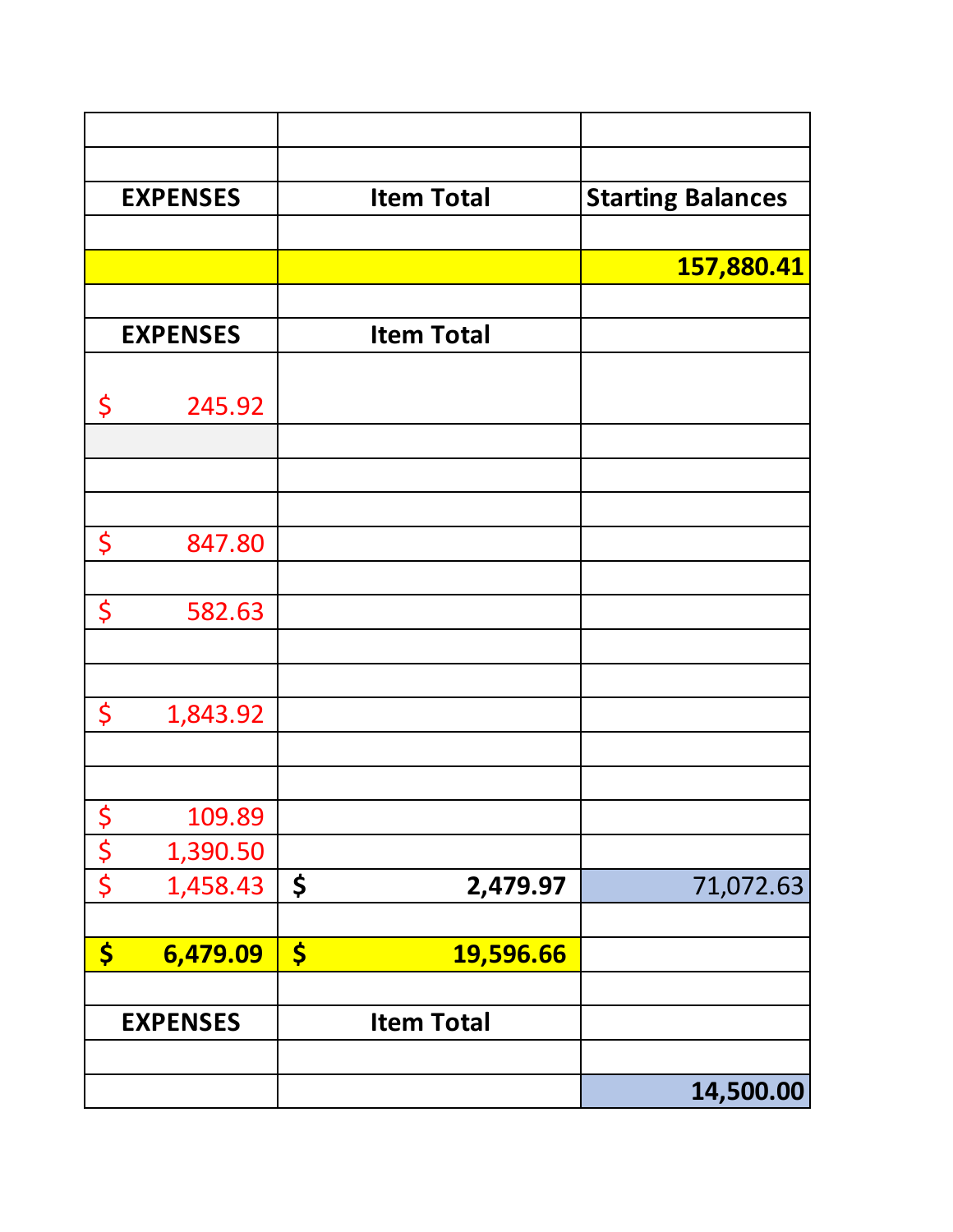|               | <b>EXPENSES</b> |                      | <b>Item Total</b> | <b>Starting Balances</b> |
|---------------|-----------------|----------------------|-------------------|--------------------------|
|               |                 |                      |                   |                          |
|               |                 |                      |                   | 157,880.41               |
|               | <b>EXPENSES</b> |                      | <b>Item Total</b> |                          |
|               |                 |                      |                   |                          |
| \$            | 245.92          |                      |                   |                          |
|               |                 |                      |                   |                          |
|               |                 |                      |                   |                          |
|               |                 |                      |                   |                          |
| \$            | 847.80          |                      |                   |                          |
|               |                 |                      |                   |                          |
| \$            | 582.63          |                      |                   |                          |
|               |                 |                      |                   |                          |
| \$            | 1,843.92        |                      |                   |                          |
|               |                 |                      |                   |                          |
|               |                 |                      |                   |                          |
| $\frac{1}{2}$ | 109.89          |                      |                   |                          |
| $rac{5}{5}$   | 1,390.50        |                      |                   |                          |
|               | 1,458.43        | \$                   | 2,479.97          | 71,072.63                |
|               |                 |                      |                   |                          |
| \$            | 6,479.09        | $\boldsymbol{\zeta}$ | 19,596.66         |                          |
|               |                 |                      |                   |                          |
|               | <b>EXPENSES</b> |                      | <b>Item Total</b> |                          |
|               |                 |                      |                   |                          |
|               |                 |                      |                   | 14,500.00                |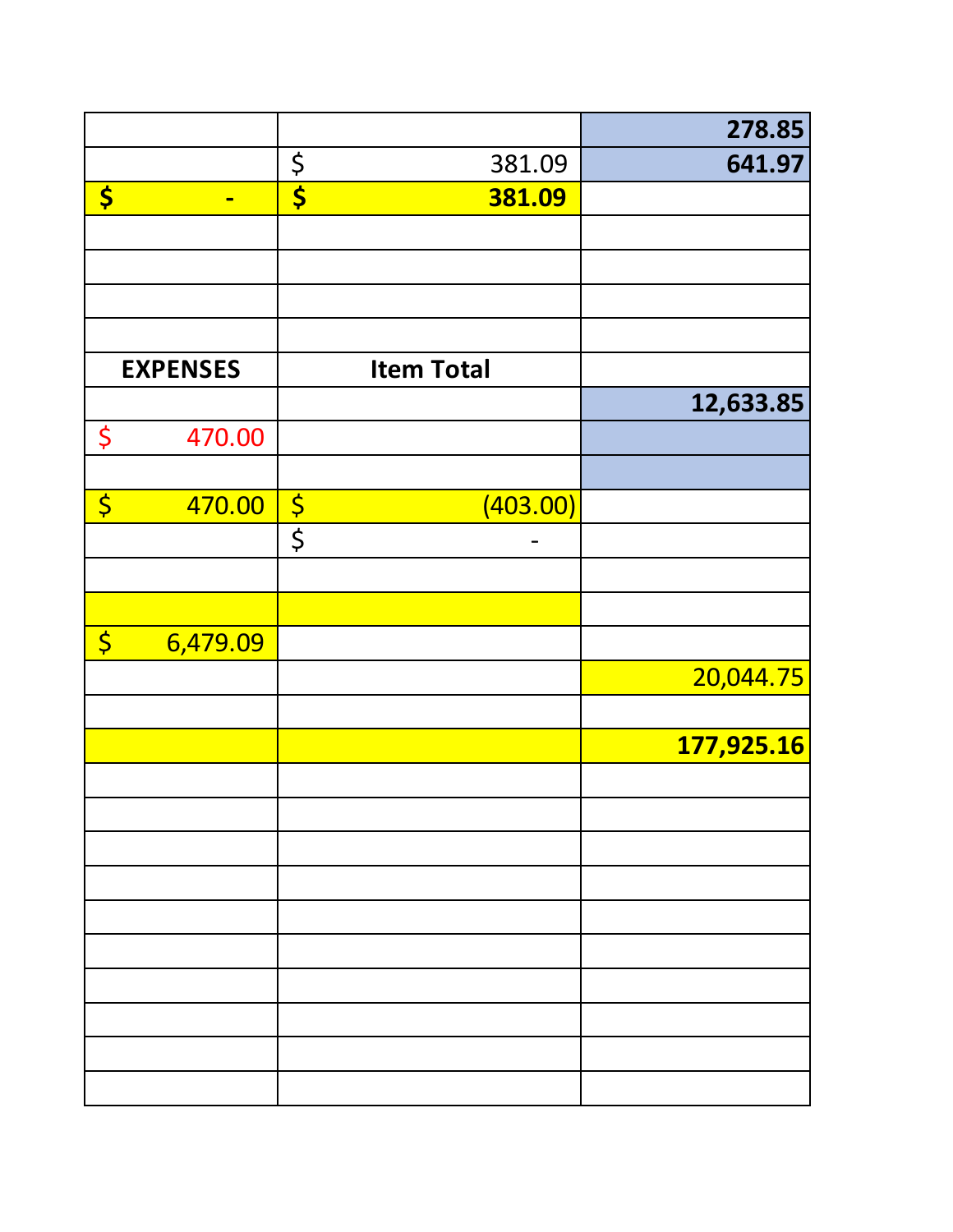|                        |                 |                                 |                   | 278.85     |
|------------------------|-----------------|---------------------------------|-------------------|------------|
|                        |                 | $\boldsymbol{\zeta}$            | 381.09            | 641.97     |
| \$                     | $\blacksquare$  | $\overline{\boldsymbol{\zeta}}$ | 381.09            |            |
|                        |                 |                                 |                   |            |
|                        |                 |                                 |                   |            |
|                        |                 |                                 |                   |            |
|                        |                 |                                 |                   |            |
|                        | <b>EXPENSES</b> |                                 | <b>Item Total</b> |            |
|                        |                 |                                 |                   | 12,633.85  |
| \$                     | 470.00          |                                 |                   |            |
|                        |                 |                                 |                   |            |
| \$                     | 470.00          | $rac{1}{\sqrt{2}}$              | (403.00)          |            |
|                        |                 |                                 |                   |            |
|                        |                 |                                 |                   |            |
|                        |                 |                                 |                   |            |
| $\overline{\varsigma}$ | 6,479.09        |                                 |                   |            |
|                        |                 |                                 |                   | 20,044.75  |
|                        |                 |                                 |                   |            |
|                        |                 |                                 |                   | 177,925.16 |
|                        |                 |                                 |                   |            |
|                        |                 |                                 |                   |            |
|                        |                 |                                 |                   |            |
|                        |                 |                                 |                   |            |
|                        |                 |                                 |                   |            |
|                        |                 |                                 |                   |            |
|                        |                 |                                 |                   |            |
|                        |                 |                                 |                   |            |
|                        |                 |                                 |                   |            |
|                        |                 |                                 |                   |            |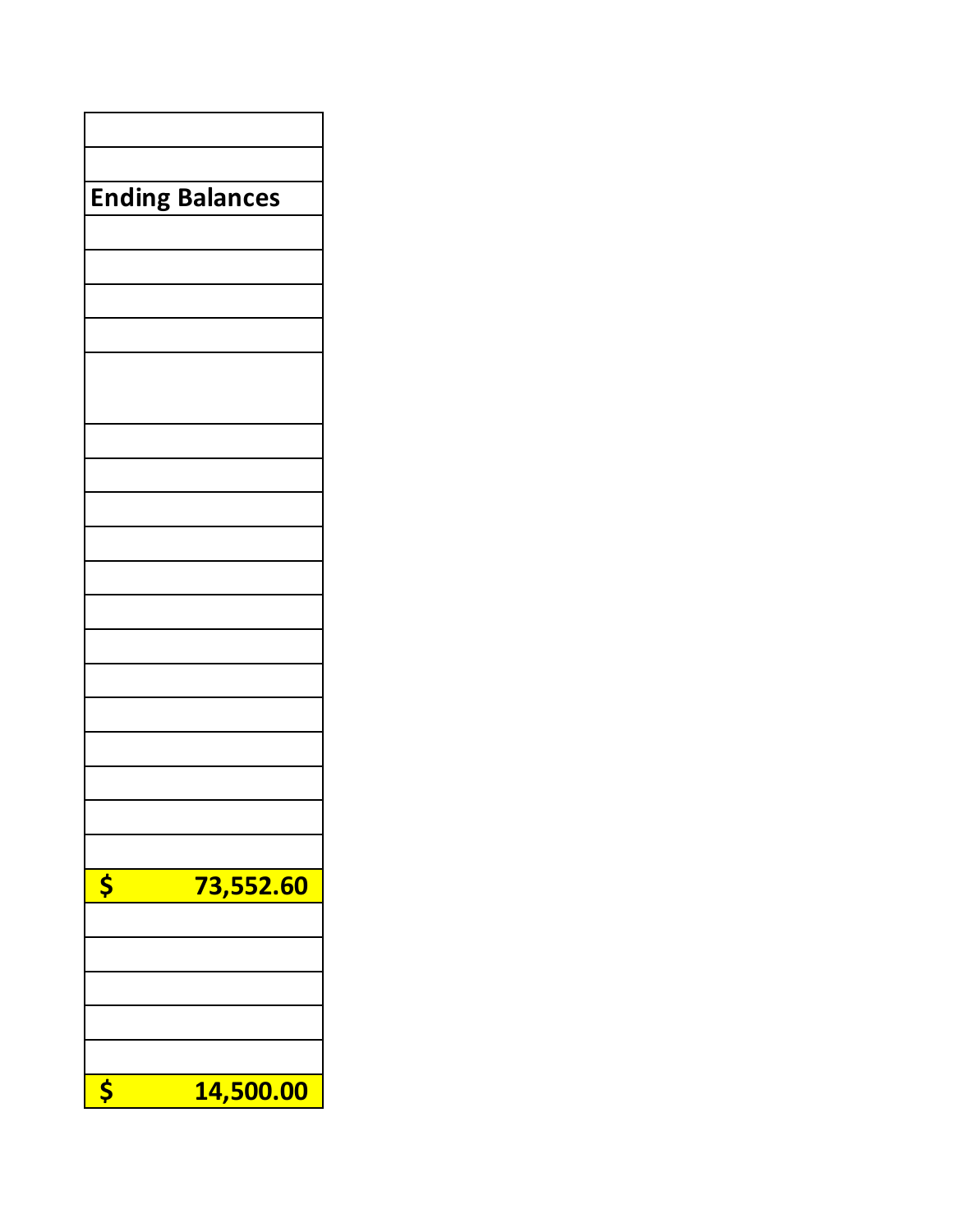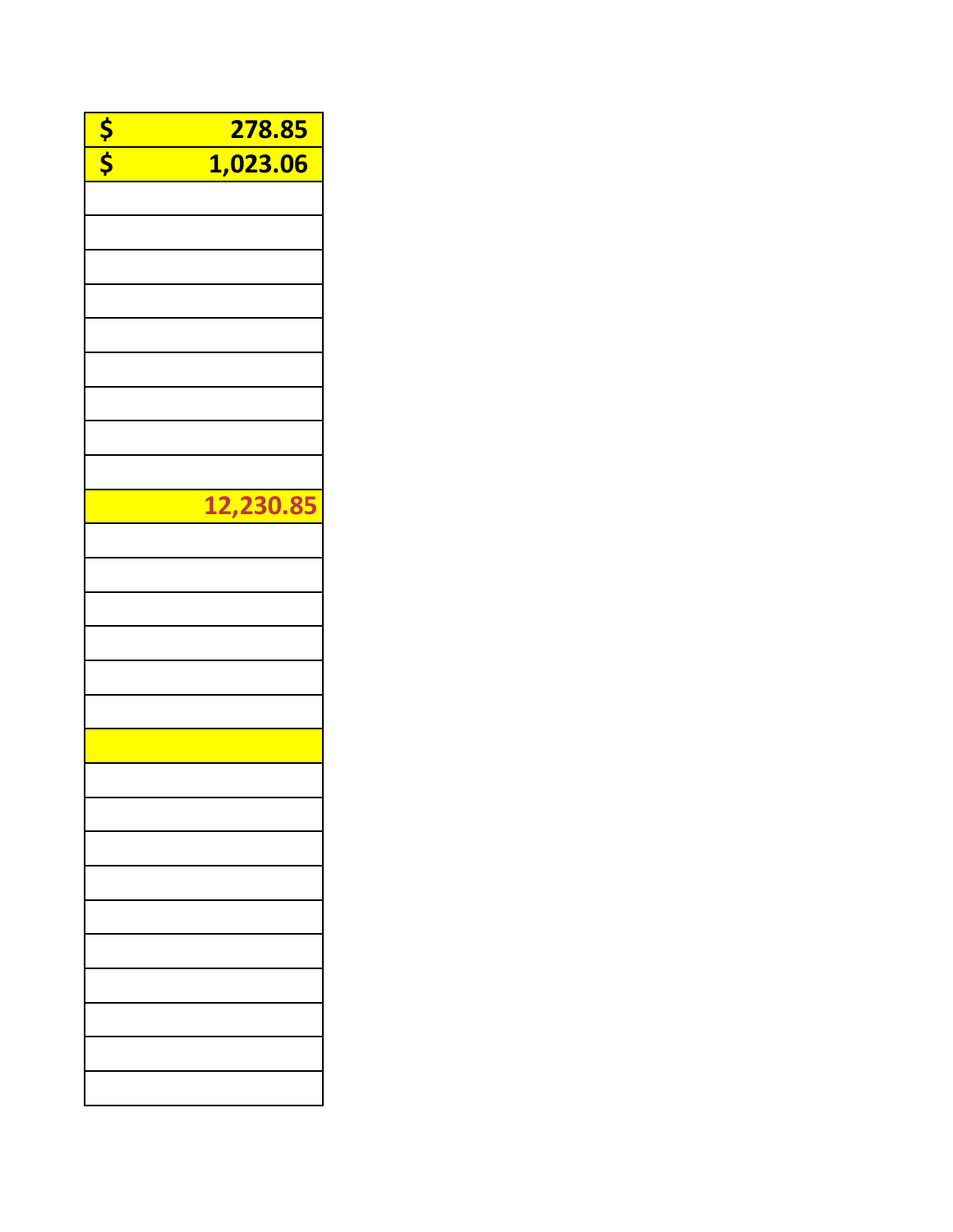| $\frac{5}{5}$ | 278.85    |
|---------------|-----------|
|               | 1,023.06  |
|               |           |
|               |           |
|               |           |
|               |           |
|               |           |
|               |           |
|               |           |
|               |           |
|               |           |
|               | 12,230.85 |
|               |           |
|               |           |
|               |           |
|               |           |
|               |           |
|               |           |
|               |           |
|               |           |
|               |           |
|               |           |
|               |           |
|               |           |
|               |           |
|               |           |
|               |           |
|               |           |
|               |           |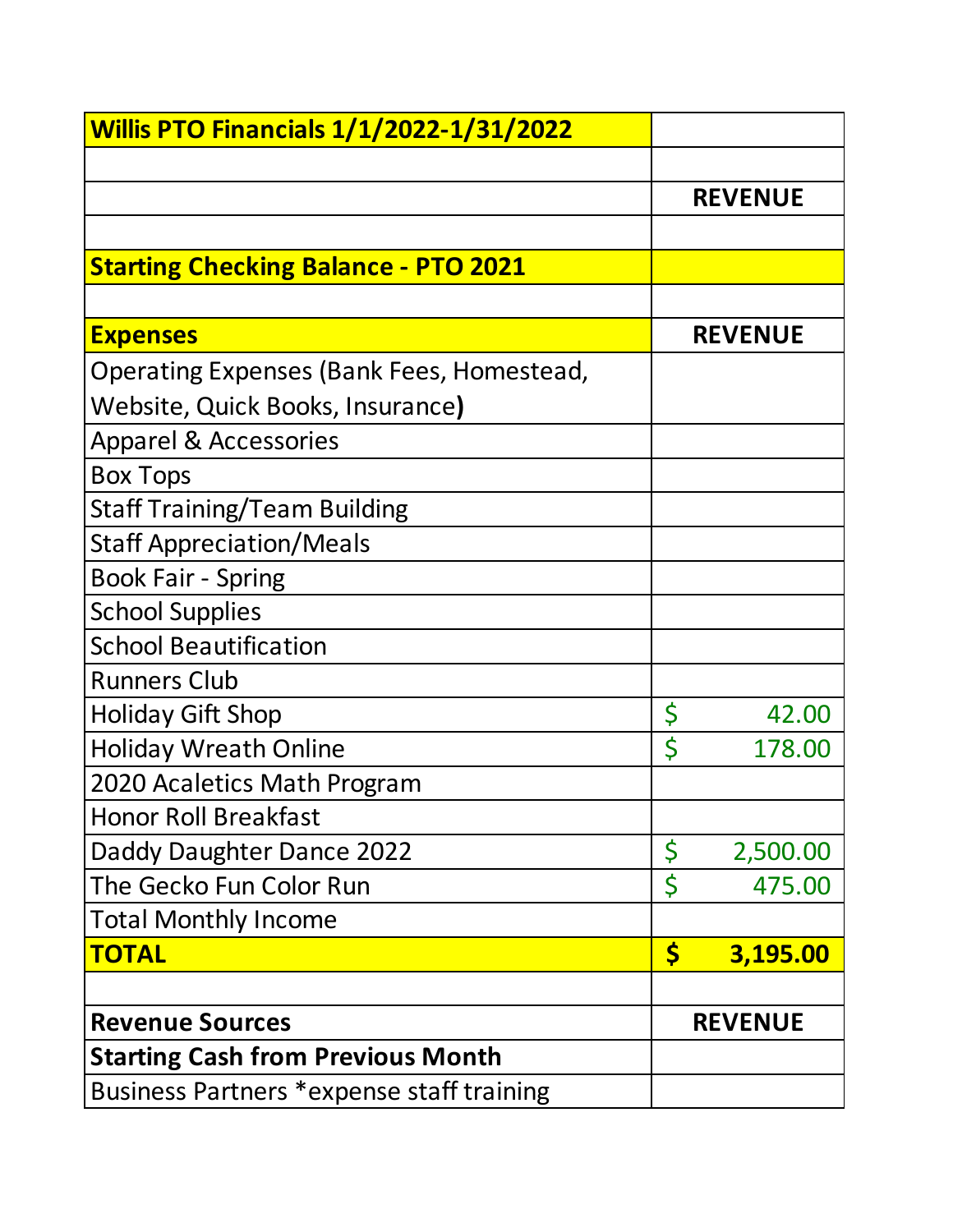| <b>Willis PTO Financials 1/1/2022-1/31/2022</b> |                      |                |
|-------------------------------------------------|----------------------|----------------|
|                                                 |                      |                |
|                                                 |                      | <b>REVENUE</b> |
|                                                 |                      |                |
| <b>Starting Checking Balance - PTO 2021</b>     |                      |                |
|                                                 |                      |                |
| <b>Expenses</b>                                 |                      | <b>REVENUE</b> |
| Operating Expenses (Bank Fees, Homestead,       |                      |                |
| Website, Quick Books, Insurance)                |                      |                |
| <b>Apparel &amp; Accessories</b>                |                      |                |
| <b>Box Tops</b>                                 |                      |                |
| <b>Staff Training/Team Building</b>             |                      |                |
| <b>Staff Appreciation/Meals</b>                 |                      |                |
| <b>Book Fair - Spring</b>                       |                      |                |
| <b>School Supplies</b>                          |                      |                |
| <b>School Beautification</b>                    |                      |                |
| <b>Runners Club</b>                             |                      |                |
| <b>Holiday Gift Shop</b>                        | \$                   | 42.00          |
| <b>Holiday Wreath Online</b>                    | \$                   | 178.00         |
| 2020 Acaletics Math Program                     |                      |                |
| <b>Honor Roll Breakfast</b>                     |                      |                |
| Daddy Daughter Dance 2022                       | \$                   | 2,500.00       |
| The Gecko Fun Color Run                         | \$                   | 475.00         |
| <b>Total Monthly Income</b>                     |                      |                |
| <b>TOTAL</b>                                    | $\boldsymbol{\zeta}$ | 3,195.00       |
|                                                 |                      |                |
| <b>Revenue Sources</b>                          |                      | <b>REVENUE</b> |
| <b>Starting Cash from Previous Month</b>        |                      |                |
| Business Partners *expense staff training       |                      |                |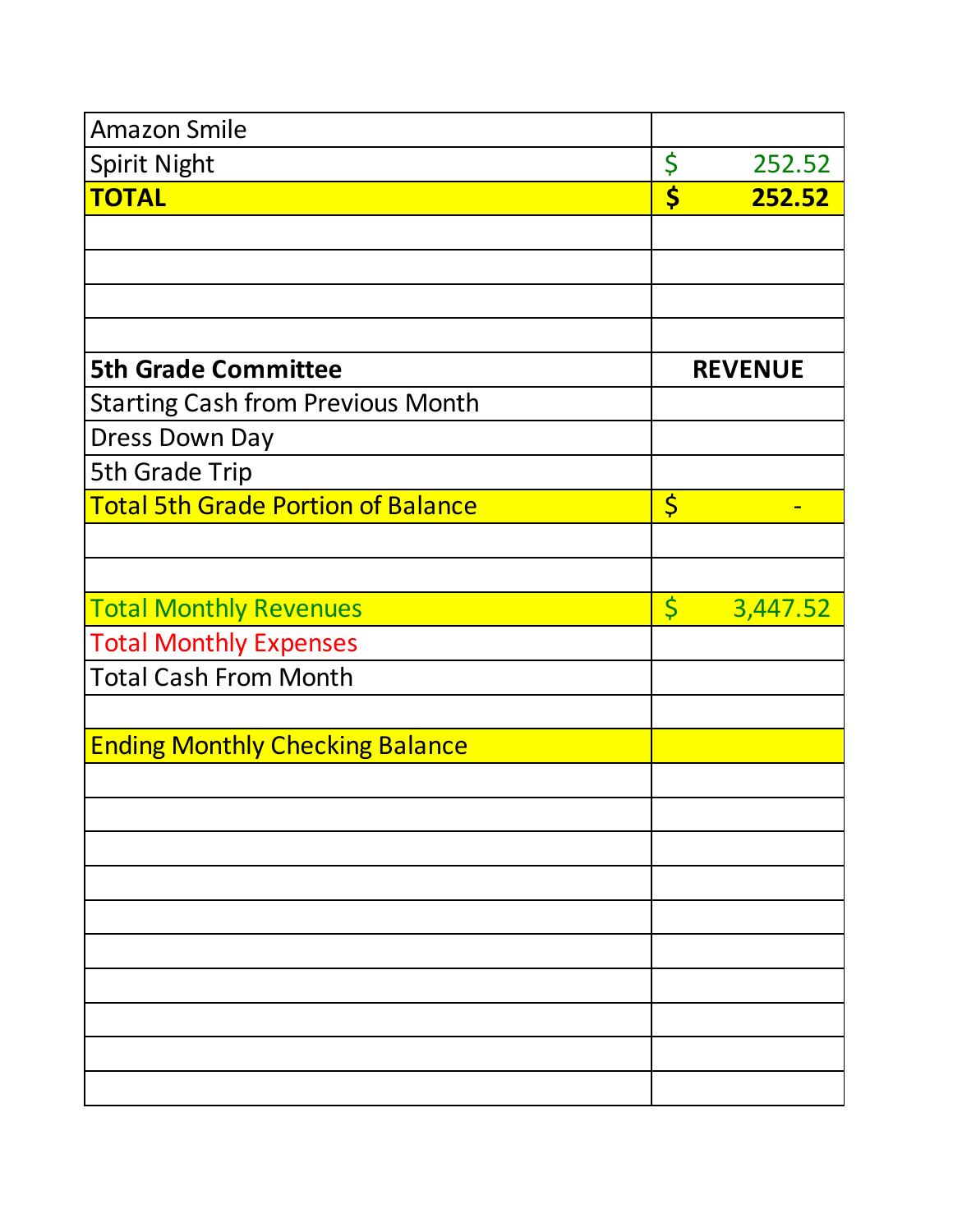| <b>Amazon Smile</b>                       |                         |                |
|-------------------------------------------|-------------------------|----------------|
| <b>Spirit Night</b>                       | \$                      | 252.52         |
| <b>TOTAL</b>                              | \$                      | 252.52         |
|                                           |                         |                |
|                                           |                         |                |
|                                           |                         |                |
|                                           |                         |                |
| <b>5th Grade Committee</b>                |                         | <b>REVENUE</b> |
| <b>Starting Cash from Previous Month</b>  |                         |                |
| <b>Dress Down Day</b>                     |                         |                |
| 5th Grade Trip                            |                         |                |
| <b>Total 5th Grade Portion of Balance</b> | $\varsigma$             |                |
|                                           |                         |                |
|                                           |                         |                |
| <b>Total Monthly Revenues</b>             | $\overline{\mathsf{S}}$ | 3,447.52       |
| <b>Total Monthly Expenses</b>             |                         |                |
| <b>Total Cash From Month</b>              |                         |                |
|                                           |                         |                |
| <b>Ending Monthly Checking Balance</b>    |                         |                |
|                                           |                         |                |
|                                           |                         |                |
|                                           |                         |                |
|                                           |                         |                |
|                                           |                         |                |
|                                           |                         |                |
|                                           |                         |                |
|                                           |                         |                |
|                                           |                         |                |
|                                           |                         |                |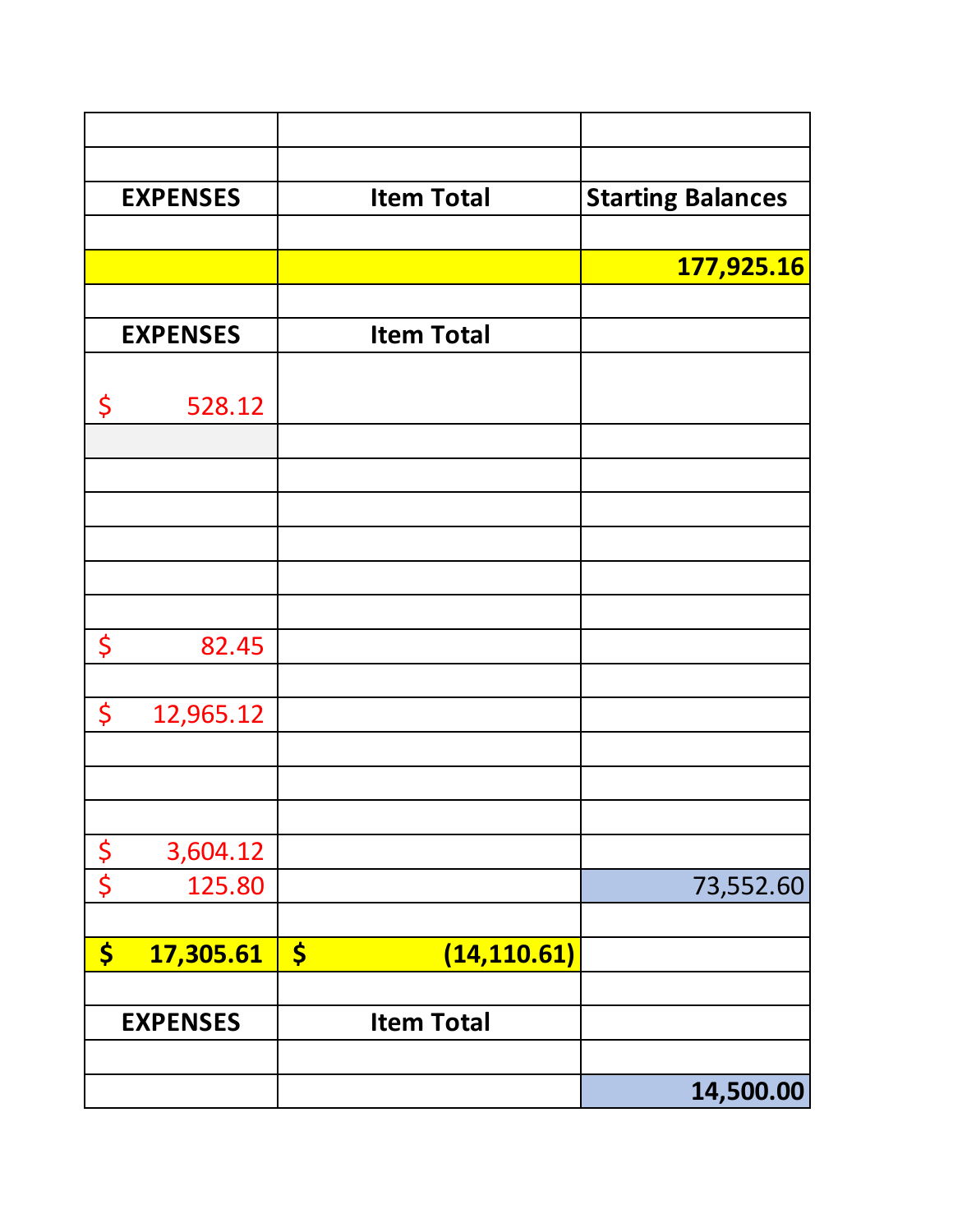|             | <b>EXPENSES</b> | <b>Item Total</b>                    |                          |
|-------------|-----------------|--------------------------------------|--------------------------|
| \$          | 17,305.61       | $\boldsymbol{\zeta}$<br>(14, 110.61) |                          |
|             | 125.80          |                                      | 73,552.60                |
| $rac{5}{5}$ | 3,604.12        |                                      |                          |
|             |                 |                                      |                          |
| \$          | 12,965.12       |                                      |                          |
| \$          | 82.45           |                                      |                          |
|             |                 |                                      |                          |
|             |                 |                                      |                          |
|             |                 |                                      |                          |
|             |                 |                                      |                          |
| \$          | 528.12          |                                      |                          |
|             | <b>EXPENSES</b> | <b>Item Total</b>                    |                          |
|             |                 |                                      | 177,925.16               |
|             | <b>EXPENSES</b> | <b>Item Total</b>                    | <b>Starting Balances</b> |
|             |                 |                                      |                          |
|             |                 |                                      |                          |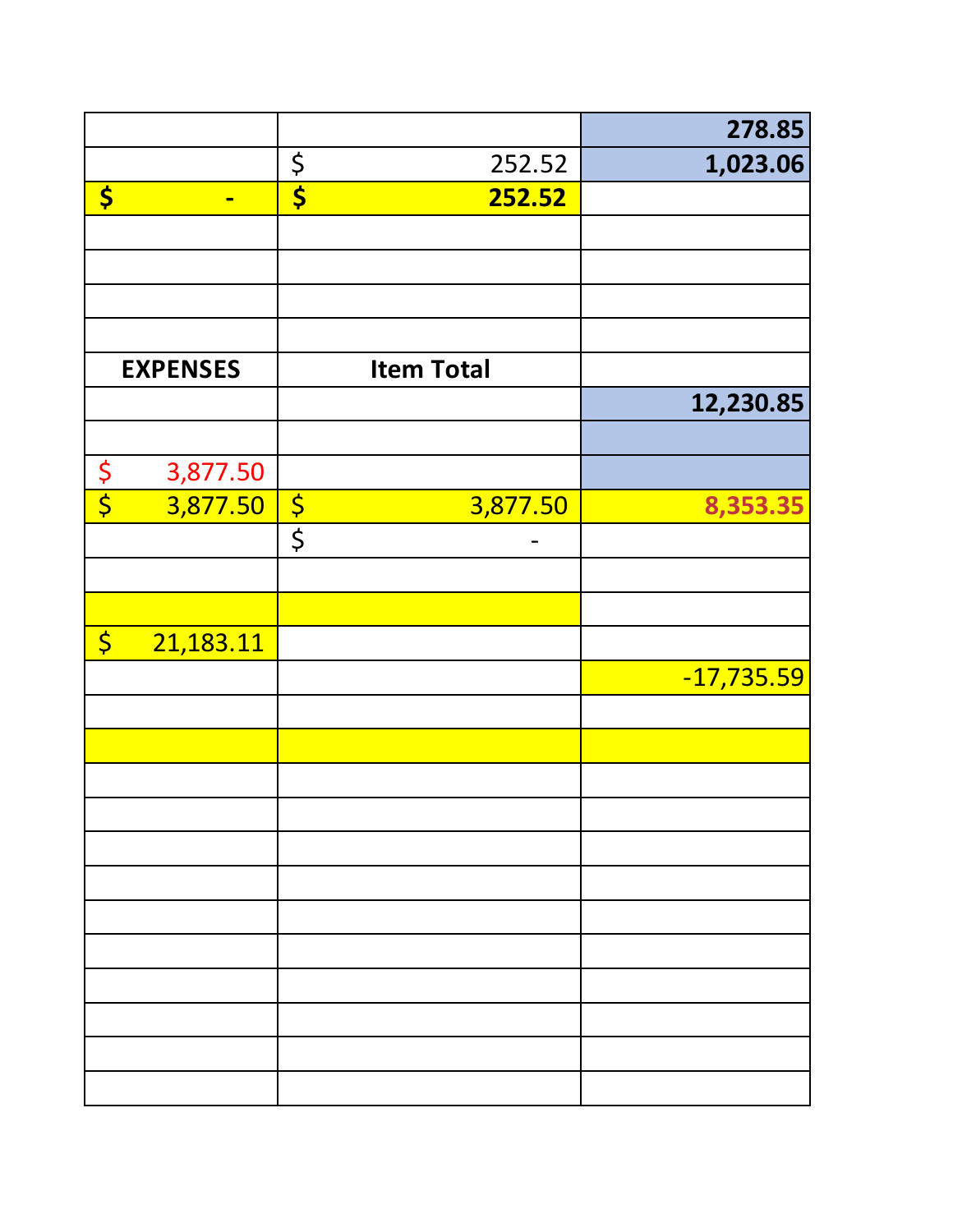|             |                 |             |                   | 278.85       |
|-------------|-----------------|-------------|-------------------|--------------|
|             |                 | $rac{5}{5}$ | 252.52            | 1,023.06     |
| \$          | $\blacksquare$  |             | 252.52            |              |
|             |                 |             |                   |              |
|             |                 |             |                   |              |
|             |                 |             |                   |              |
|             |                 |             |                   |              |
|             | <b>EXPENSES</b> |             | <b>Item Total</b> |              |
|             |                 |             |                   | 12,230.85    |
|             |                 |             |                   |              |
| $rac{5}{5}$ | 3,877.50        |             |                   |              |
|             | 3,877.50        | $rac{5}{5}$ | 3,877.50          | 8,353.35     |
|             |                 |             |                   |              |
|             |                 |             |                   |              |
|             |                 |             |                   |              |
| $\varsigma$ | 21,183.11       |             |                   |              |
|             |                 |             |                   | $-17,735.59$ |
|             |                 |             |                   |              |
|             |                 |             |                   |              |
|             |                 |             |                   |              |
|             |                 |             |                   |              |
|             |                 |             |                   |              |
|             |                 |             |                   |              |
|             |                 |             |                   |              |
|             |                 |             |                   |              |
|             |                 |             |                   |              |
|             |                 |             |                   |              |
|             |                 |             |                   |              |
|             |                 |             |                   |              |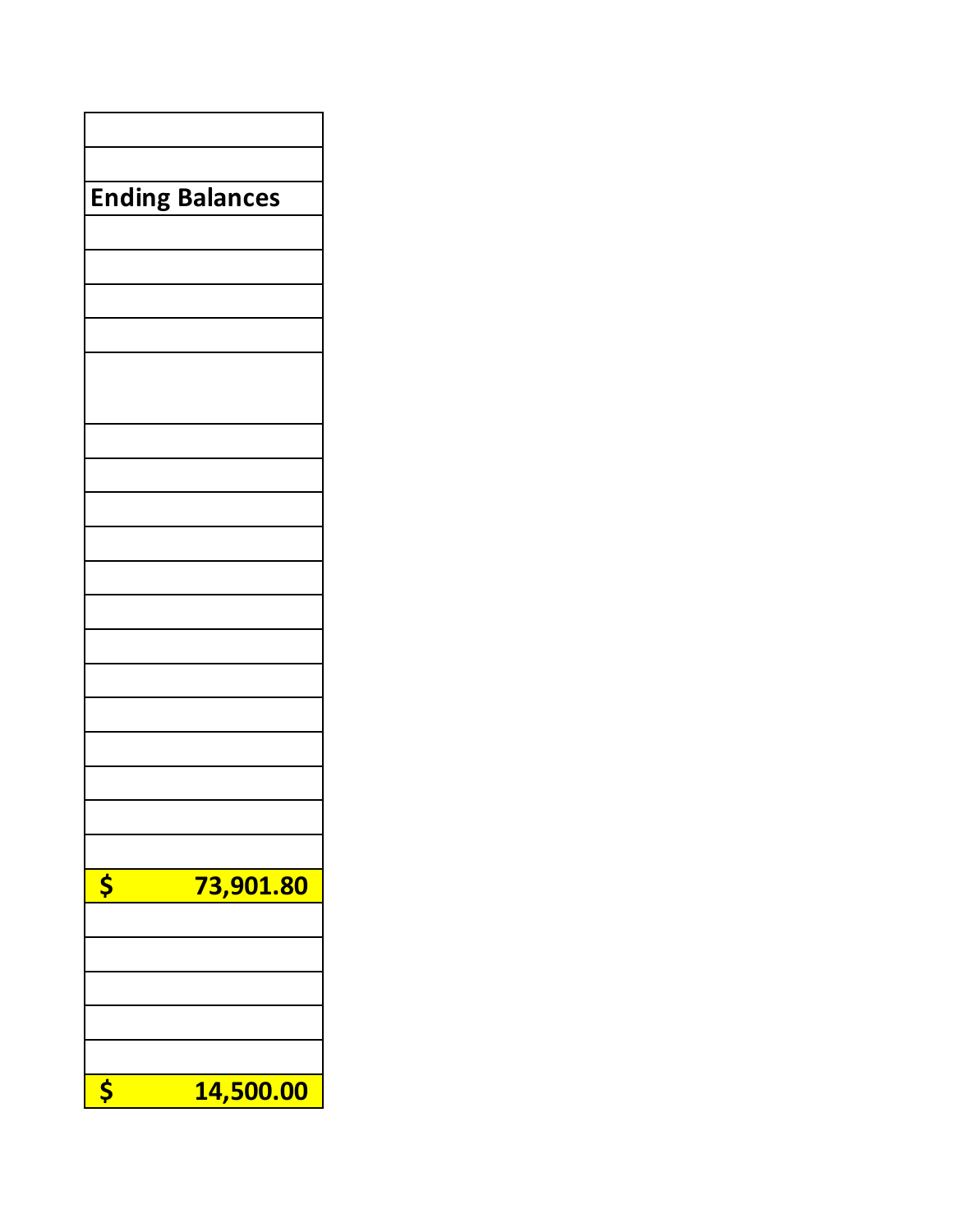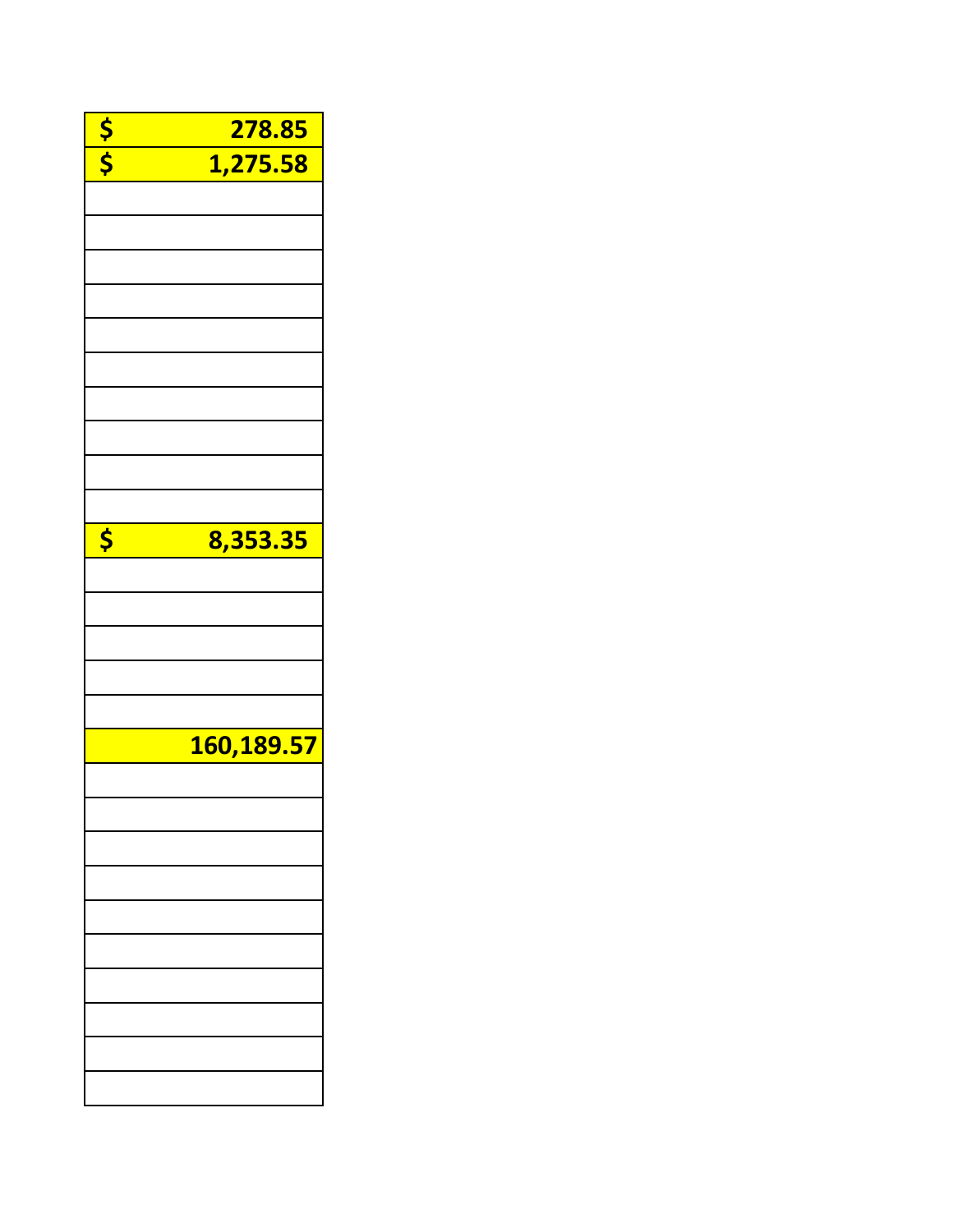|             | 278.85     |
|-------------|------------|
| $rac{5}{5}$ | 1,275.58   |
|             |            |
|             |            |
|             |            |
|             |            |
|             |            |
|             |            |
|             |            |
|             |            |
|             |            |
|             |            |
|             |            |
|             |            |
| \$          | 8,353.35   |
|             |            |
|             |            |
|             |            |
|             |            |
|             |            |
|             |            |
|             |            |
|             | 160,189.57 |
|             |            |
|             |            |
|             |            |
|             |            |
|             |            |
|             |            |
|             |            |
|             |            |
|             |            |
|             |            |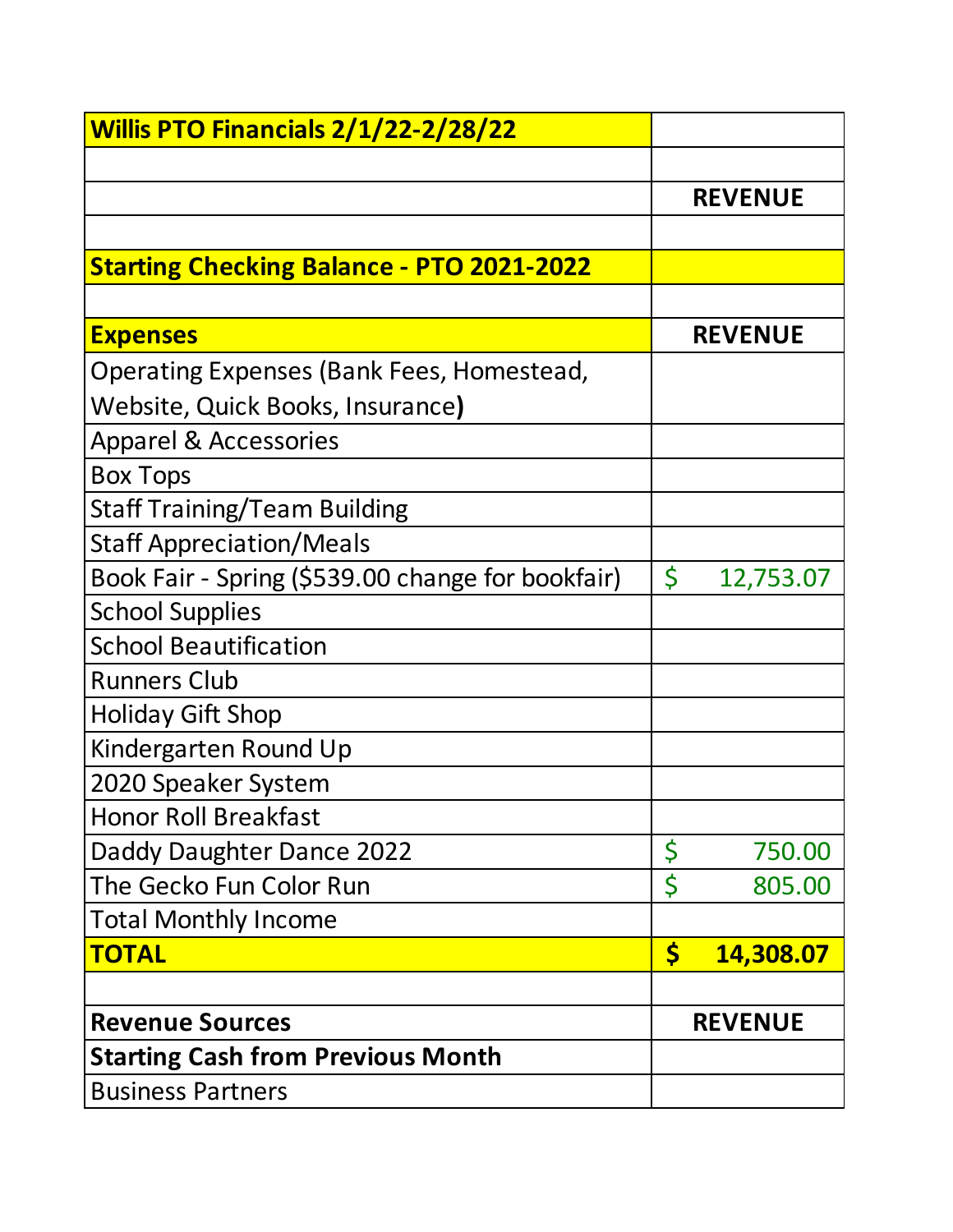| Willis PTO Financials 2/1/22-2/28/22              |         |                |
|---------------------------------------------------|---------|----------------|
|                                                   |         |                |
|                                                   |         | <b>REVENUE</b> |
|                                                   |         |                |
| <b>Starting Checking Balance - PTO 2021-2022</b>  |         |                |
|                                                   |         |                |
| <b>Expenses</b>                                   |         | <b>REVENUE</b> |
| Operating Expenses (Bank Fees, Homestead,         |         |                |
| Website, Quick Books, Insurance)                  |         |                |
| <b>Apparel &amp; Accessories</b>                  |         |                |
| <b>Box Tops</b>                                   |         |                |
| <b>Staff Training/Team Building</b>               |         |                |
| <b>Staff Appreciation/Meals</b>                   |         |                |
| Book Fair - Spring (\$539.00 change for bookfair) | $\zeta$ | 12,753.07      |
| <b>School Supplies</b>                            |         |                |
| <b>School Beautification</b>                      |         |                |
| <b>Runners Club</b>                               |         |                |
| <b>Holiday Gift Shop</b>                          |         |                |
| Kindergarten Round Up                             |         |                |
| 2020 Speaker System                               |         |                |
| <b>Honor Roll Breakfast</b>                       |         |                |
| Daddy Daughter Dance 2022                         | \$      | 750.00         |
| The Gecko Fun Color Run                           | \$      | 805.00         |
| <b>Total Monthly Income</b>                       |         |                |
| <b>TOTAL</b>                                      | \$      | 14,308.07      |
|                                                   |         |                |
| <b>Revenue Sources</b>                            |         | <b>REVENUE</b> |
| <b>Starting Cash from Previous Month</b>          |         |                |
| <b>Business Partners</b>                          |         |                |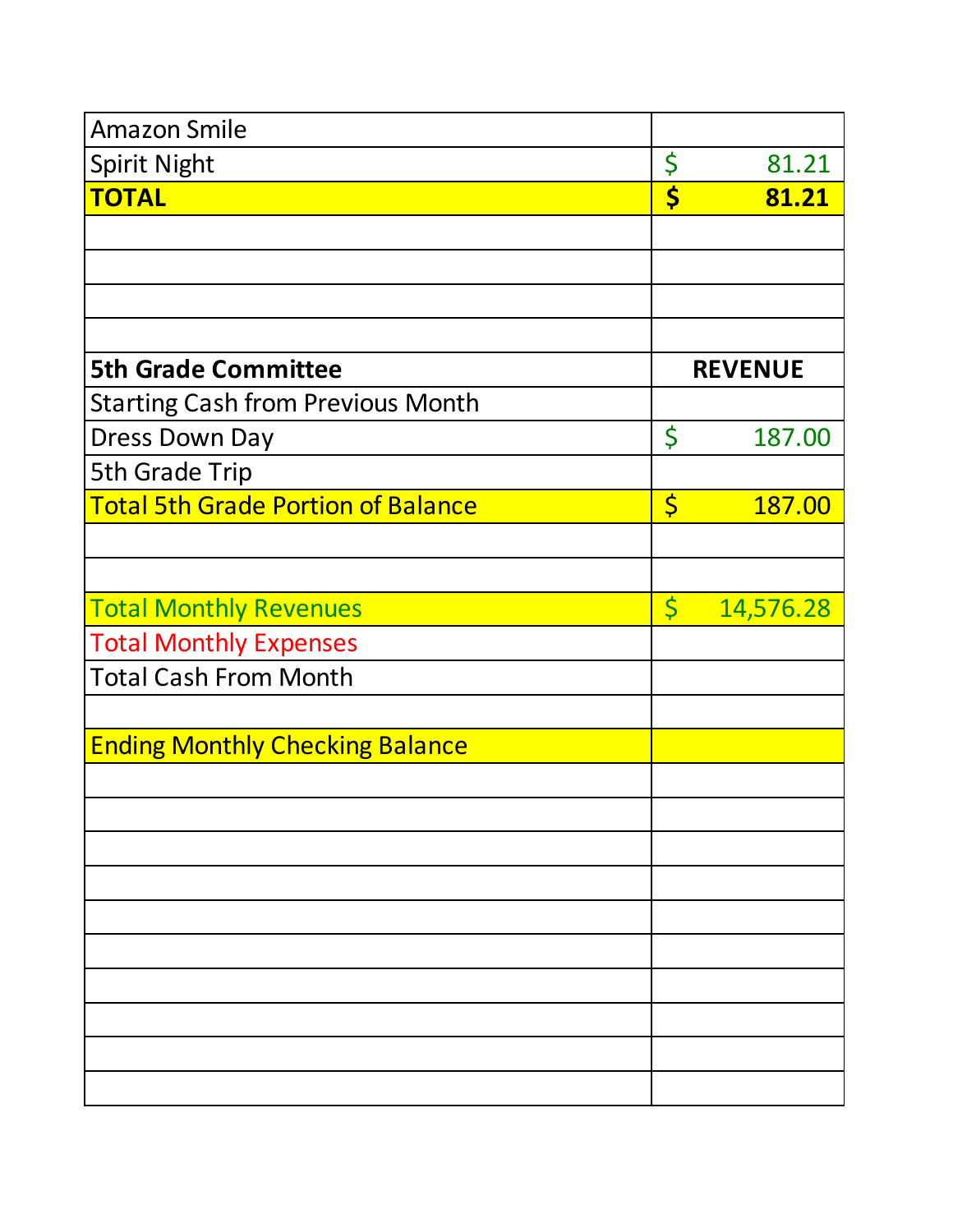| <b>Amazon Smile</b>                       |             |                |
|-------------------------------------------|-------------|----------------|
| <b>Spirit Night</b>                       | \$          | 81.21          |
| <b>TOTAL</b>                              | \$          | 81.21          |
|                                           |             |                |
|                                           |             |                |
|                                           |             |                |
|                                           |             |                |
| <b>5th Grade Committee</b>                |             | <b>REVENUE</b> |
| <b>Starting Cash from Previous Month</b>  |             |                |
| <b>Dress Down Day</b>                     | \$          | 187.00         |
| 5th Grade Trip                            |             |                |
| <b>Total 5th Grade Portion of Balance</b> | \$          | 187.00         |
|                                           |             |                |
|                                           |             |                |
| <b>Total Monthly Revenues</b>             | $\varsigma$ | 14,576.28      |
| <b>Total Monthly Expenses</b>             |             |                |
| <b>Total Cash From Month</b>              |             |                |
|                                           |             |                |
| <b>Ending Monthly Checking Balance</b>    |             |                |
|                                           |             |                |
|                                           |             |                |
|                                           |             |                |
|                                           |             |                |
|                                           |             |                |
|                                           |             |                |
|                                           |             |                |
|                                           |             |                |
|                                           |             |                |
|                                           |             |                |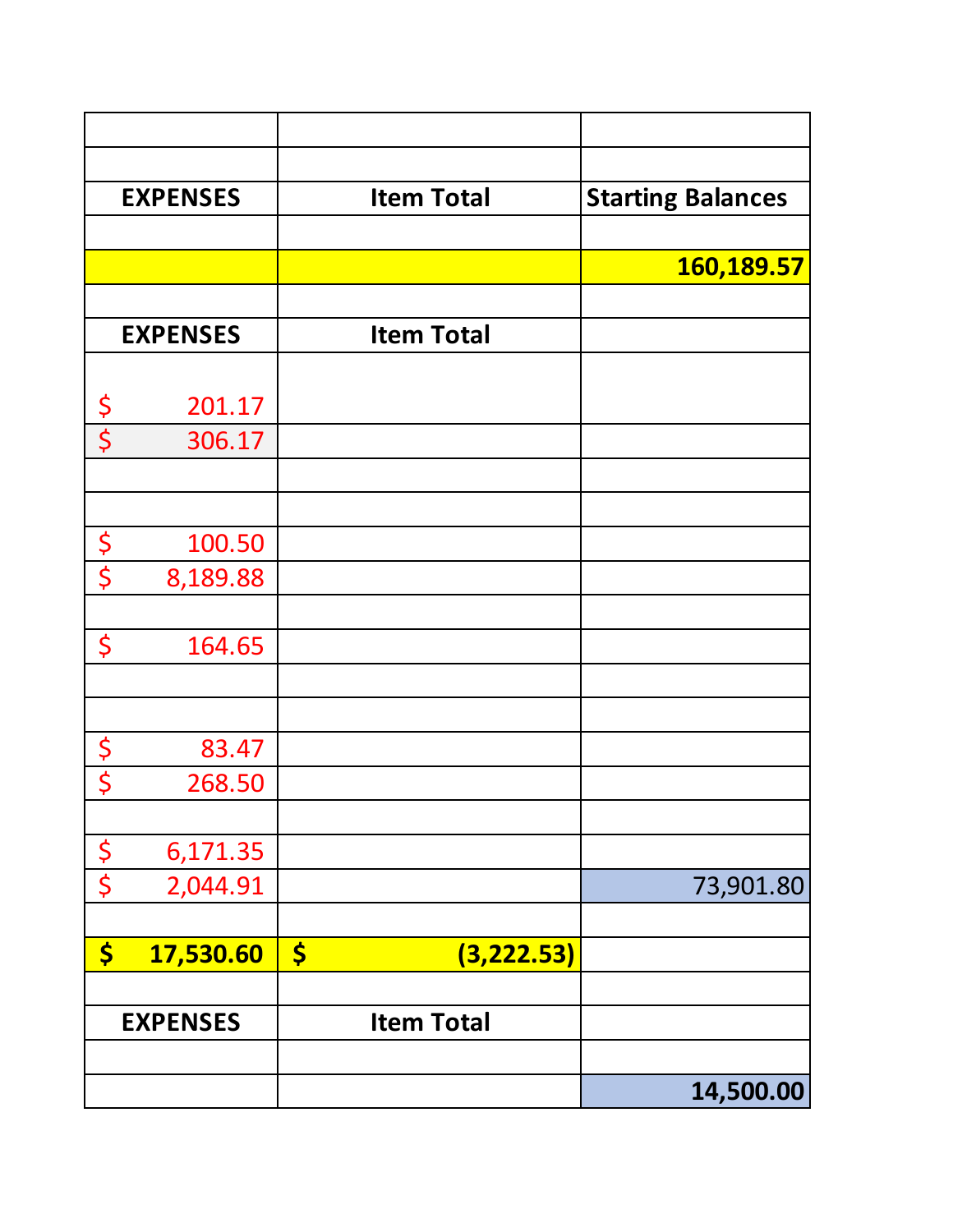|                                 | <b>EXPENSES</b> | <b>Item Total</b>                   | <b>Starting Balances</b> |
|---------------------------------|-----------------|-------------------------------------|--------------------------|
|                                 |                 |                                     |                          |
|                                 |                 |                                     | 160,189.57               |
|                                 |                 |                                     |                          |
|                                 | <b>EXPENSES</b> | <b>Item Total</b>                   |                          |
|                                 |                 |                                     |                          |
| <u>\$</u>                       | 201.17          |                                     |                          |
| $\overline{\boldsymbol{\zeta}}$ | 306.17          |                                     |                          |
|                                 |                 |                                     |                          |
|                                 |                 |                                     |                          |
| $rac{5}{5}$                     | 100.50          |                                     |                          |
|                                 | 8,189.88        |                                     |                          |
|                                 |                 |                                     |                          |
| \$                              | 164.65          |                                     |                          |
|                                 |                 |                                     |                          |
|                                 |                 |                                     |                          |
| $rac{5}{5}$                     | 83.47           |                                     |                          |
|                                 | 268.50          |                                     |                          |
|                                 |                 |                                     |                          |
| $rac{5}{5}$                     | 6,171.35        |                                     |                          |
|                                 | 2,044.91        |                                     | 73,901.80                |
|                                 |                 |                                     |                          |
| \$                              | 17,530.60       | $\boldsymbol{\zeta}$<br>(3, 222.53) |                          |
|                                 |                 |                                     |                          |
|                                 | <b>EXPENSES</b> | <b>Item Total</b>                   |                          |
|                                 |                 |                                     |                          |
|                                 |                 |                                     | 14,500.00                |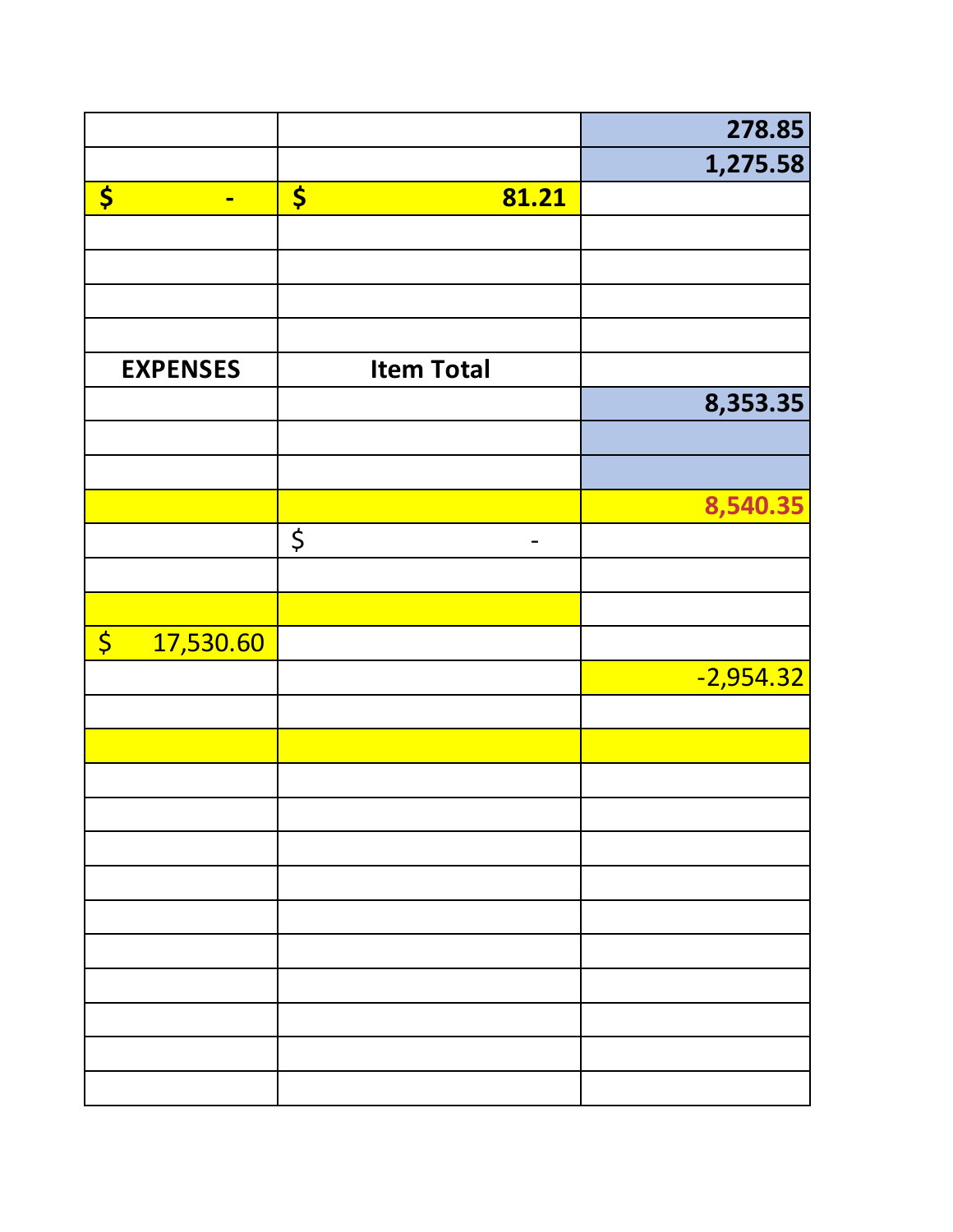|                          |                               | 278.85      |
|--------------------------|-------------------------------|-------------|
|                          |                               | 1,275.58    |
| \$<br>$\blacksquare$     | $\boldsymbol{\zeta}$<br>81.21 |             |
|                          |                               |             |
|                          |                               |             |
|                          |                               |             |
|                          |                               |             |
| <b>EXPENSES</b>          | <b>Item Total</b>             |             |
|                          |                               | 8,353.35    |
|                          |                               |             |
|                          |                               |             |
|                          |                               | 8,540.35    |
|                          | $\boldsymbol{\zeta}$<br>-     |             |
|                          |                               |             |
|                          |                               |             |
| $\varsigma$<br>17,530.60 |                               |             |
|                          |                               | $-2,954.32$ |
|                          |                               |             |
|                          |                               |             |
|                          |                               |             |
|                          |                               |             |
|                          |                               |             |
|                          |                               |             |
|                          |                               |             |
|                          |                               |             |
|                          |                               |             |
|                          |                               |             |
|                          |                               |             |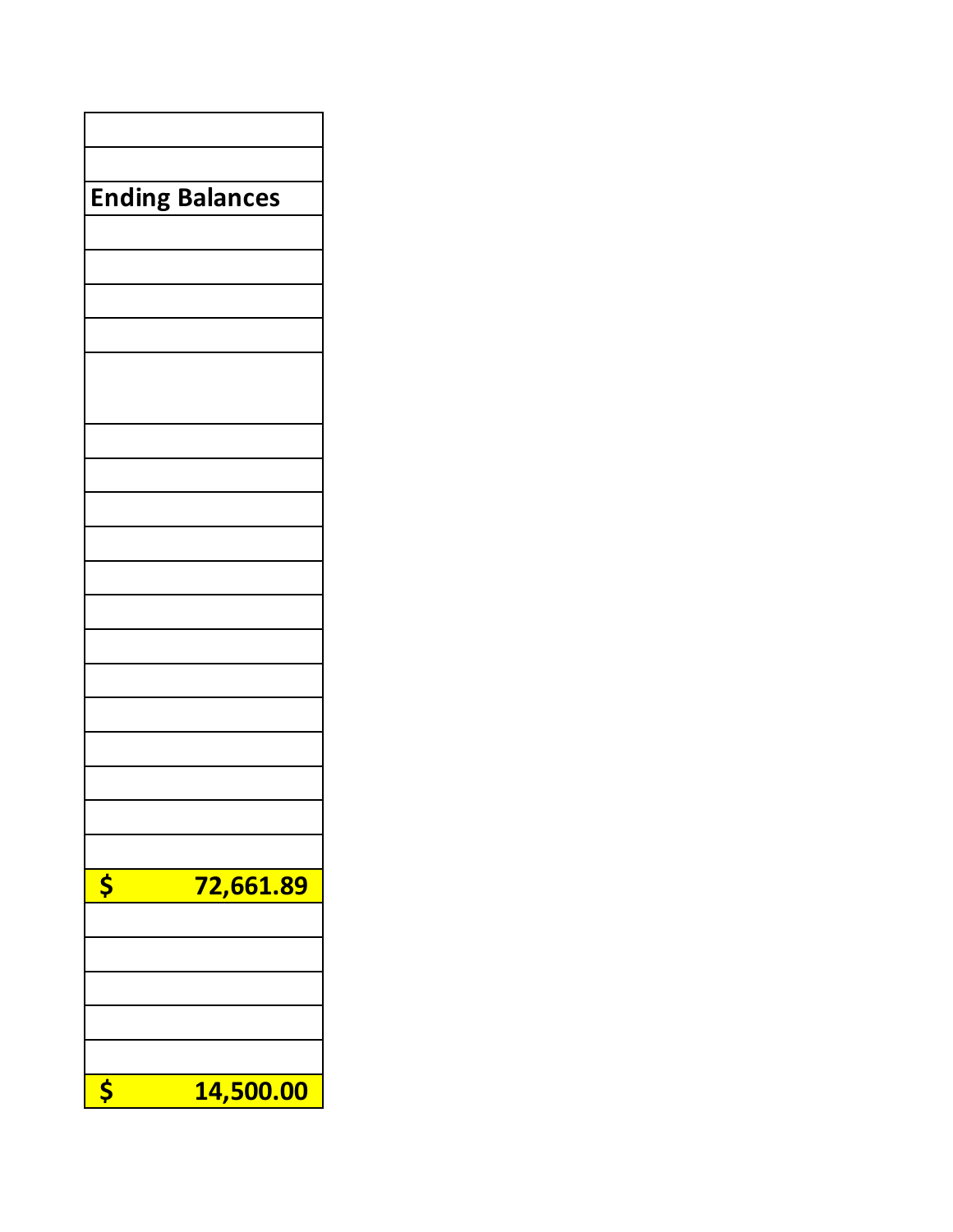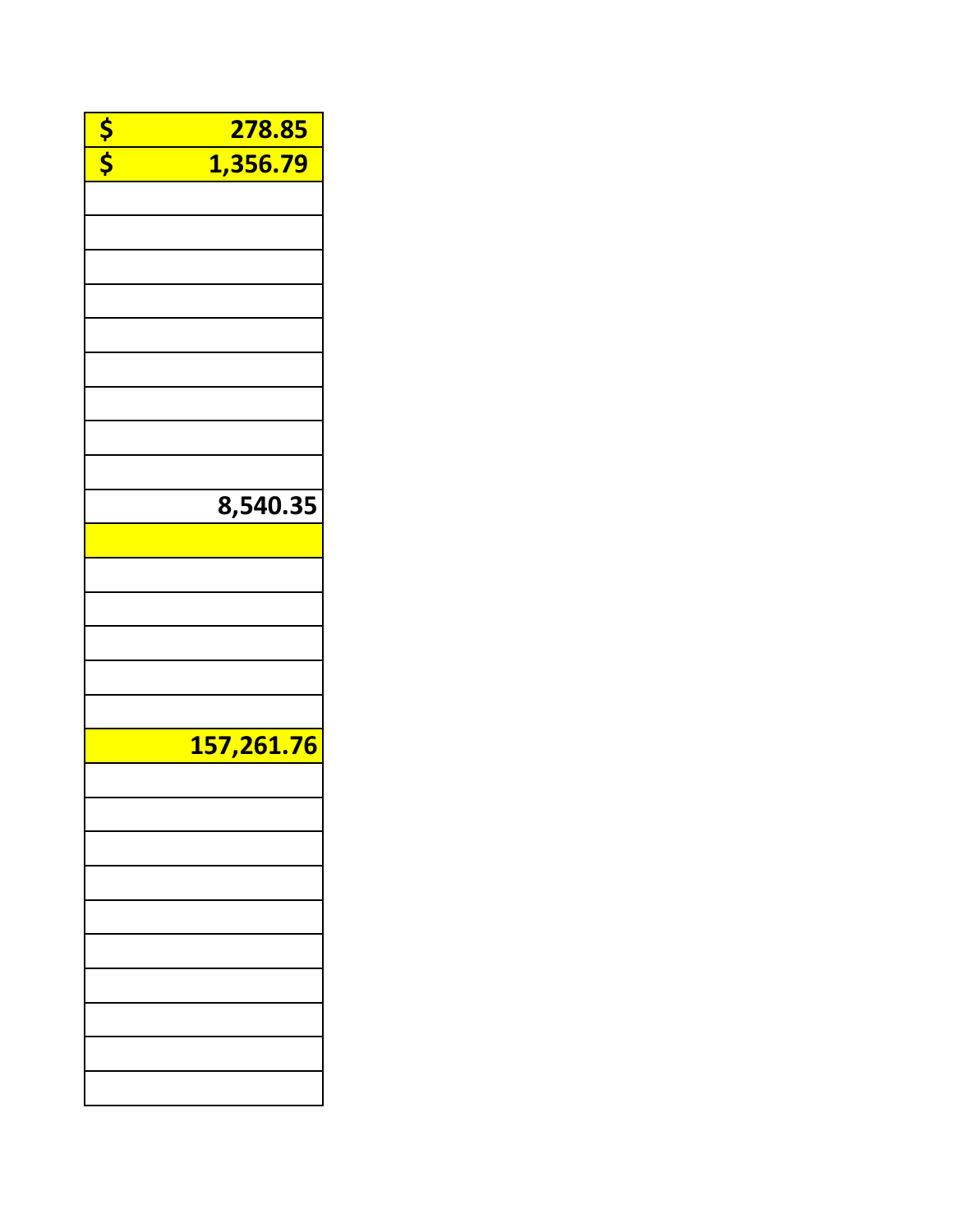| $\frac{s}{s}$ | 278.85     |
|---------------|------------|
|               | 1,356.79   |
|               |            |
|               |            |
|               |            |
|               |            |
|               |            |
|               |            |
|               |            |
|               |            |
|               |            |
|               |            |
|               |            |
|               |            |
|               | 8,540.35   |
|               |            |
|               |            |
|               |            |
|               |            |
|               |            |
|               |            |
|               |            |
|               | 157,261.76 |
|               |            |
|               |            |
|               |            |
|               |            |
|               |            |
|               |            |
|               |            |
|               |            |
|               |            |
|               |            |
|               |            |
|               |            |
|               |            |
|               |            |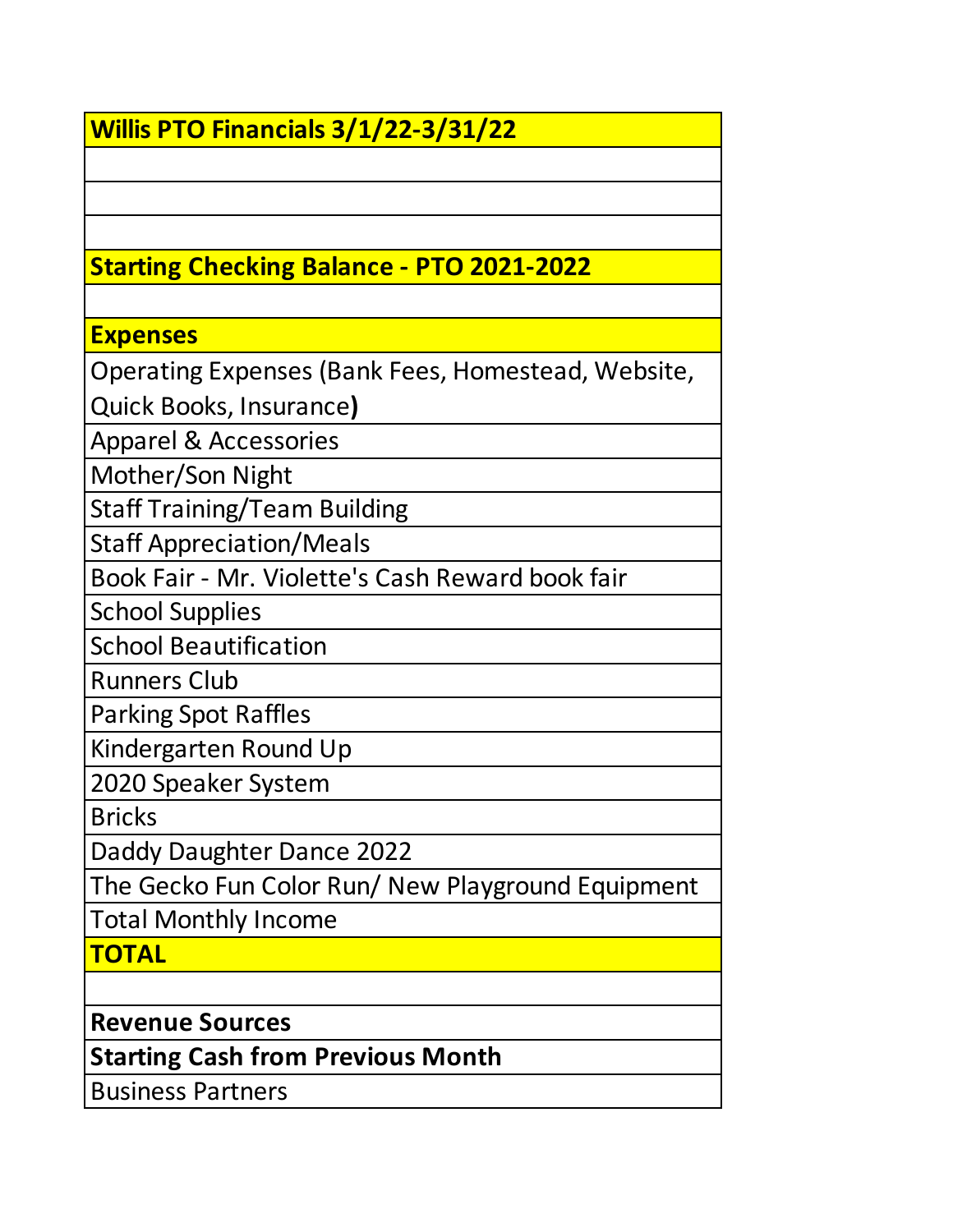# **Willis PTO Financials 3/1/22-3/31/22**

## **Starting Checking Balance - PTO 2021-2022**

### **Expenses**

Operating Expenses (Bank Fees, Homestead, Website,

Quick Books, Insurance**)**

Apparel & Accessories

Mother/Son Night

Staff Training/Team Building

Staff Appreciation/Meals

Book Fair - Mr. Violette's Cash Reward book fair

School Supplies

School Beautification

Runners Club

Parking Spot Raffles

Kindergarten Round Up

2020 Speaker System

**Bricks** 

Daddy Daughter Dance 2022

The Gecko Fun Color Run/ New Playground Equipment

Total Monthly Income

**TOTAL**

**Revenue Sources**

**Starting Cash from Previous Month**

Business Partners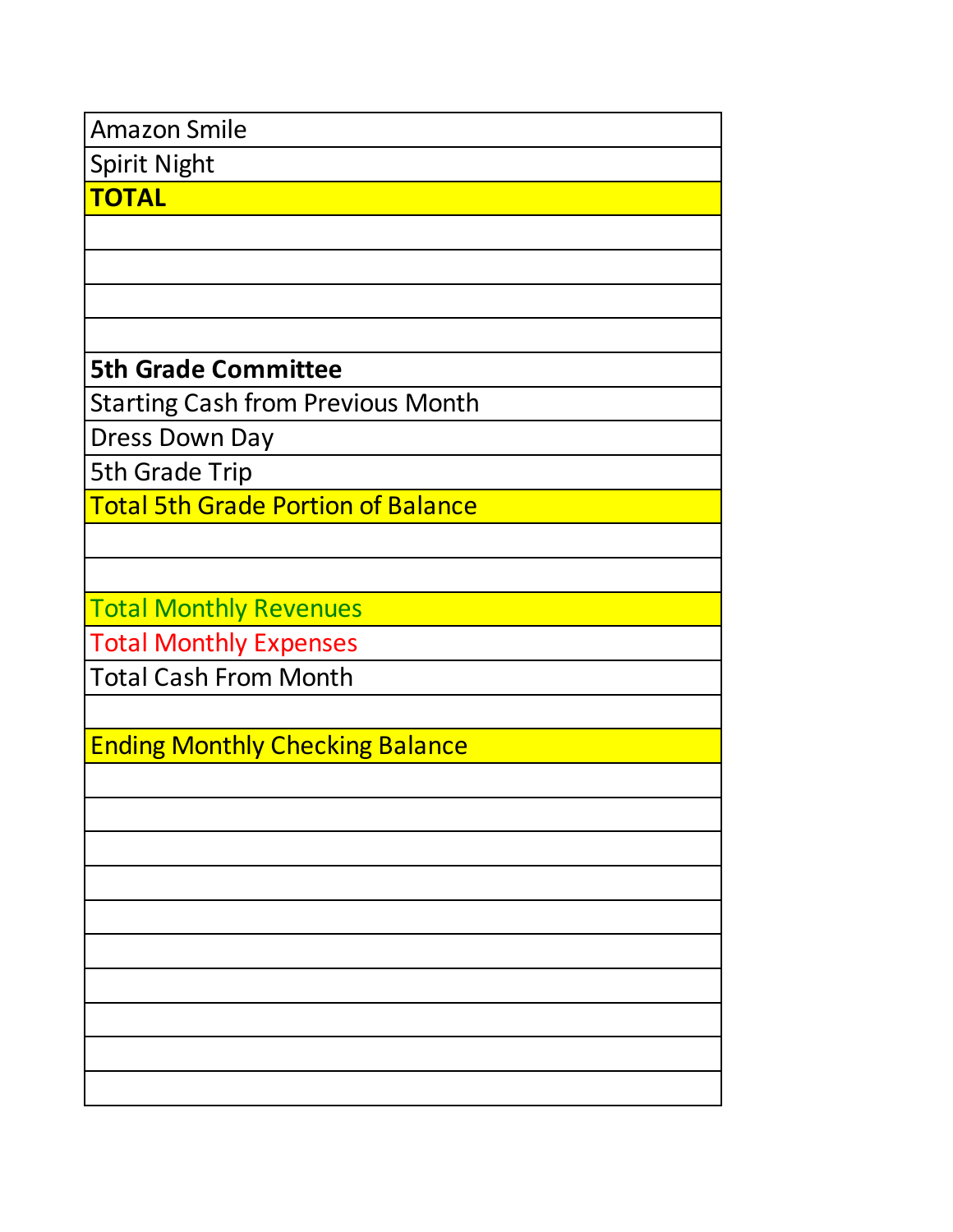| <b>Amazon Smile</b>                       |
|-------------------------------------------|
| <b>Spirit Night</b>                       |
| <b>TOTAL</b>                              |
|                                           |
|                                           |
|                                           |
|                                           |
| <b>5th Grade Committee</b>                |
| <b>Starting Cash from Previous Month</b>  |
| <b>Dress Down Day</b>                     |
| <b>5th Grade Trip</b>                     |
| <b>Total 5th Grade Portion of Balance</b> |
|                                           |
|                                           |
| <b>Total Monthly Revenues</b>             |
| <b>Total Monthly Expenses</b>             |
| <b>Total Cash From Month</b>              |
|                                           |
| <b>Ending Monthly Checking Balance</b>    |
|                                           |
|                                           |
|                                           |
|                                           |
|                                           |
|                                           |
|                                           |
|                                           |
|                                           |
|                                           |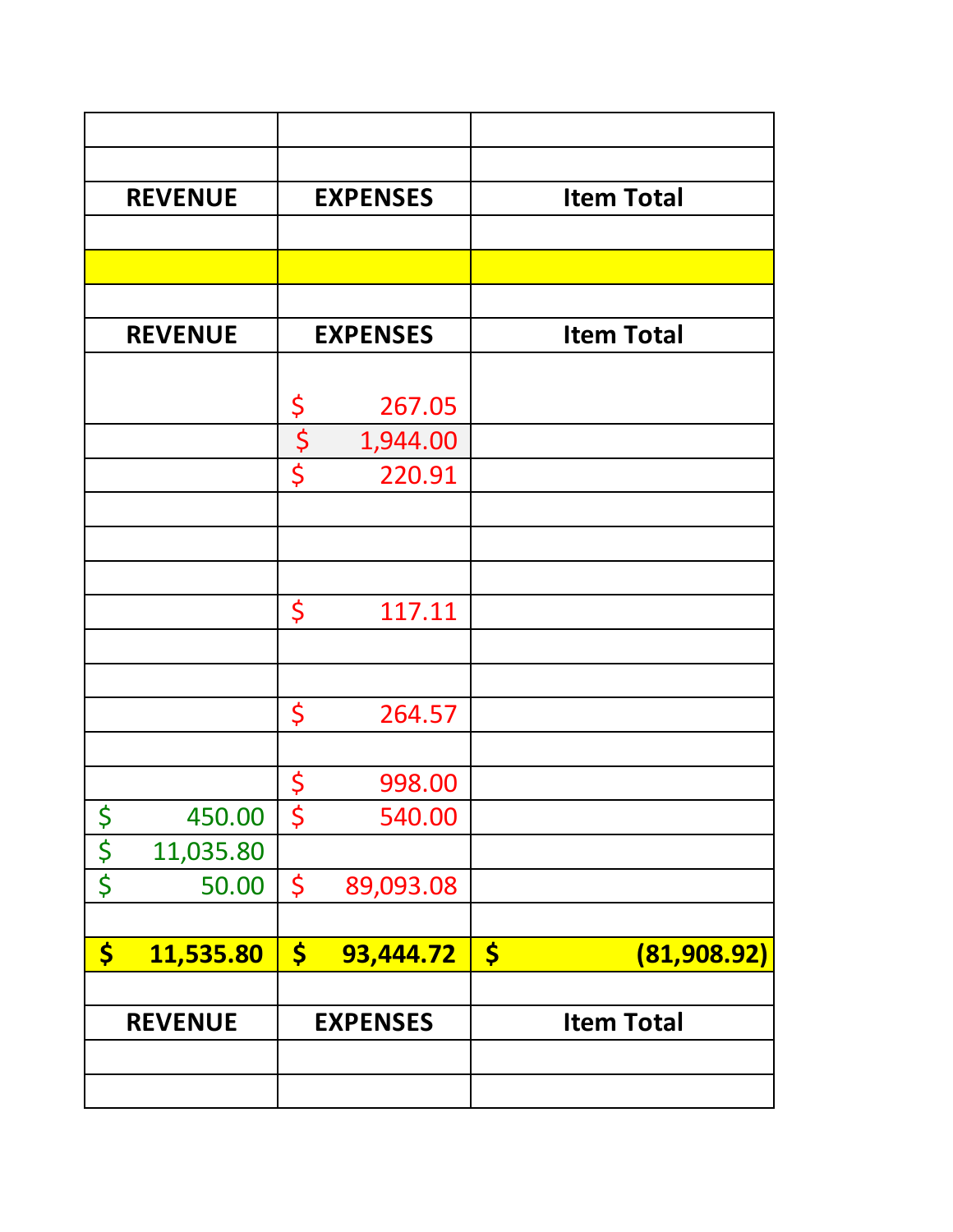|                      | <b>REVENUE</b> |                      | <b>EXPENSES</b> | <b>Item Total</b>                   |
|----------------------|----------------|----------------------|-----------------|-------------------------------------|
|                      |                |                      |                 |                                     |
|                      |                |                      |                 |                                     |
|                      |                |                      |                 |                                     |
|                      | <b>REVENUE</b> |                      | <b>EXPENSES</b> | <b>Item Total</b>                   |
|                      |                |                      |                 |                                     |
|                      |                | \$                   | 267.05          |                                     |
|                      |                | $\boldsymbol{\zeta}$ | 1,944.00        |                                     |
|                      |                | \$                   | 220.91          |                                     |
|                      |                |                      |                 |                                     |
|                      |                |                      |                 |                                     |
|                      |                |                      |                 |                                     |
|                      |                | \$                   | 117.11          |                                     |
|                      |                |                      |                 |                                     |
|                      |                |                      |                 |                                     |
|                      |                | \$                   | 264.57          |                                     |
|                      |                |                      |                 |                                     |
|                      |                | \$                   | 998.00          |                                     |
| $\boldsymbol{\zeta}$ | 450.00         | \$                   | 540.00          |                                     |
| $rac{5}{5}$          | 11,035.80      |                      |                 |                                     |
|                      | 50.00          | \$                   | 89,093.08       |                                     |
|                      |                |                      |                 |                                     |
| \$                   | 11,535.80      | $\boldsymbol{\zeta}$ | 93,444.72       | $\boldsymbol{\zeta}$<br>(81,908.92) |
|                      |                |                      |                 |                                     |
|                      | <b>REVENUE</b> |                      | <b>EXPENSES</b> | <b>Item Total</b>                   |
|                      |                |                      |                 |                                     |
|                      |                |                      |                 |                                     |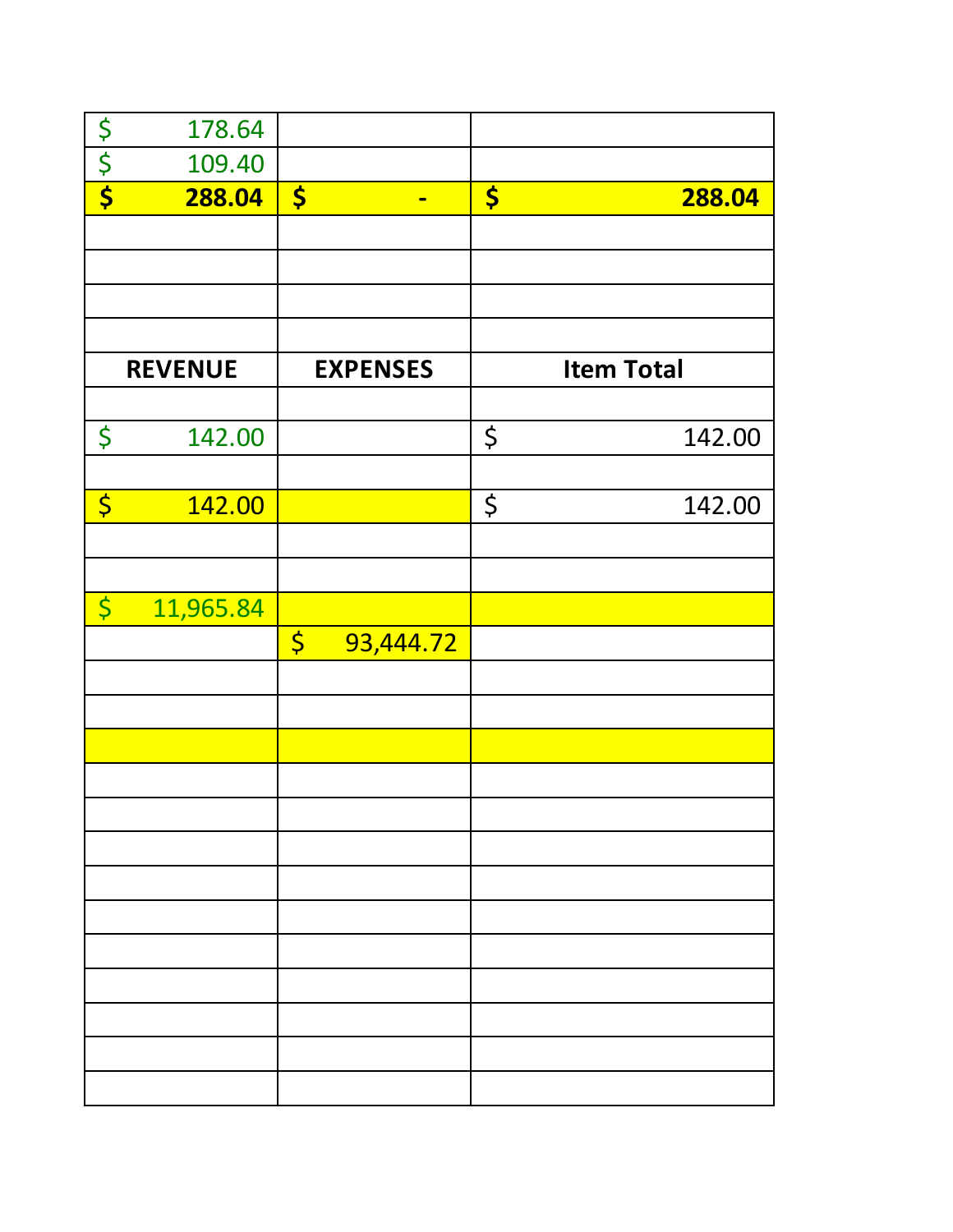|                        | 178.64    |                                 |                   |        |
|------------------------|-----------|---------------------------------|-------------------|--------|
| $rac{5}{5}$            | 109.40    |                                 |                   |        |
|                        | 288.04    | $\frac{1}{2}$<br>$\blacksquare$ | \$                | 288.04 |
|                        |           |                                 |                   |        |
|                        |           |                                 |                   |        |
|                        |           |                                 |                   |        |
|                        |           |                                 |                   |        |
| <b>REVENUE</b>         |           | <b>EXPENSES</b>                 | <b>Item Total</b> |        |
|                        |           |                                 |                   |        |
| \$                     | 142.00    |                                 | \$                | 142.00 |
|                        |           |                                 |                   |        |
| $\overline{\varsigma}$ | 142.00    |                                 | $\varsigma$       | 142.00 |
|                        |           |                                 |                   |        |
|                        |           |                                 |                   |        |
| $\overline{\varsigma}$ | 11,965.84 |                                 |                   |        |
|                        |           | $\varsigma$<br>93,444.72        |                   |        |
|                        |           |                                 |                   |        |
|                        |           |                                 |                   |        |
|                        |           |                                 |                   |        |
|                        |           |                                 |                   |        |
|                        |           |                                 |                   |        |
|                        |           |                                 |                   |        |
|                        |           |                                 |                   |        |
|                        |           |                                 |                   |        |
|                        |           |                                 |                   |        |
|                        |           |                                 |                   |        |
|                        |           |                                 |                   |        |
|                        |           |                                 |                   |        |
|                        |           |                                 |                   |        |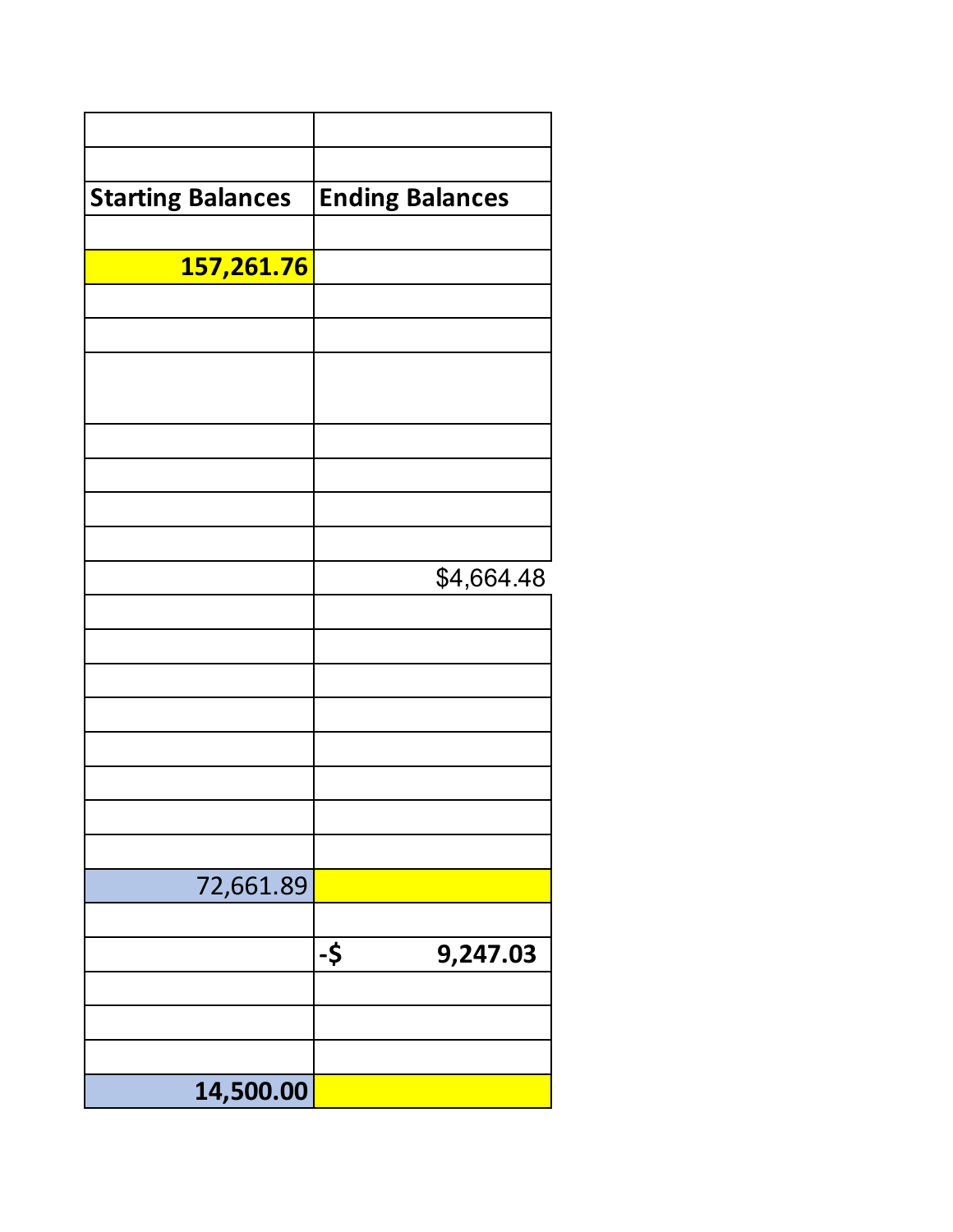| <b>Starting Balances</b> | <b>Ending Balances</b> |
|--------------------------|------------------------|
|                          |                        |
| 157,261.76               |                        |
|                          |                        |
|                          |                        |
|                          |                        |
|                          |                        |
|                          |                        |
|                          |                        |
|                          |                        |
|                          |                        |
|                          | \$4,664.48             |
|                          |                        |
|                          |                        |
|                          |                        |
|                          |                        |
|                          |                        |
|                          |                        |
|                          |                        |
|                          |                        |
| 72,661.89                |                        |
|                          | -\$<br>9,247.03        |
|                          |                        |
|                          |                        |
|                          |                        |
| 14,500.00                |                        |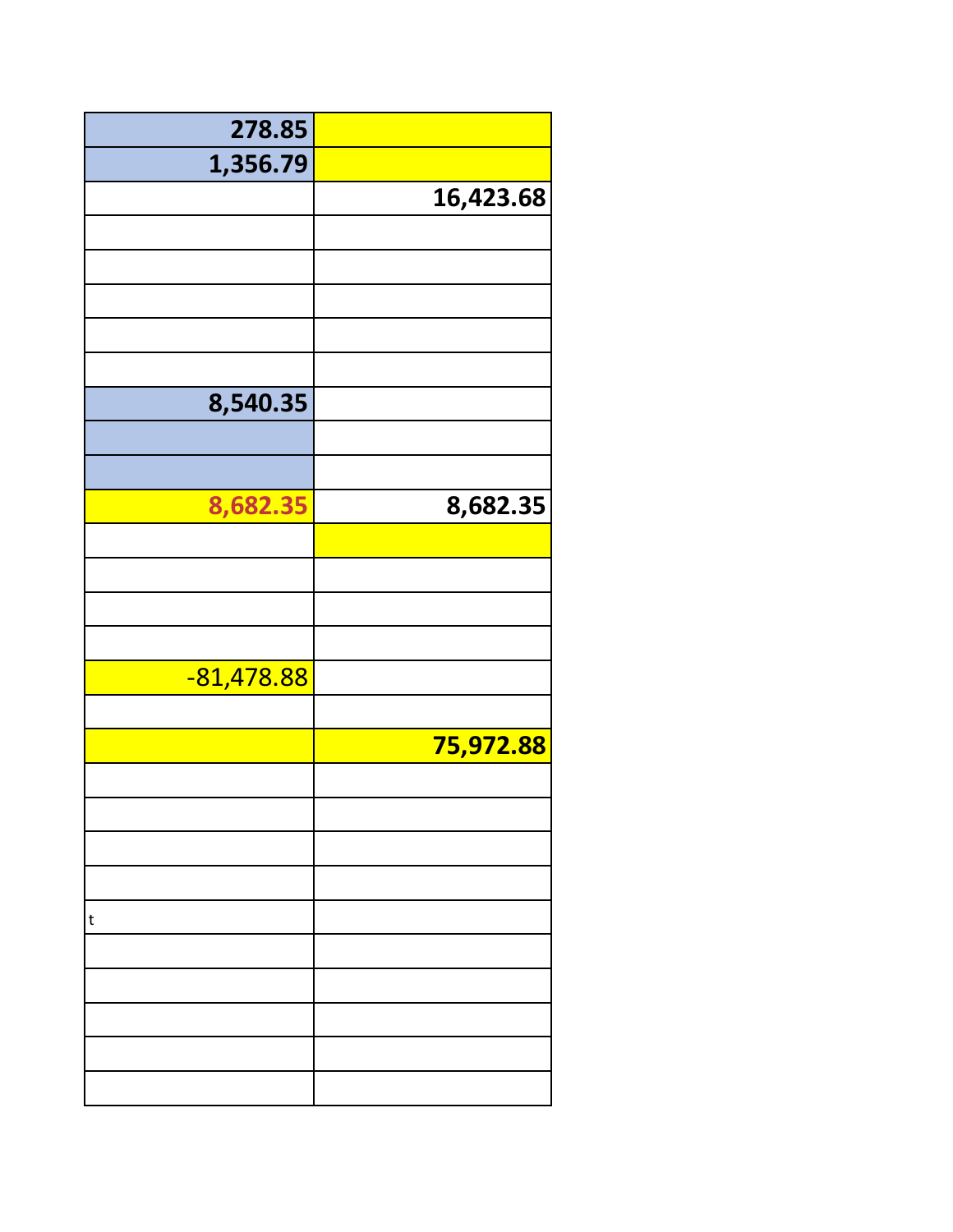| 278.85       |           |
|--------------|-----------|
| 1,356.79     |           |
|              | 16,423.68 |
|              |           |
|              |           |
|              |           |
|              |           |
|              |           |
| 8,540.35     |           |
|              |           |
|              |           |
| 8,682.35     | 8,682.35  |
|              |           |
|              |           |
|              |           |
|              |           |
| $-81,478.88$ |           |
|              |           |
|              | 75,972.88 |
|              |           |
|              |           |
|              |           |
|              |           |
| t            |           |
|              |           |
|              |           |
|              |           |
|              |           |
|              |           |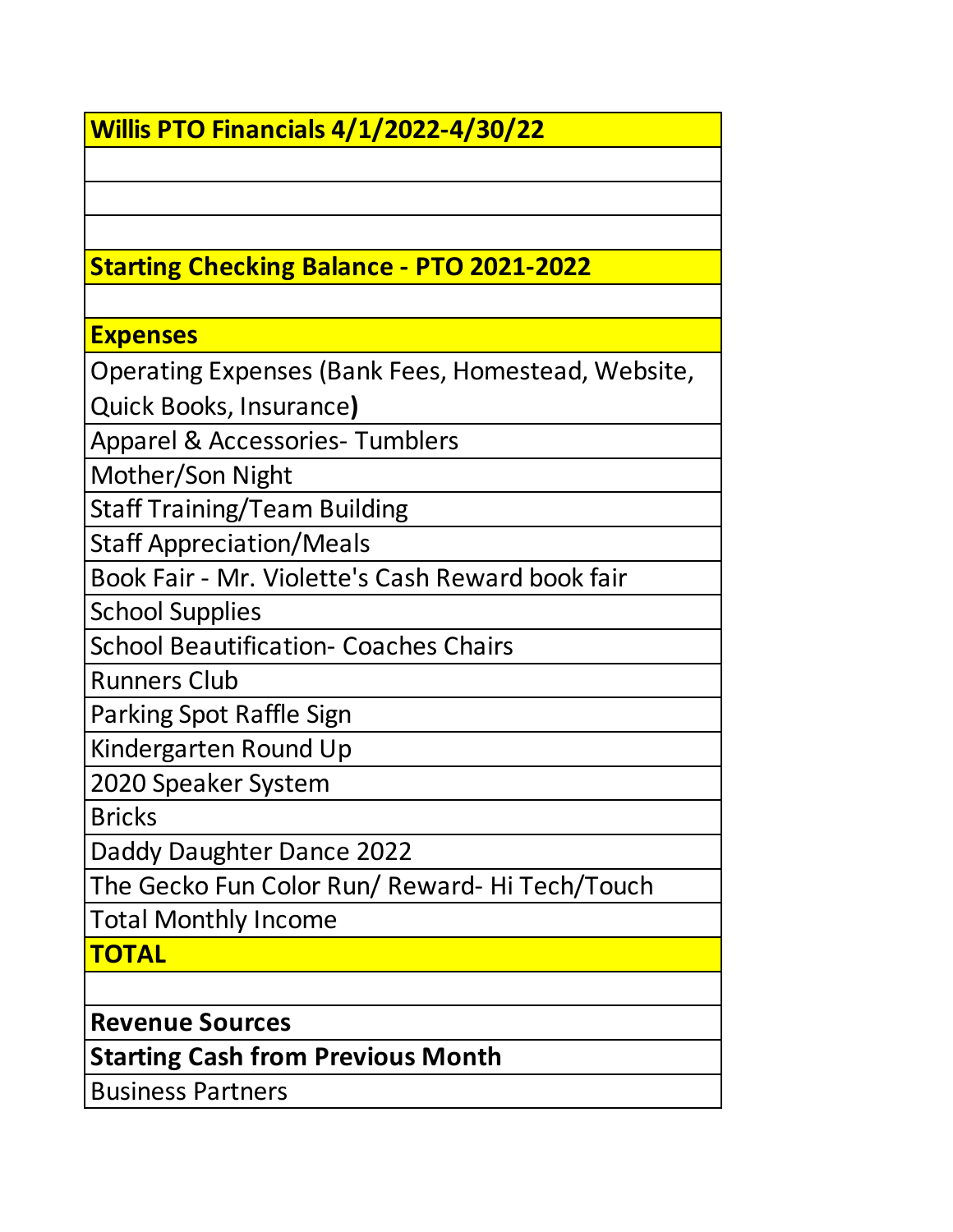## **Willis PTO Financials 4/1/2022-4/30/22**

## **Starting Checking Balance - PTO 2021-2022**

### **Expenses**

Operating Expenses (Bank Fees, Homestead, Website,

Quick Books, Insurance**)**

Apparel & Accessories- Tumblers

Mother/Son Night

Staff Training/Team Building

Staff Appreciation/Meals

Book Fair - Mr. Violette's Cash Reward book fair

School Supplies

School Beautification- Coaches Chairs

Runners Club

Parking Spot Raffle Sign

Kindergarten Round Up

2020 Speaker System

**Bricks** 

Daddy Daughter Dance 2022

The Gecko Fun Color Run/ Reward- Hi Tech/Touch

Total Monthly Income

**TOTAL**

**Revenue Sources**

**Starting Cash from Previous Month**

Business Partners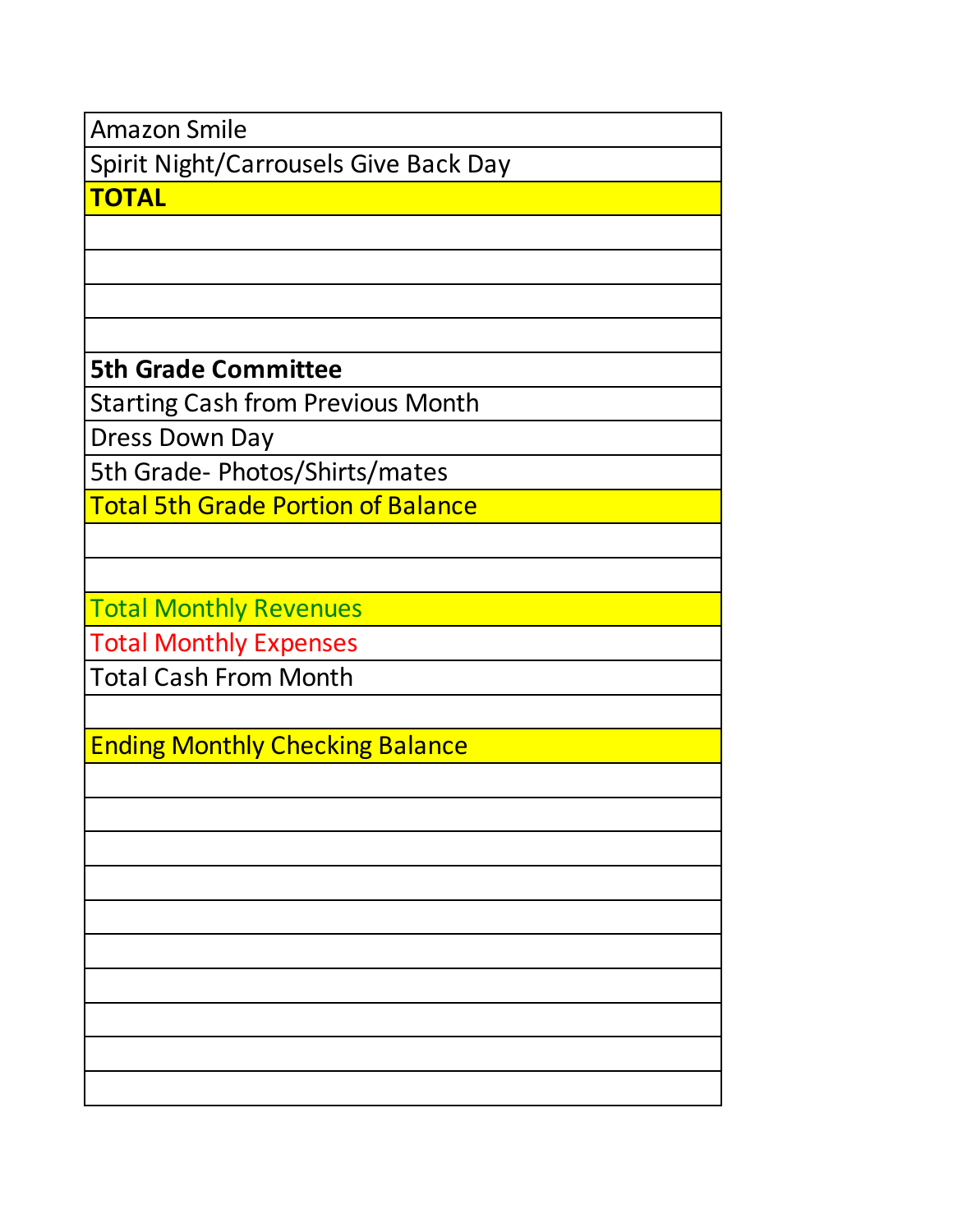Amazon Smile

Spirit Night/Carrousels Give Back Day

**TOTAL**

**5th Grade Committee**

Starting Cash from Previous Month

Dress Down Day

5th Grade- Photos/Shirts/mates

Total 5th Grade Portion of Balance

Total Monthly Revenues

Total Monthly Expenses

Total Cash From Month

Ending Monthly Checking Balance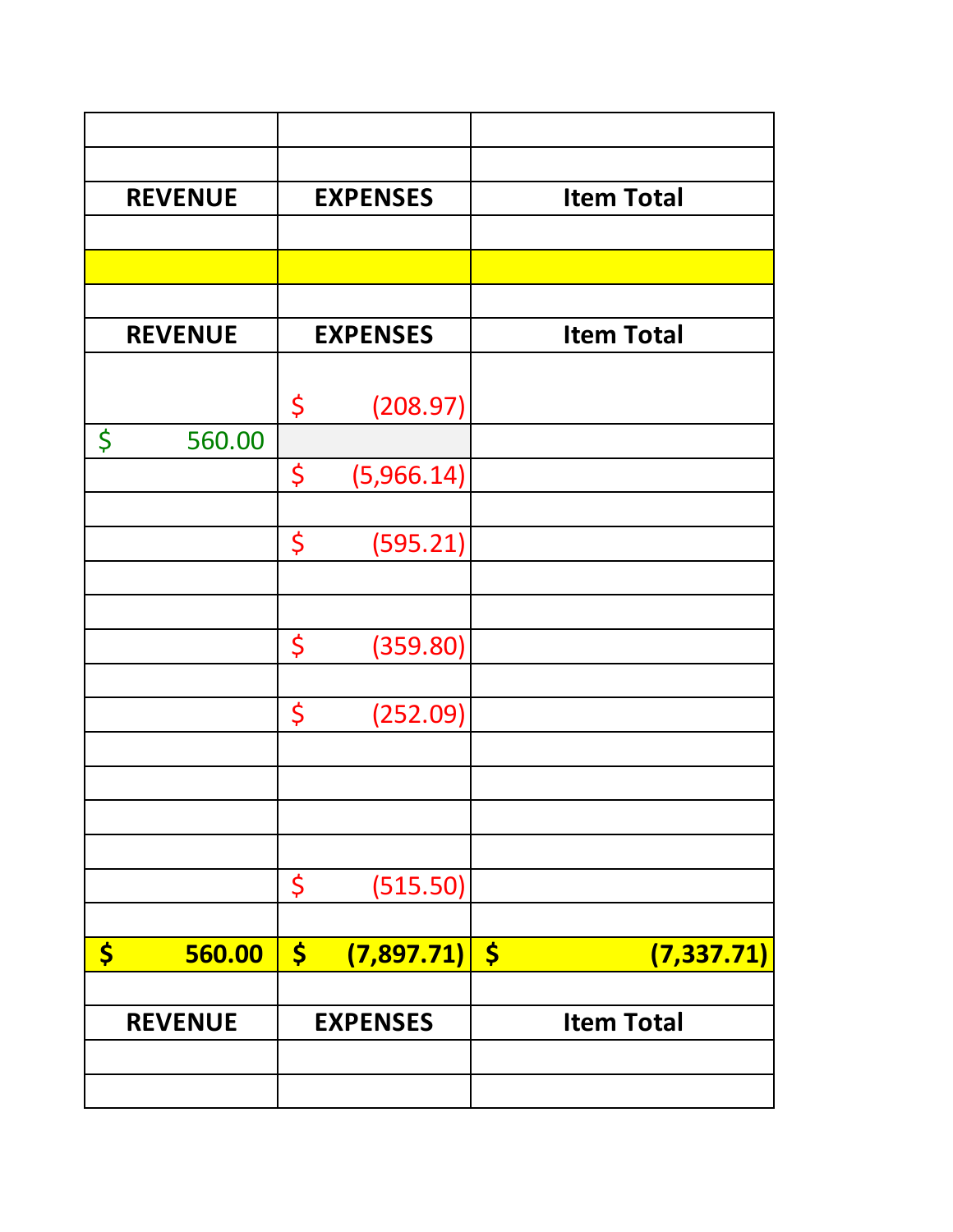| <b>REVENUE</b> | <b>EXPENSES</b>                    | <b>Item Total</b>                   |
|----------------|------------------------------------|-------------------------------------|
|                |                                    |                                     |
|                |                                    |                                     |
| <b>REVENUE</b> | <b>EXPENSES</b>                    | <b>Item Total</b>                   |
|                | (208.97)<br>\$                     |                                     |
| \$<br>560.00   |                                    |                                     |
|                | \$<br>(5,966.14)                   |                                     |
|                | \$<br>(595.21)                     |                                     |
|                |                                    |                                     |
|                | \$<br>(359.80)                     |                                     |
|                | \$<br>(252.09)                     |                                     |
|                |                                    |                                     |
|                |                                    |                                     |
|                | \$<br>(515.50)                     |                                     |
|                |                                    |                                     |
| \$<br>560.00   | $\boldsymbol{\zeta}$<br>(7,897.71) | $\boldsymbol{\zeta}$<br>(7, 337.71) |
| <b>REVENUE</b> | <b>EXPENSES</b>                    | <b>Item Total</b>                   |
|                |                                    |                                     |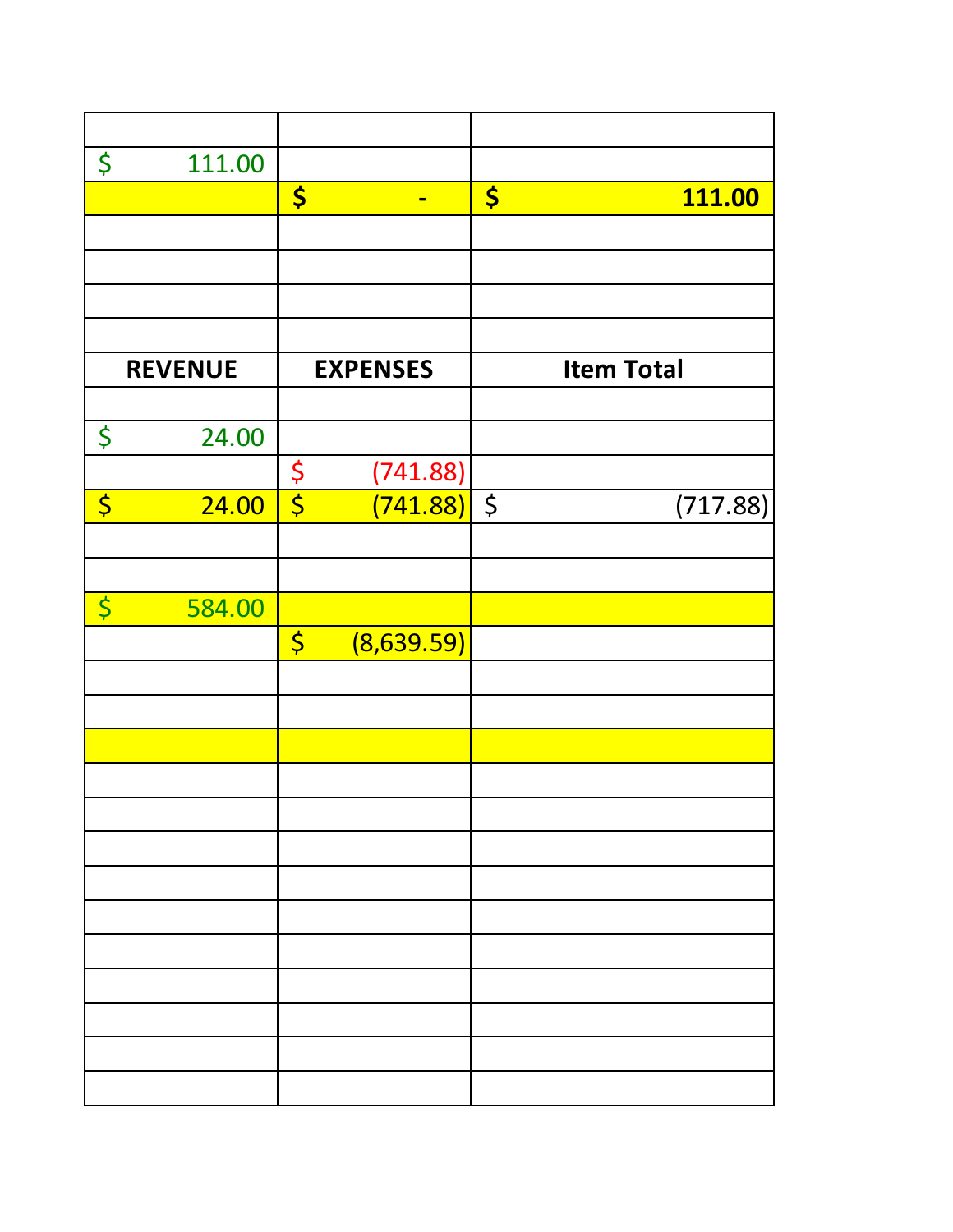| \$                     | 111.00         |                  |                 |         |                   |
|------------------------|----------------|------------------|-----------------|---------|-------------------|
|                        |                | \$               | $\blacksquare$  | \$      | <b>111.00</b>     |
|                        |                |                  |                 |         |                   |
|                        |                |                  |                 |         |                   |
|                        |                |                  |                 |         |                   |
|                        |                |                  |                 |         |                   |
|                        | <b>REVENUE</b> |                  | <b>EXPENSES</b> |         | <b>Item Total</b> |
|                        |                |                  |                 |         |                   |
| \$                     | 24.00          |                  |                 |         |                   |
|                        |                | $\varsigma$      | (741.88)        |         |                   |
| $\overline{\varsigma}$ | 24.00          | $\overline{\xi}$ | (741.88)        | $\zeta$ | (717.88)          |
|                        |                |                  |                 |         |                   |
|                        |                |                  |                 |         |                   |
| $\overline{\varsigma}$ | 584.00         |                  |                 |         |                   |
|                        |                | $\varsigma$      | (8,639.59)      |         |                   |
|                        |                |                  |                 |         |                   |
|                        |                |                  |                 |         |                   |
|                        |                |                  |                 |         |                   |
|                        |                |                  |                 |         |                   |
|                        |                |                  |                 |         |                   |
|                        |                |                  |                 |         |                   |
|                        |                |                  |                 |         |                   |
|                        |                |                  |                 |         |                   |
|                        |                |                  |                 |         |                   |
|                        |                |                  |                 |         |                   |
|                        |                |                  |                 |         |                   |
|                        |                |                  |                 |         |                   |
|                        |                |                  |                 |         |                   |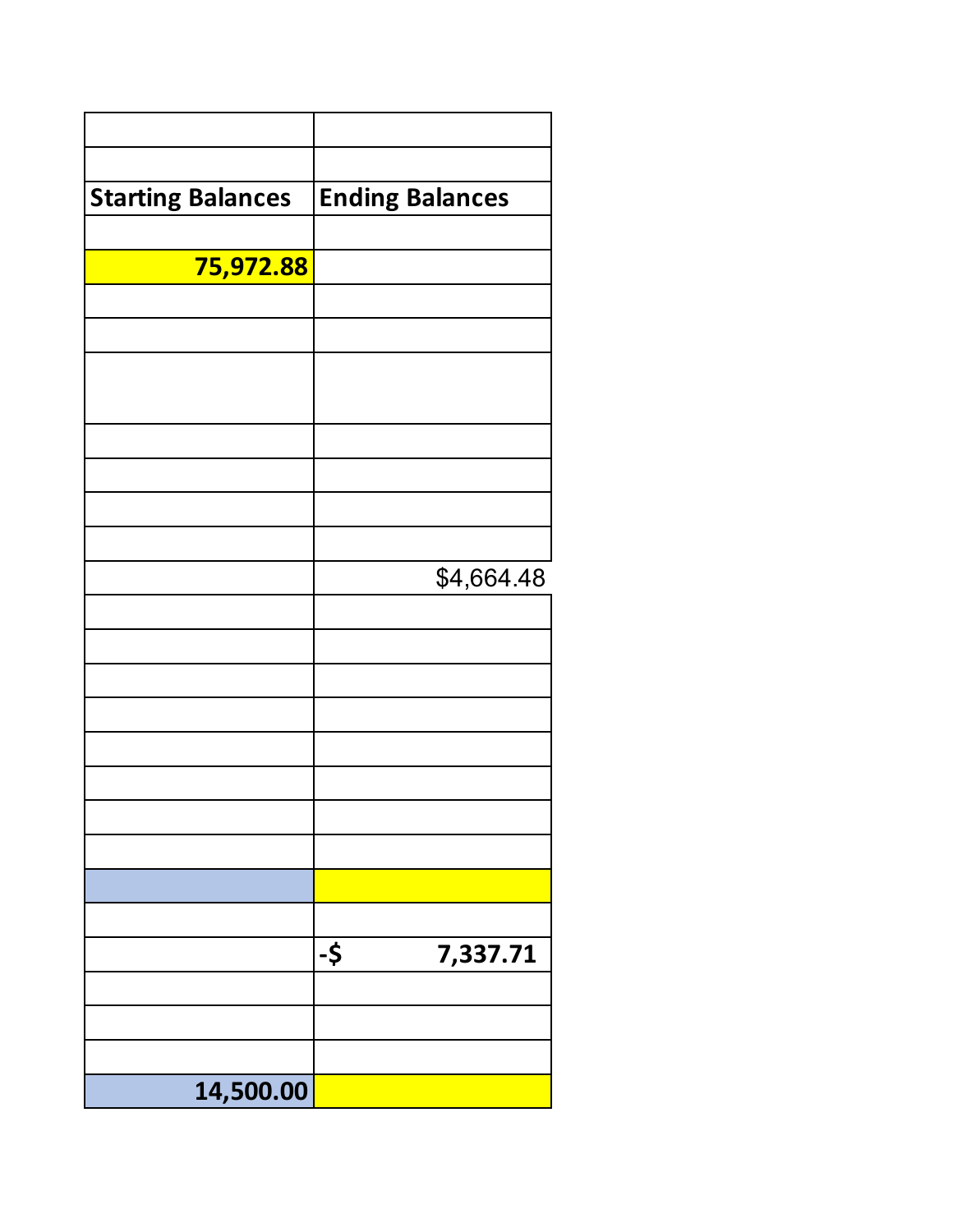| <b>Starting Balances</b> | <b>Ending Balances</b> |
|--------------------------|------------------------|
|                          |                        |
| 75,972.88                |                        |
|                          |                        |
|                          |                        |
|                          |                        |
|                          |                        |
|                          |                        |
|                          |                        |
|                          | \$4,664.48             |
|                          |                        |
|                          |                        |
|                          |                        |
|                          |                        |
|                          |                        |
|                          |                        |
|                          |                        |
|                          |                        |
|                          |                        |
|                          | -\$<br>7,337.71        |
|                          |                        |
|                          |                        |
| 14,500.00                |                        |